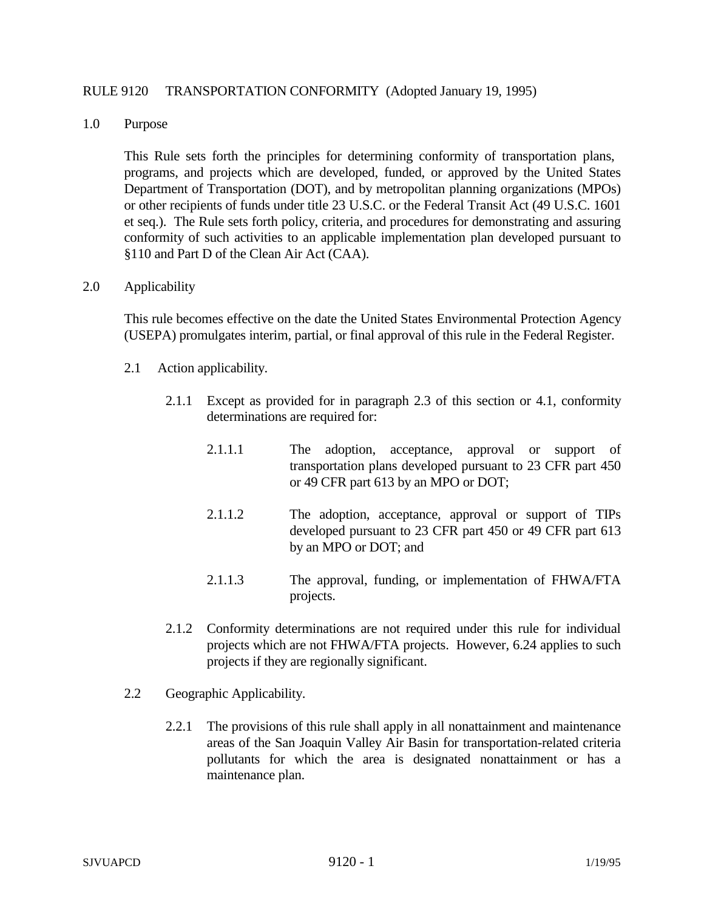### RULE 9120 TRANSPORTATION CONFORMITY (Adopted January 19, 1995)

1.0 Purpose

This Rule sets forth the principles for determining conformity of transportation plans, programs, and projects which are developed, funded, or approved by the United States Department of Transportation (DOT), and by metropolitan planning organizations (MPOs) or other recipients of funds under title 23 U.S.C. or the Federal Transit Act (49 U.S.C. 1601 et seq.). The Rule sets forth policy, criteria, and procedures for demonstrating and assuring conformity of such activities to an applicable implementation plan developed pursuant to §110 and Part D of the Clean Air Act (CAA).

#### 2.0 Applicability

This rule becomes effective on the date the United States Environmental Protection Agency (USEPA) promulgates interim, partial, or final approval of this rule in the Federal Register.

- 2.1 Action applicability.
	- 2.1.1 Except as provided for in paragraph 2.3 of this section or 4.1, conformity determinations are required for:
		- 2.1.1.1 The adoption, acceptance, approval or support of transportation plans developed pursuant to 23 CFR part 450 or 49 CFR part 613 by an MPO or DOT;
		- 2.1.1.2 The adoption, acceptance, approval or support of TIPs developed pursuant to 23 CFR part 450 or 49 CFR part 613 by an MPO or DOT; and
		- 2.1.1.3 The approval, funding, or implementation of FHWA/FTA projects.
	- 2.1.2 Conformity determinations are not required under this rule for individual projects which are not FHWA/FTA projects. However, 6.24 applies to such projects if they are regionally significant.
- 2.2 Geographic Applicability.
	- 2.2.1 The provisions of this rule shall apply in all nonattainment and maintenance areas of the San Joaquin Valley Air Basin for transportation-related criteria pollutants for which the area is designated nonattainment or has a maintenance plan.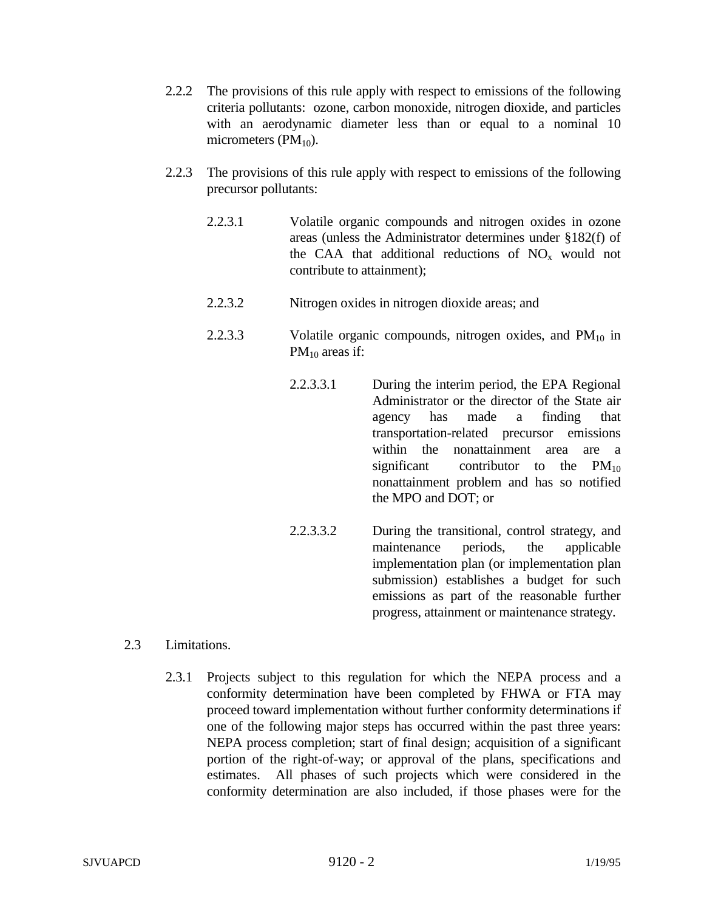- 2.2.2 The provisions of this rule apply with respect to emissions of the following criteria pollutants: ozone, carbon monoxide, nitrogen dioxide, and particles with an aerodynamic diameter less than or equal to a nominal 10 micrometers  $(PM_{10})$ .
- 2.2.3 The provisions of this rule apply with respect to emissions of the following precursor pollutants:
	- 2.2.3.1 Volatile organic compounds and nitrogen oxides in ozone areas (unless the Administrator determines under §182(f) of the CAA that additional reductions of  $NO<sub>x</sub>$  would not contribute to attainment);
	- 2.2.3.2 Nitrogen oxides in nitrogen dioxide areas; and
	- 2.2.3.3 Volatile organic compounds, nitrogen oxides, and  $PM_{10}$  in  $PM_{10}$  areas if:
		- 2.2.3.3.1 During the interim period, the EPA Regional Administrator or the director of the State air agency has made a finding that transportation-related precursor emissions within the nonattainment area are a significant contributor to the  $PM_{10}$ nonattainment problem and has so notified the MPO and DOT; or
		- 2.2.3.3.2 During the transitional, control strategy, and maintenance periods, the applicable implementation plan (or implementation plan submission) establishes a budget for such emissions as part of the reasonable further progress, attainment or maintenance strategy.
- 2.3 Limitations.
	- 2.3.1 Projects subject to this regulation for which the NEPA process and a conformity determination have been completed by FHWA or FTA may proceed toward implementation without further conformity determinations if one of the following major steps has occurred within the past three years: NEPA process completion; start of final design; acquisition of a significant portion of the right-of-way; or approval of the plans, specifications and estimates. All phases of such projects which were considered in the conformity determination are also included, if those phases were for the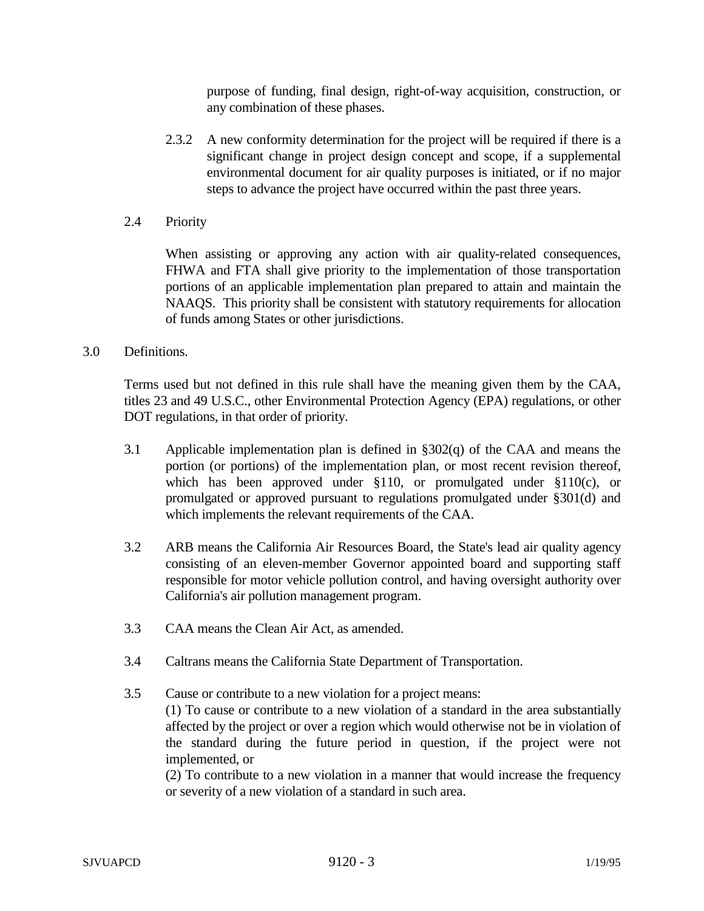purpose of funding, final design, right-of-way acquisition, construction, or any combination of these phases.

- 2.3.2 A new conformity determination for the project will be required if there is a significant change in project design concept and scope, if a supplemental environmental document for air quality purposes is initiated, or if no major steps to advance the project have occurred within the past three years.
- 2.4 Priority

When assisting or approving any action with air quality-related consequences, FHWA and FTA shall give priority to the implementation of those transportation portions of an applicable implementation plan prepared to attain and maintain the NAAQS. This priority shall be consistent with statutory requirements for allocation of funds among States or other jurisdictions.

3.0 Definitions.

Terms used but not defined in this rule shall have the meaning given them by the CAA, titles 23 and 49 U.S.C., other Environmental Protection Agency (EPA) regulations, or other DOT regulations, in that order of priority.

- 3.1 Applicable implementation plan is defined in §302(q) of the CAA and means the portion (or portions) of the implementation plan, or most recent revision thereof, which has been approved under §110, or promulgated under §110(c), or promulgated or approved pursuant to regulations promulgated under §301(d) and which implements the relevant requirements of the CAA.
- 3.2 ARB means the California Air Resources Board, the State's lead air quality agency consisting of an eleven-member Governor appointed board and supporting staff responsible for motor vehicle pollution control, and having oversight authority over California's air pollution management program.
- 3.3 CAA means the Clean Air Act, as amended.
- 3.4 Caltrans means the California State Department of Transportation.
- 3.5 Cause or contribute to a new violation for a project means: (1) To cause or contribute to a new violation of a standard in the area substantially affected by the project or over a region which would otherwise not be in violation of the standard during the future period in question, if the project were not implemented, or

(2) To contribute to a new violation in a manner that would increase the frequency or severity of a new violation of a standard in such area.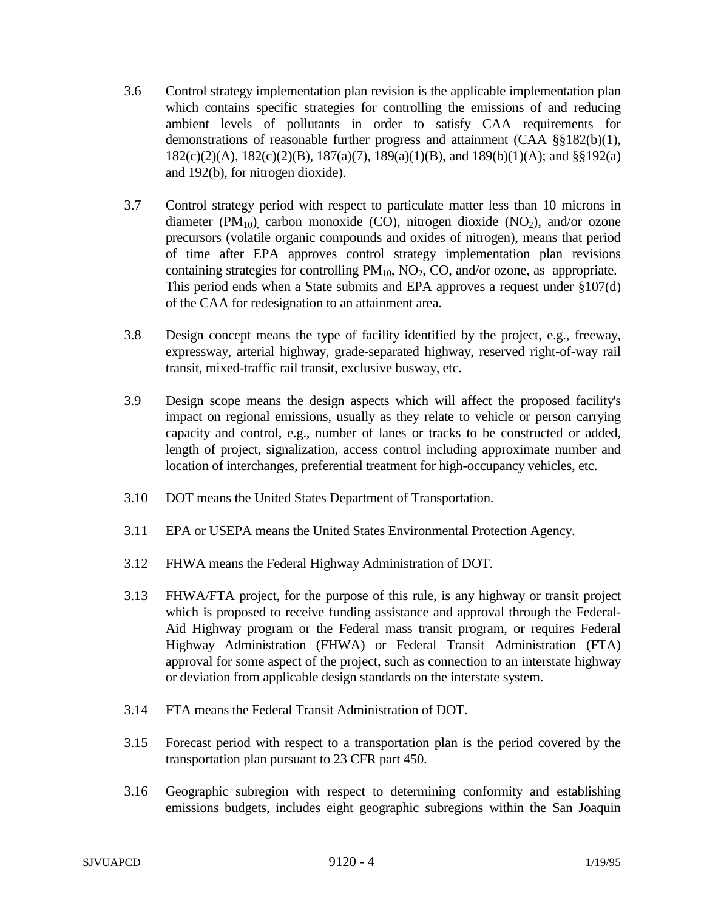- 3.6 Control strategy implementation plan revision is the applicable implementation plan which contains specific strategies for controlling the emissions of and reducing ambient levels of pollutants in order to satisfy CAA requirements for demonstrations of reasonable further progress and attainment (CAA §§182(b)(1), 182(c)(2)(A), 182(c)(2)(B), 187(a)(7), 189(a)(1)(B), and 189(b)(1)(A); and §§192(a) and 192(b), for nitrogen dioxide).
- 3.7 Control strategy period with respect to particulate matter less than 10 microns in diameter (PM<sub>10</sub>), carbon monoxide (CO), nitrogen dioxide (NO<sub>2</sub>), and/or ozone precursors (volatile organic compounds and oxides of nitrogen), means that period of time after EPA approves control strategy implementation plan revisions containing strategies for controlling  $PM_{10}$ ,  $NO_2$ ,  $CO$ , and/or ozone, as appropriate. This period ends when a State submits and EPA approves a request under §107(d) of the CAA for redesignation to an attainment area.
- 3.8 Design concept means the type of facility identified by the project, e.g., freeway, expressway, arterial highway, grade-separated highway, reserved right-of-way rail transit, mixed-traffic rail transit, exclusive busway, etc.
- 3.9 Design scope means the design aspects which will affect the proposed facility's impact on regional emissions, usually as they relate to vehicle or person carrying capacity and control, e.g., number of lanes or tracks to be constructed or added, length of project, signalization, access control including approximate number and location of interchanges, preferential treatment for high-occupancy vehicles, etc.
- 3.10 DOT means the United States Department of Transportation.
- 3.11 EPA or USEPA means the United States Environmental Protection Agency.
- 3.12 FHWA means the Federal Highway Administration of DOT.
- 3.13 FHWA/FTA project, for the purpose of this rule, is any highway or transit project which is proposed to receive funding assistance and approval through the Federal-Aid Highway program or the Federal mass transit program, or requires Federal Highway Administration (FHWA) or Federal Transit Administration (FTA) approval for some aspect of the project, such as connection to an interstate highway or deviation from applicable design standards on the interstate system.
- 3.14 FTA means the Federal Transit Administration of DOT.
- 3.15 Forecast period with respect to a transportation plan is the period covered by the transportation plan pursuant to 23 CFR part 450.
- 3.16 Geographic subregion with respect to determining conformity and establishing emissions budgets, includes eight geographic subregions within the San Joaquin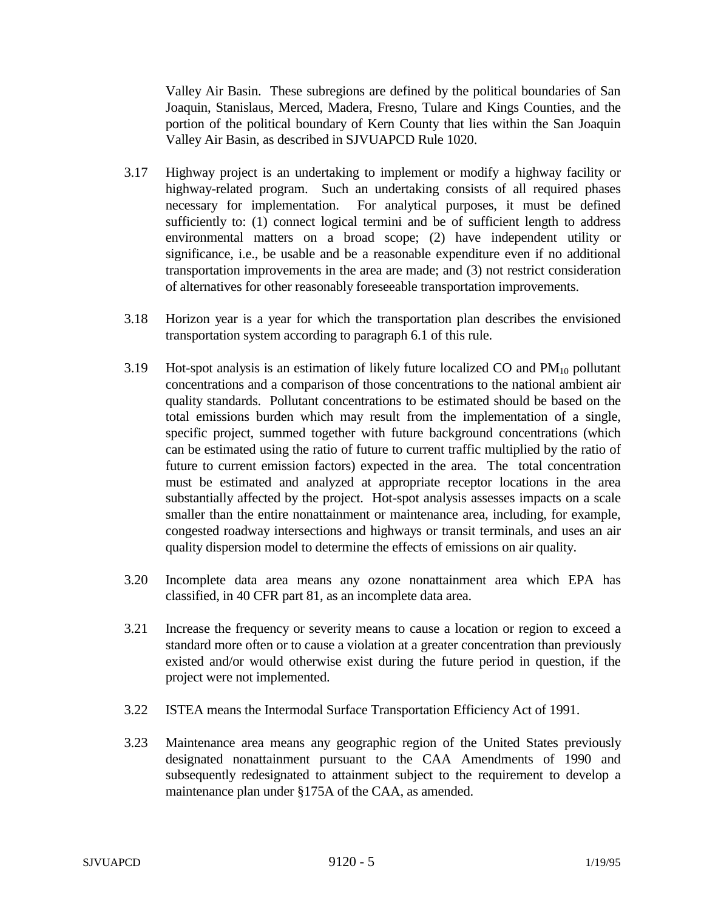Valley Air Basin. These subregions are defined by the political boundaries of San Joaquin, Stanislaus, Merced, Madera, Fresno, Tulare and Kings Counties, and the portion of the political boundary of Kern County that lies within the San Joaquin Valley Air Basin, as described in SJVUAPCD Rule 1020.

- 3.17 Highway project is an undertaking to implement or modify a highway facility or highway-related program. Such an undertaking consists of all required phases necessary for implementation. For analytical purposes, it must be defined sufficiently to: (1) connect logical termini and be of sufficient length to address environmental matters on a broad scope; (2) have independent utility or significance, i.e., be usable and be a reasonable expenditure even if no additional transportation improvements in the area are made; and (3) not restrict consideration of alternatives for other reasonably foreseeable transportation improvements.
- 3.18 Horizon year is a year for which the transportation plan describes the envisioned transportation system according to paragraph 6.1 of this rule.
- 3.19 Hot-spot analysis is an estimation of likely future localized CO and  $PM_{10}$  pollutant concentrations and a comparison of those concentrations to the national ambient air quality standards. Pollutant concentrations to be estimated should be based on the total emissions burden which may result from the implementation of a single, specific project, summed together with future background concentrations (which can be estimated using the ratio of future to current traffic multiplied by the ratio of future to current emission factors) expected in the area. The total concentration must be estimated and analyzed at appropriate receptor locations in the area substantially affected by the project. Hot-spot analysis assesses impacts on a scale smaller than the entire nonattainment or maintenance area, including, for example, congested roadway intersections and highways or transit terminals, and uses an air quality dispersion model to determine the effects of emissions on air quality.
- 3.20 Incomplete data area means any ozone nonattainment area which EPA has classified, in 40 CFR part 81, as an incomplete data area.
- 3.21 Increase the frequency or severity means to cause a location or region to exceed a standard more often or to cause a violation at a greater concentration than previously existed and/or would otherwise exist during the future period in question, if the project were not implemented.
- 3.22 ISTEA means the Intermodal Surface Transportation Efficiency Act of 1991.
- 3.23 Maintenance area means any geographic region of the United States previously designated nonattainment pursuant to the CAA Amendments of 1990 and subsequently redesignated to attainment subject to the requirement to develop a maintenance plan under §175A of the CAA, as amended.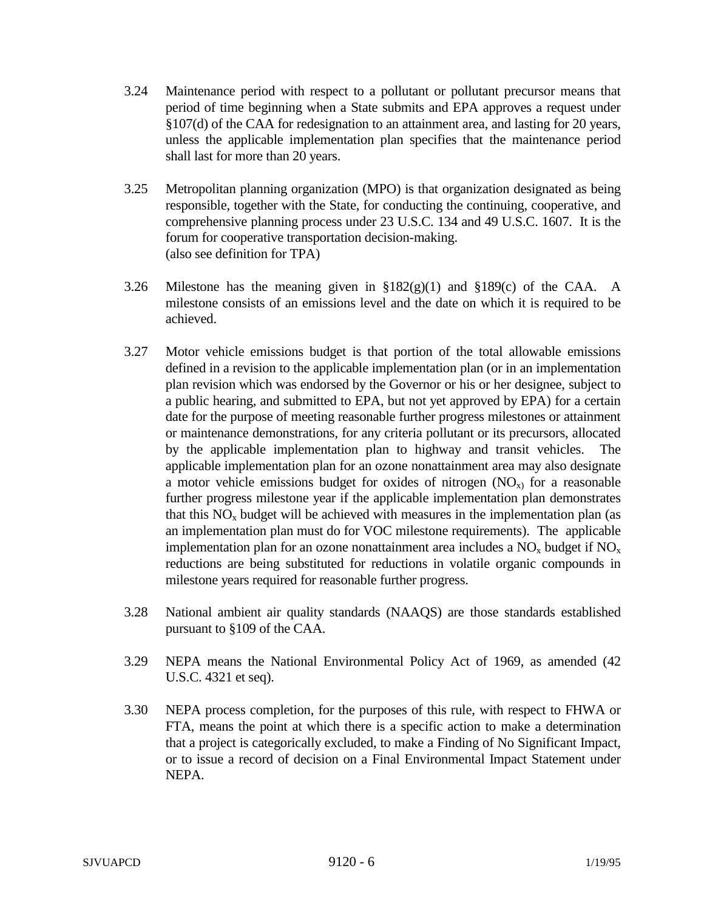- 3.24 Maintenance period with respect to a pollutant or pollutant precursor means that period of time beginning when a State submits and EPA approves a request under §107(d) of the CAA for redesignation to an attainment area, and lasting for 20 years, unless the applicable implementation plan specifies that the maintenance period shall last for more than 20 years.
- 3.25 Metropolitan planning organization (MPO) is that organization designated as being responsible, together with the State, for conducting the continuing, cooperative, and comprehensive planning process under 23 U.S.C. 134 and 49 U.S.C. 1607. It is the forum for cooperative transportation decision-making. (also see definition for TPA)
- 3.26 Milestone has the meaning given in  $\S 182(g)(1)$  and  $\S 189(c)$  of the CAA. A milestone consists of an emissions level and the date on which it is required to be achieved.
- 3.27 Motor vehicle emissions budget is that portion of the total allowable emissions defined in a revision to the applicable implementation plan (or in an implementation plan revision which was endorsed by the Governor or his or her designee, subject to a public hearing, and submitted to EPA, but not yet approved by EPA) for a certain date for the purpose of meeting reasonable further progress milestones or attainment or maintenance demonstrations, for any criteria pollutant or its precursors, allocated by the applicable implementation plan to highway and transit vehicles. The applicable implementation plan for an ozone nonattainment area may also designate a motor vehicle emissions budget for oxides of nitrogen  $(NO<sub>x</sub>)$  for a reasonable further progress milestone year if the applicable implementation plan demonstrates that this  $NO<sub>x</sub>$  budget will be achieved with measures in the implementation plan (as an implementation plan must do for VOC milestone requirements). The applicable implementation plan for an ozone nonattainment area includes a  $NO<sub>x</sub>$  budget if  $NO<sub>x</sub>$ reductions are being substituted for reductions in volatile organic compounds in milestone years required for reasonable further progress.
- 3.28 National ambient air quality standards (NAAQS) are those standards established pursuant to §109 of the CAA.
- 3.29 NEPA means the National Environmental Policy Act of 1969, as amended (42 U.S.C. 4321 et seq).
- 3.30 NEPA process completion, for the purposes of this rule, with respect to FHWA or FTA, means the point at which there is a specific action to make a determination that a project is categorically excluded, to make a Finding of No Significant Impact, or to issue a record of decision on a Final Environmental Impact Statement under NEPA.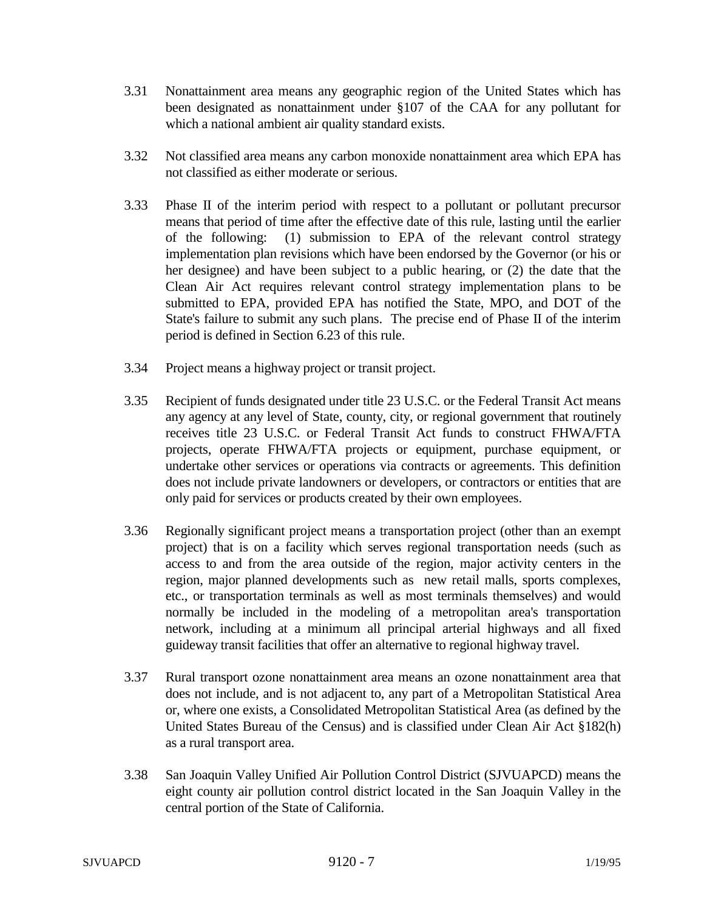- 3.31 Nonattainment area means any geographic region of the United States which has been designated as nonattainment under §107 of the CAA for any pollutant for which a national ambient air quality standard exists.
- 3.32 Not classified area means any carbon monoxide nonattainment area which EPA has not classified as either moderate or serious.
- 3.33 Phase II of the interim period with respect to a pollutant or pollutant precursor means that period of time after the effective date of this rule, lasting until the earlier of the following: (1) submission to EPA of the relevant control strategy implementation plan revisions which have been endorsed by the Governor (or his or her designee) and have been subject to a public hearing, or (2) the date that the Clean Air Act requires relevant control strategy implementation plans to be submitted to EPA, provided EPA has notified the State, MPO, and DOT of the State's failure to submit any such plans. The precise end of Phase II of the interim period is defined in Section 6.23 of this rule.
- 3.34 Project means a highway project or transit project.
- 3.35 Recipient of funds designated under title 23 U.S.C. or the Federal Transit Act means any agency at any level of State, county, city, or regional government that routinely receives title 23 U.S.C. or Federal Transit Act funds to construct FHWA/FTA projects, operate FHWA/FTA projects or equipment, purchase equipment, or undertake other services or operations via contracts or agreements. This definition does not include private landowners or developers, or contractors or entities that are only paid for services or products created by their own employees.
- 3.36 Regionally significant project means a transportation project (other than an exempt project) that is on a facility which serves regional transportation needs (such as access to and from the area outside of the region, major activity centers in the region, major planned developments such as new retail malls, sports complexes, etc., or transportation terminals as well as most terminals themselves) and would normally be included in the modeling of a metropolitan area's transportation network, including at a minimum all principal arterial highways and all fixed guideway transit facilities that offer an alternative to regional highway travel.
- 3.37 Rural transport ozone nonattainment area means an ozone nonattainment area that does not include, and is not adjacent to, any part of a Metropolitan Statistical Area or, where one exists, a Consolidated Metropolitan Statistical Area (as defined by the United States Bureau of the Census) and is classified under Clean Air Act §182(h) as a rural transport area.
- 3.38 San Joaquin Valley Unified Air Pollution Control District (SJVUAPCD) means the eight county air pollution control district located in the San Joaquin Valley in the central portion of the State of California.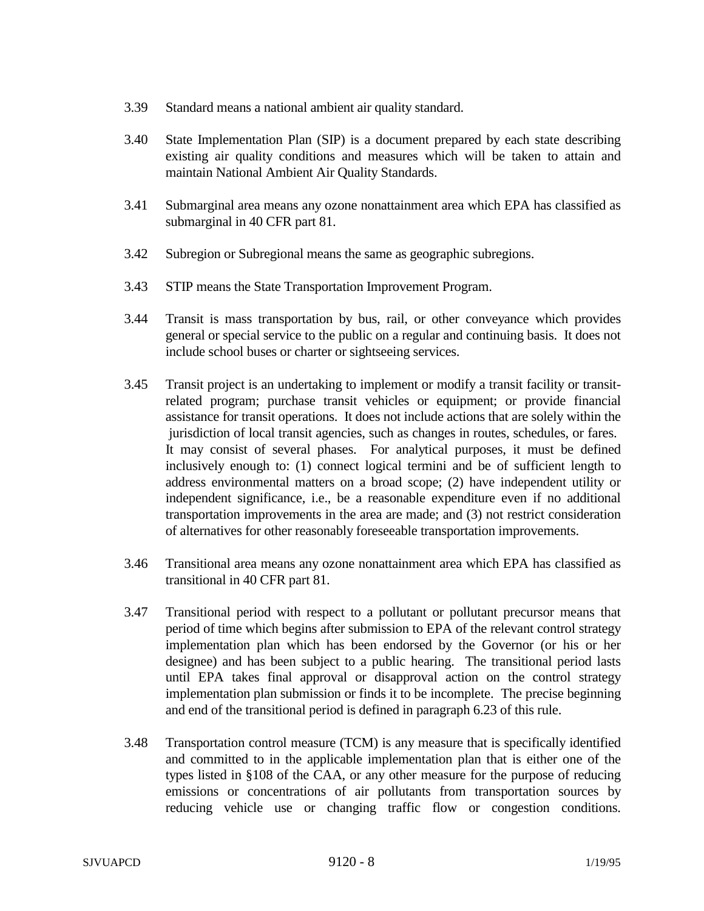- 3.39 Standard means a national ambient air quality standard.
- 3.40 State Implementation Plan (SIP) is a document prepared by each state describing existing air quality conditions and measures which will be taken to attain and maintain National Ambient Air Quality Standards.
- 3.41 Submarginal area means any ozone nonattainment area which EPA has classified as submarginal in 40 CFR part 81.
- 3.42 Subregion or Subregional means the same as geographic subregions.
- 3.43 STIP means the State Transportation Improvement Program.
- 3.44 Transit is mass transportation by bus, rail, or other conveyance which provides general or special service to the public on a regular and continuing basis. It does not include school buses or charter or sightseeing services.
- 3.45 Transit project is an undertaking to implement or modify a transit facility or transitrelated program; purchase transit vehicles or equipment; or provide financial assistance for transit operations. It does not include actions that are solely within the jurisdiction of local transit agencies, such as changes in routes, schedules, or fares. It may consist of several phases. For analytical purposes, it must be defined inclusively enough to: (1) connect logical termini and be of sufficient length to address environmental matters on a broad scope; (2) have independent utility or independent significance, i.e., be a reasonable expenditure even if no additional transportation improvements in the area are made; and (3) not restrict consideration of alternatives for other reasonably foreseeable transportation improvements.
- 3.46 Transitional area means any ozone nonattainment area which EPA has classified as transitional in 40 CFR part 81.
- 3.47 Transitional period with respect to a pollutant or pollutant precursor means that period of time which begins after submission to EPA of the relevant control strategy implementation plan which has been endorsed by the Governor (or his or her designee) and has been subject to a public hearing. The transitional period lasts until EPA takes final approval or disapproval action on the control strategy implementation plan submission or finds it to be incomplete. The precise beginning and end of the transitional period is defined in paragraph 6.23 of this rule.
- 3.48 Transportation control measure (TCM) is any measure that is specifically identified and committed to in the applicable implementation plan that is either one of the types listed in §108 of the CAA, or any other measure for the purpose of reducing emissions or concentrations of air pollutants from transportation sources by reducing vehicle use or changing traffic flow or congestion conditions.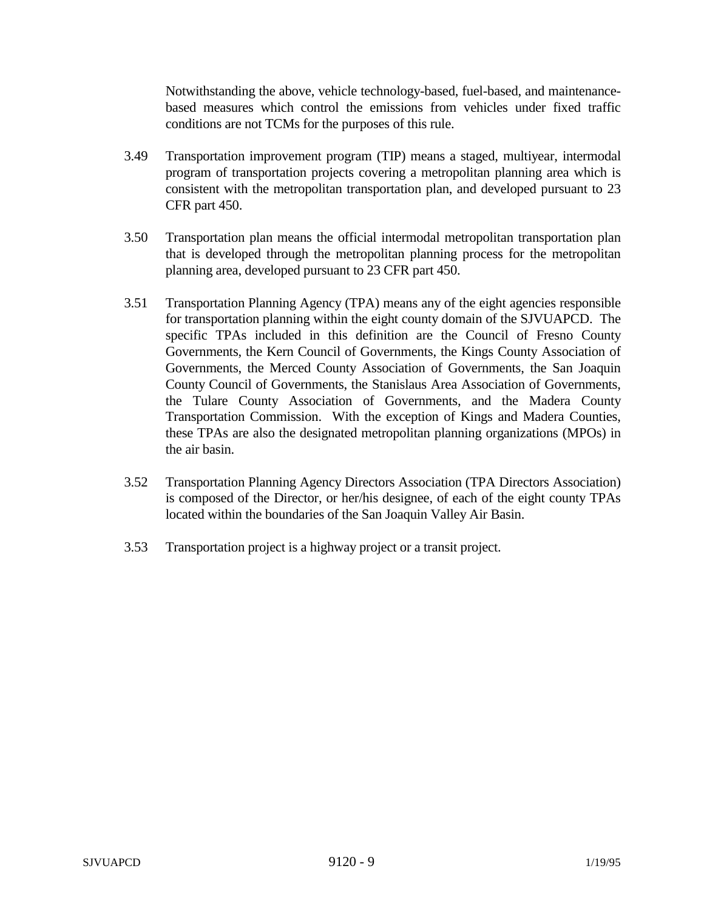Notwithstanding the above, vehicle technology-based, fuel-based, and maintenancebased measures which control the emissions from vehicles under fixed traffic conditions are not TCMs for the purposes of this rule.

- 3.49 Transportation improvement program (TIP) means a staged, multiyear, intermodal program of transportation projects covering a metropolitan planning area which is consistent with the metropolitan transportation plan, and developed pursuant to 23 CFR part 450.
- 3.50 Transportation plan means the official intermodal metropolitan transportation plan that is developed through the metropolitan planning process for the metropolitan planning area, developed pursuant to 23 CFR part 450.
- 3.51 Transportation Planning Agency (TPA) means any of the eight agencies responsible for transportation planning within the eight county domain of the SJVUAPCD. The specific TPAs included in this definition are the Council of Fresno County Governments, the Kern Council of Governments, the Kings County Association of Governments, the Merced County Association of Governments, the San Joaquin County Council of Governments, the Stanislaus Area Association of Governments, the Tulare County Association of Governments, and the Madera County Transportation Commission. With the exception of Kings and Madera Counties, these TPAs are also the designated metropolitan planning organizations (MPOs) in the air basin.
- 3.52 Transportation Planning Agency Directors Association (TPA Directors Association) is composed of the Director, or her/his designee, of each of the eight county TPAs located within the boundaries of the San Joaquin Valley Air Basin.
- 3.53 Transportation project is a highway project or a transit project.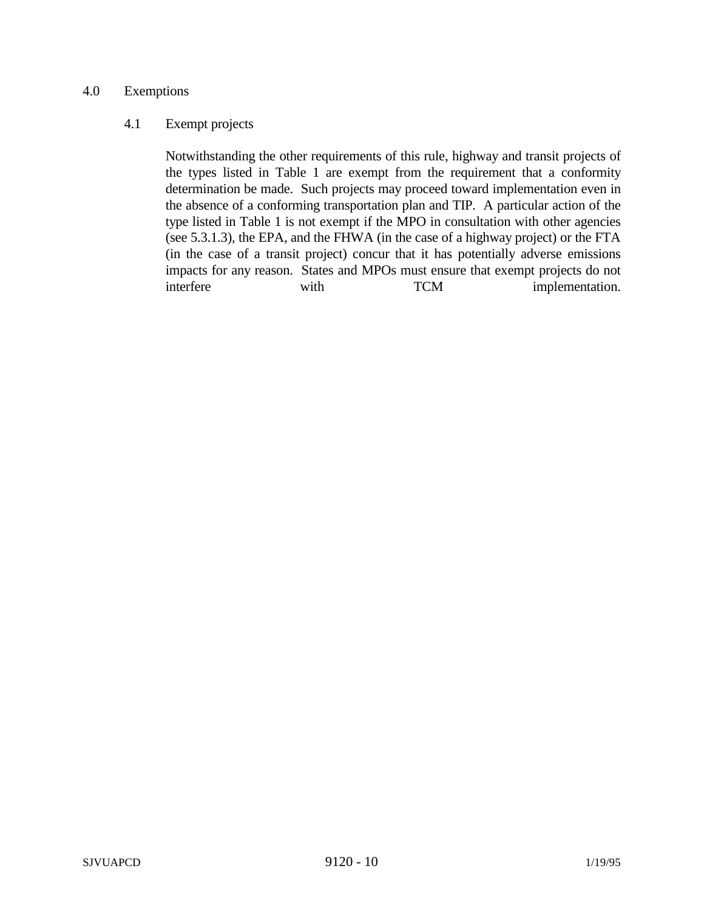## 4.0 Exemptions

#### 4.1 Exempt projects

Notwithstanding the other requirements of this rule, highway and transit projects of the types listed in Table 1 are exempt from the requirement that a conformity determination be made. Such projects may proceed toward implementation even in the absence of a conforming transportation plan and TIP. A particular action of the type listed in Table 1 is not exempt if the MPO in consultation with other agencies (see 5.3.1.3), the EPA, and the FHWA (in the case of a highway project) or the FTA (in the case of a transit project) concur that it has potentially adverse emissions impacts for any reason. States and MPOs must ensure that exempt projects do not interfere with TCM implementation.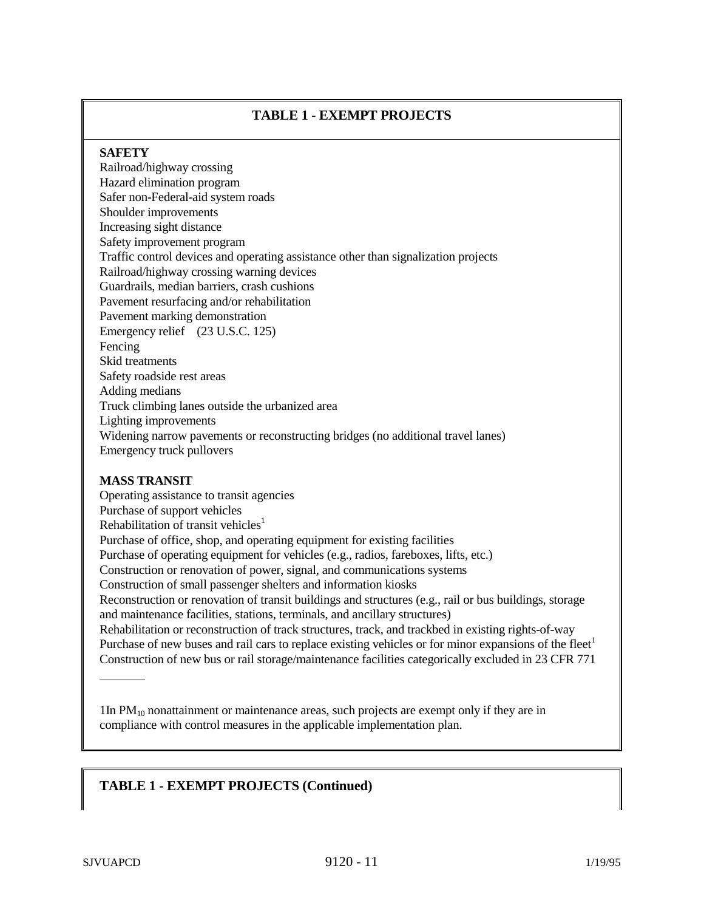## **TABLE 1 - EXEMPT PROJECTS**

#### **SAFETY**

Railroad/highway crossing Hazard elimination program Safer non-Federal-aid system roads Shoulder improvements Increasing sight distance Safety improvement program Traffic control devices and operating assistance other than signalization projects Railroad/highway crossing warning devices Guardrails, median barriers, crash cushions Pavement resurfacing and/or rehabilitation Pavement marking demonstration Emergency relief (23 U.S.C. 125) Fencing Skid treatments Safety roadside rest areas Adding medians Truck climbing lanes outside the urbanized area Lighting improvements Widening narrow pavements or reconstructing bridges (no additional travel lanes) Emergency truck pullovers

#### **MASS TRANSIT**

Operating assistance to transit agencies Purchase of support vehicles Rehabilitation of transit vehicles<sup>1</sup> Purchase of office, shop, and operating equipment for existing facilities Purchase of operating equipment for vehicles (e.g., radios, fareboxes, lifts, etc.) Construction or renovation of power, signal, and communications systems Construction of small passenger shelters and information kiosks Reconstruction or renovation of transit buildings and structures (e.g., rail or bus buildings, storage and maintenance facilities, stations, terminals, and ancillary structures) Rehabilitation or reconstruction of track structures, track, and trackbed in existing rights-of-way Purchase of new buses and rail cars to replace existing vehicles or for minor expansions of the fleet<sup>1</sup> Construction of new bus or rail storage/maintenance facilities categorically excluded in 23 CFR 771 l

1In PM10 nonattainment or maintenance areas, such projects are exempt only if they are in compliance with control measures in the applicable implementation plan.

## **TABLE 1 - EXEMPT PROJECTS (Continued)**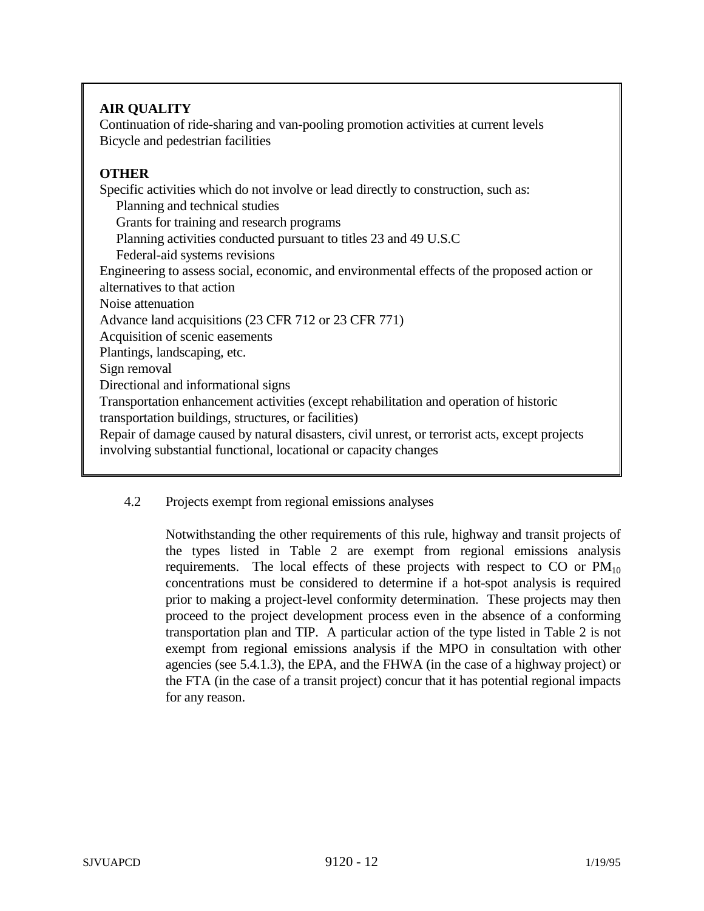# **AIR QUALITY**

Continuation of ride-sharing and van-pooling promotion activities at current levels Bicycle and pedestrian facilities

## **OTHER**

Specific activities which do not involve or lead directly to construction, such as: Planning and technical studies Grants for training and research programs Planning activities conducted pursuant to titles 23 and 49 U.S.C Federal-aid systems revisions Engineering to assess social, economic, and environmental effects of the proposed action or alternatives to that action Noise attenuation Advance land acquisitions (23 CFR 712 or 23 CFR 771) Acquisition of scenic easements Plantings, landscaping, etc. Sign removal Directional and informational signs Transportation enhancement activities (except rehabilitation and operation of historic transportation buildings, structures, or facilities) Repair of damage caused by natural disasters, civil unrest, or terrorist acts, except projects involving substantial functional, locational or capacity changes

## 4.2 Projects exempt from regional emissions analyses

Notwithstanding the other requirements of this rule, highway and transit projects of the types listed in Table 2 are exempt from regional emissions analysis requirements. The local effects of these projects with respect to  $CO$  or  $PM_{10}$ concentrations must be considered to determine if a hot-spot analysis is required prior to making a project-level conformity determination. These projects may then proceed to the project development process even in the absence of a conforming transportation plan and TIP. A particular action of the type listed in Table 2 is not exempt from regional emissions analysis if the MPO in consultation with other agencies (see 5.4.1.3), the EPA, and the FHWA (in the case of a highway project) or the FTA (in the case of a transit project) concur that it has potential regional impacts for any reason.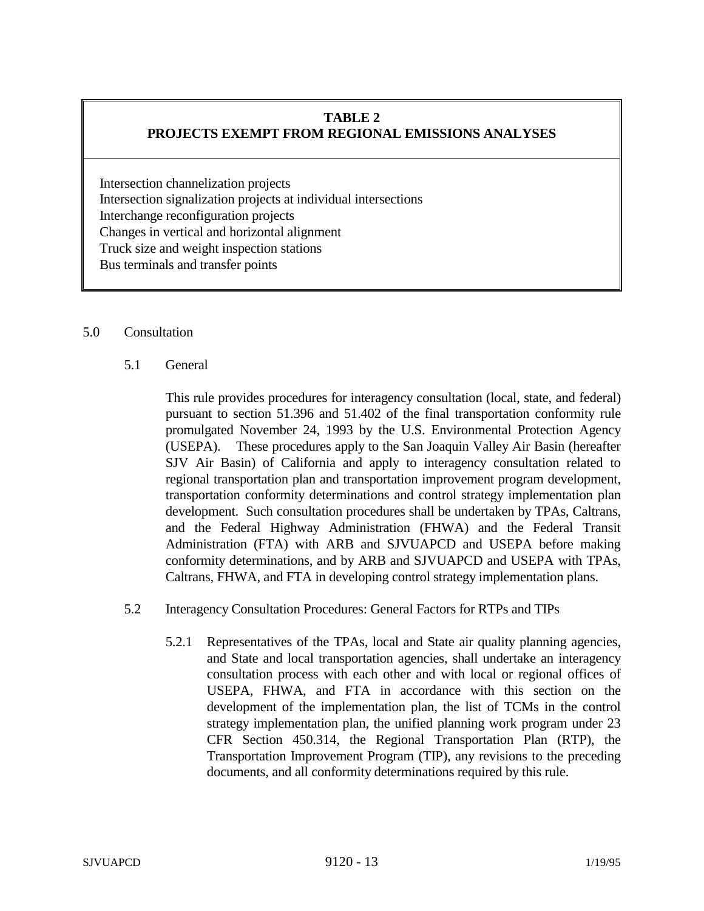## **TABLE 2 PROJECTS EXEMPT FROM REGIONAL EMISSIONS ANALYSES**

Intersection channelization projects Intersection signalization projects at individual intersections Interchange reconfiguration projects Changes in vertical and horizontal alignment Truck size and weight inspection stations Bus terminals and transfer points

#### 5.0 Consultation

5.1 General

This rule provides procedures for interagency consultation (local, state, and federal) pursuant to section 51.396 and 51.402 of the final transportation conformity rule promulgated November 24, 1993 by the U.S. Environmental Protection Agency (USEPA). These procedures apply to the San Joaquin Valley Air Basin (hereafter SJV Air Basin) of California and apply to interagency consultation related to regional transportation plan and transportation improvement program development, transportation conformity determinations and control strategy implementation plan development. Such consultation procedures shall be undertaken by TPAs, Caltrans, and the Federal Highway Administration (FHWA) and the Federal Transit Administration (FTA) with ARB and SJVUAPCD and USEPA before making conformity determinations, and by ARB and SJVUAPCD and USEPA with TPAs, Caltrans, FHWA, and FTA in developing control strategy implementation plans.

- 5.2 Interagency Consultation Procedures: General Factors for RTPs and TIPs
	- 5.2.1 Representatives of the TPAs, local and State air quality planning agencies, and State and local transportation agencies, shall undertake an interagency consultation process with each other and with local or regional offices of USEPA, FHWA, and FTA in accordance with this section on the development of the implementation plan, the list of TCMs in the control strategy implementation plan, the unified planning work program under 23 CFR Section 450.314, the Regional Transportation Plan (RTP), the Transportation Improvement Program (TIP), any revisions to the preceding documents, and all conformity determinations required by this rule.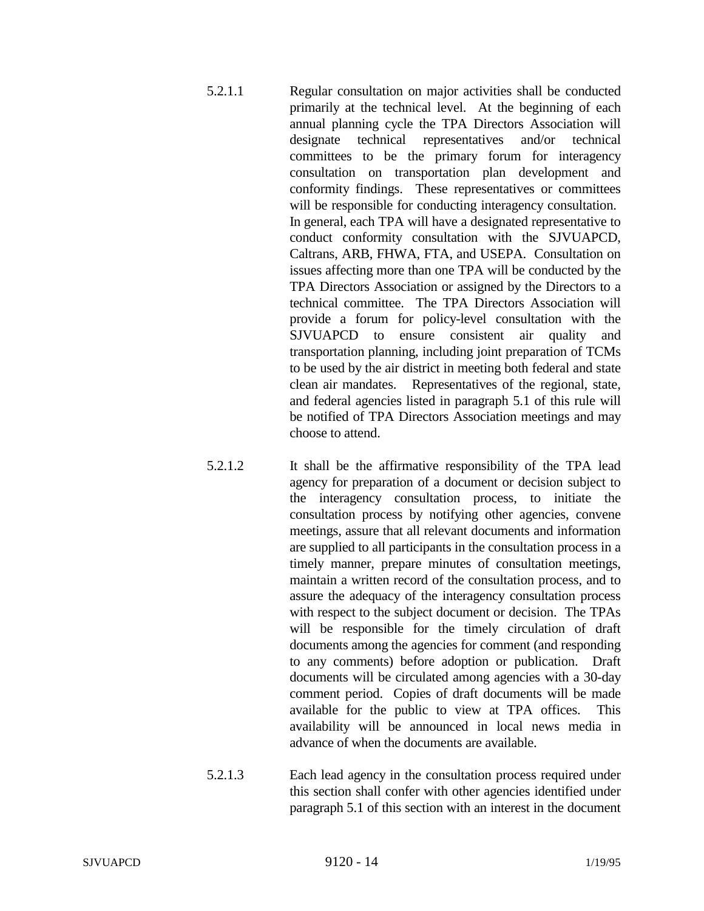- 5.2.1.1 Regular consultation on major activities shall be conducted primarily at the technical level. At the beginning of each annual planning cycle the TPA Directors Association will designate technical representatives and/or technical committees to be the primary forum for interagency consultation on transportation plan development and conformity findings. These representatives or committees will be responsible for conducting interagency consultation. In general, each TPA will have a designated representative to conduct conformity consultation with the SJVUAPCD, Caltrans, ARB, FHWA, FTA, and USEPA. Consultation on issues affecting more than one TPA will be conducted by the TPA Directors Association or assigned by the Directors to a technical committee. The TPA Directors Association will provide a forum for policy-level consultation with the SJVUAPCD to ensure consistent air quality and transportation planning, including joint preparation of TCMs to be used by the air district in meeting both federal and state clean air mandates. Representatives of the regional, state, and federal agencies listed in paragraph 5.1 of this rule will be notified of TPA Directors Association meetings and may choose to attend.
- 5.2.1.2 It shall be the affirmative responsibility of the TPA lead agency for preparation of a document or decision subject to the interagency consultation process, to initiate the consultation process by notifying other agencies, convene meetings, assure that all relevant documents and information are supplied to all participants in the consultation process in a timely manner, prepare minutes of consultation meetings, maintain a written record of the consultation process, and to assure the adequacy of the interagency consultation process with respect to the subject document or decision. The TPAs will be responsible for the timely circulation of draft documents among the agencies for comment (and responding to any comments) before adoption or publication. Draft documents will be circulated among agencies with a 30-day comment period. Copies of draft documents will be made available for the public to view at TPA offices. This availability will be announced in local news media in advance of when the documents are available.
- 5.2.1.3 Each lead agency in the consultation process required under this section shall confer with other agencies identified under paragraph 5.1 of this section with an interest in the document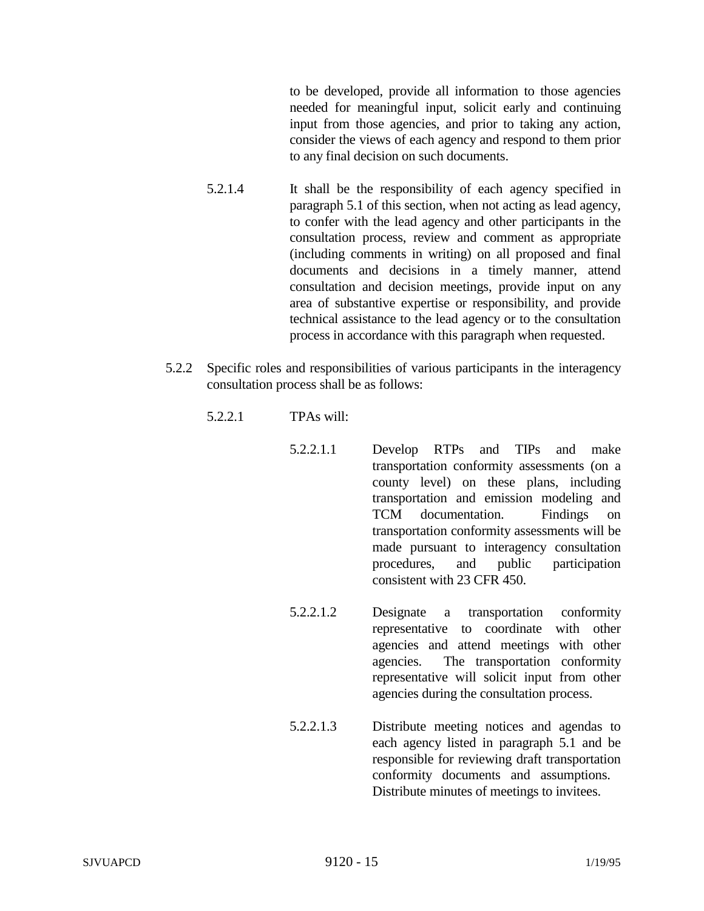to be developed, provide all information to those agencies needed for meaningful input, solicit early and continuing input from those agencies, and prior to taking any action, consider the views of each agency and respond to them prior to any final decision on such documents.

- 5.2.1.4 It shall be the responsibility of each agency specified in paragraph 5.1 of this section, when not acting as lead agency, to confer with the lead agency and other participants in the consultation process, review and comment as appropriate (including comments in writing) on all proposed and final documents and decisions in a timely manner, attend consultation and decision meetings, provide input on any area of substantive expertise or responsibility, and provide technical assistance to the lead agency or to the consultation process in accordance with this paragraph when requested.
- 5.2.2 Specific roles and responsibilities of various participants in the interagency consultation process shall be as follows:
	- 5.2.2.1 TPAs will:
		- 5.2.2.1.1 Develop RTPs and TIPs and make transportation conformity assessments (on a county level) on these plans, including transportation and emission modeling and TCM documentation. Findings on transportation conformity assessments will be made pursuant to interagency consultation procedures, and public participation consistent with 23 CFR 450.
		- 5.2.2.1.2 Designate a transportation conformity representative to coordinate with other agencies and attend meetings with other agencies. The transportation conformity representative will solicit input from other agencies during the consultation process.
		- 5.2.2.1.3 Distribute meeting notices and agendas to each agency listed in paragraph 5.1 and be responsible for reviewing draft transportation conformity documents and assumptions. Distribute minutes of meetings to invitees.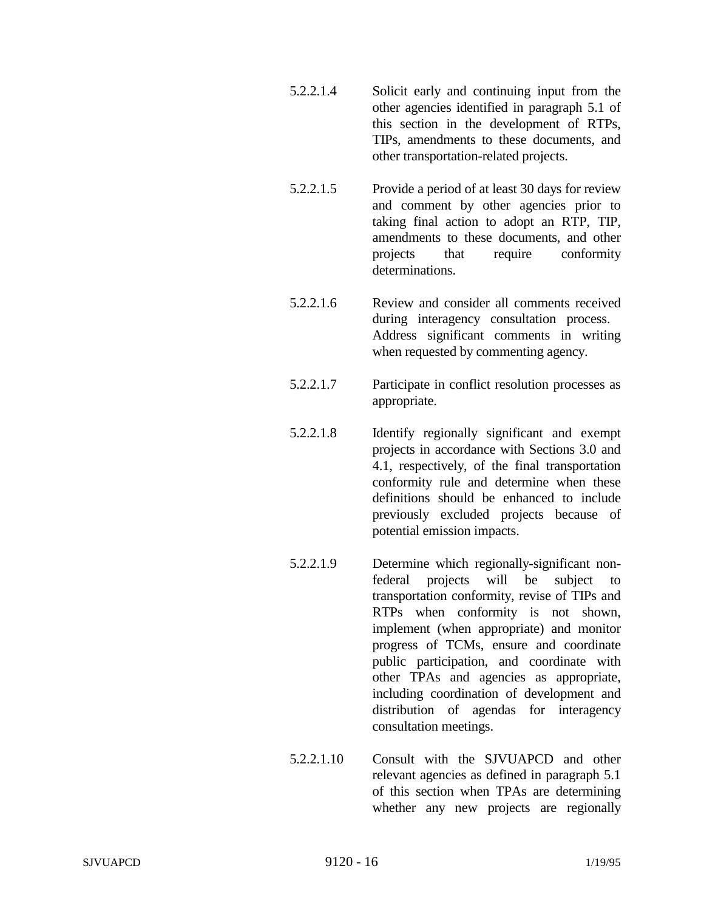- 5.2.2.1.4 Solicit early and continuing input from the other agencies identified in paragraph 5.1 of this section in the development of RTPs, TIPs, amendments to these documents, and other transportation-related projects.
- 5.2.2.1.5 Provide a period of at least 30 days for review and comment by other agencies prior to taking final action to adopt an RTP, TIP, amendments to these documents, and other projects that require conformity determinations.
- 5.2.2.1.6 Review and consider all comments received during interagency consultation process. Address significant comments in writing when requested by commenting agency.
- 5.2.2.1.7 Participate in conflict resolution processes as appropriate.
- 5.2.2.1.8 Identify regionally significant and exempt projects in accordance with Sections 3.0 and 4.1, respectively, of the final transportation conformity rule and determine when these definitions should be enhanced to include previously excluded projects because of potential emission impacts.
- 5.2.2.1.9 Determine which regionally-significant nonfederal projects will be subject to transportation conformity, revise of TIPs and RTPs when conformity is not shown, implement (when appropriate) and monitor progress of TCMs, ensure and coordinate public participation, and coordinate with other TPAs and agencies as appropriate, including coordination of development and distribution of agendas for interagency consultation meetings.
- 5.2.2.1.10 Consult with the SJVUAPCD and other relevant agencies as defined in paragraph 5.1 of this section when TPAs are determining whether any new projects are regionally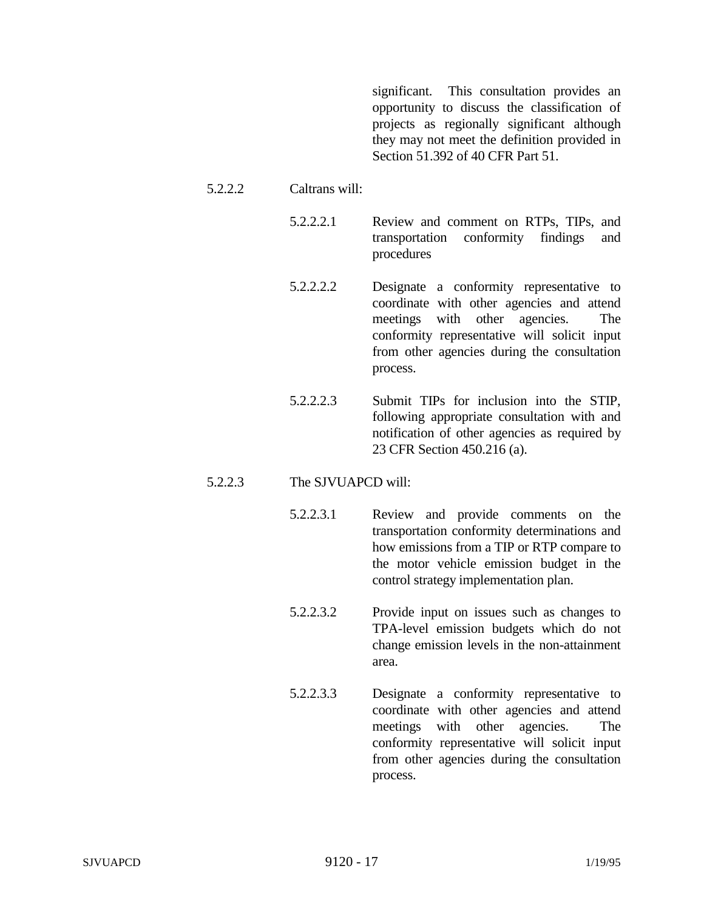significant. This consultation provides an opportunity to discuss the classification of projects as regionally significant although they may not meet the definition provided in Section 51.392 of 40 CFR Part 51.

#### 5.2.2.2 Caltrans will:

5.2.2.2.1 Review and comment on RTPs, TIPs, and transportation conformity findings and procedures

- 5.2.2.2.2 Designate a conformity representative to coordinate with other agencies and attend meetings with other agencies. The conformity representative will solicit input from other agencies during the consultation process.
- 5.2.2.2.3 Submit TIPs for inclusion into the STIP, following appropriate consultation with and notification of other agencies as required by 23 CFR Section 450.216 (a).

## 5.2.2.3 The SJVUAPCD will:

- 5.2.2.3.1 Review and provide comments on the transportation conformity determinations and how emissions from a TIP or RTP compare to the motor vehicle emission budget in the control strategy implementation plan.
- 5.2.2.3.2 Provide input on issues such as changes to TPA-level emission budgets which do not change emission levels in the non-attainment area.
- 5.2.2.3.3 Designate a conformity representative to coordinate with other agencies and attend meetings with other agencies. The conformity representative will solicit input from other agencies during the consultation process.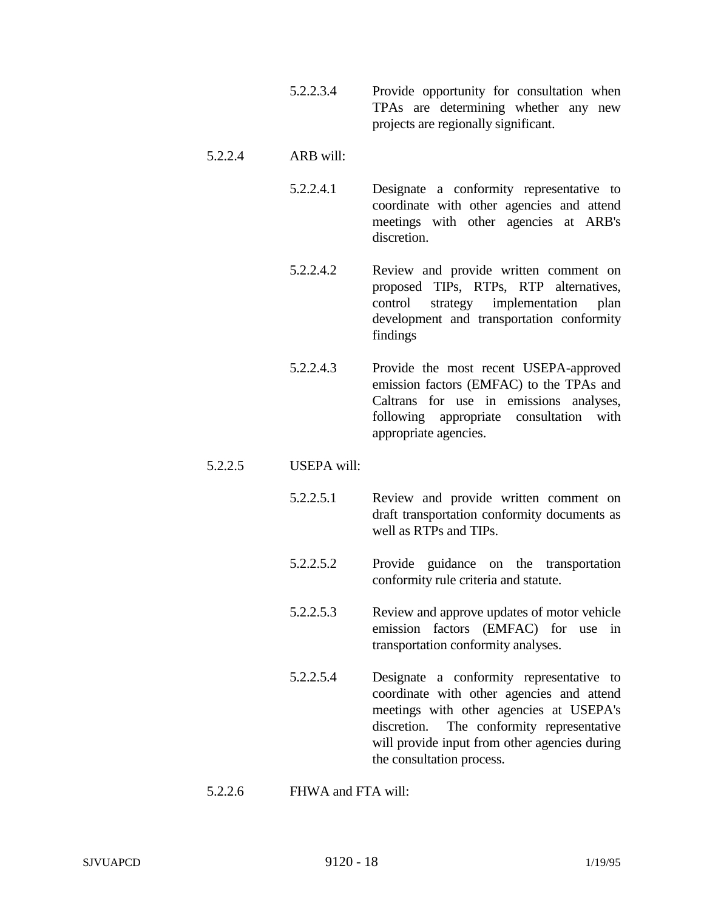5.2.2.3.4 Provide opportunity for consultation when TPAs are determining whether any new projects are regionally significant.

## 5.2.2.4 ARB will:

- 5.2.2.4.1 Designate a conformity representative to coordinate with other agencies and attend meetings with other agencies at ARB's discretion.
- 5.2.2.4.2 Review and provide written comment on proposed TIPs, RTPs, RTP alternatives, control strategy implementation plan development and transportation conformity findings
- 5.2.2.4.3 Provide the most recent USEPA-approved emission factors (EMFAC) to the TPAs and Caltrans for use in emissions analyses, following appropriate consultation with appropriate agencies.

## 5.2.2.5 USEPA will:

- 5.2.2.5.1 Review and provide written comment on draft transportation conformity documents as well as RTPs and TIPs.
- 5.2.2.5.2 Provide guidance on the transportation conformity rule criteria and statute.
- 5.2.2.5.3 Review and approve updates of motor vehicle emission factors (EMFAC) for use in transportation conformity analyses.
- 5.2.2.5.4 Designate a conformity representative to coordinate with other agencies and attend meetings with other agencies at USEPA's discretion. The conformity representative will provide input from other agencies during the consultation process.

## 5.2.2.6 FHWA and FTA will: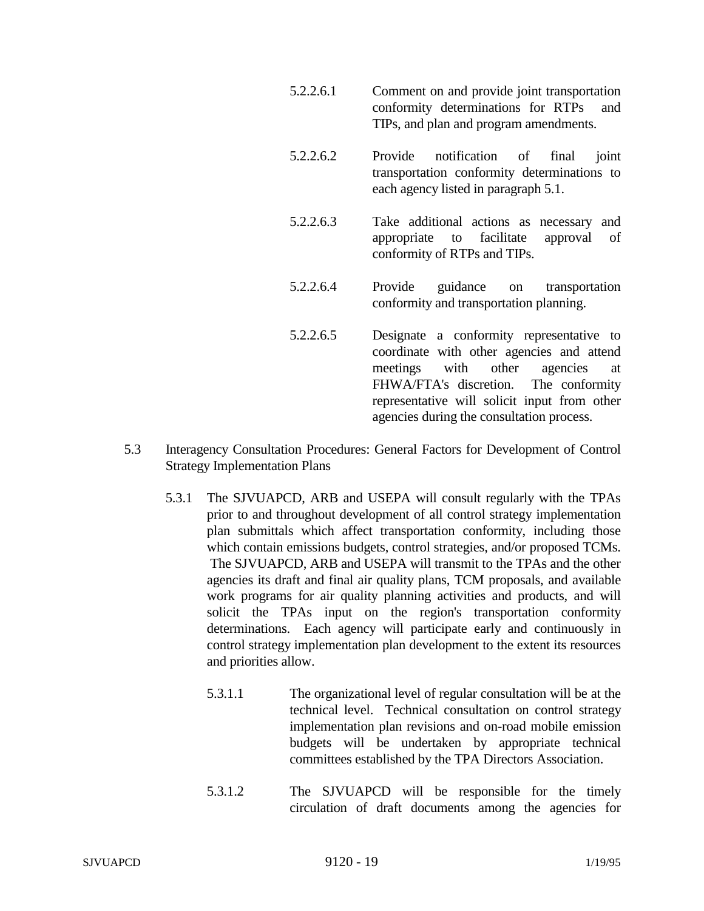- 5.2.2.6.1 Comment on and provide joint transportation conformity determinations for RTPs and TIPs, and plan and program amendments.
- 5.2.2.6.2 Provide notification of final joint transportation conformity determinations to each agency listed in paragraph 5.1.
- 5.2.2.6.3 Take additional actions as necessary and appropriate to facilitate approval of conformity of RTPs and TIPs.
- 5.2.2.6.4 Provide guidance on transportation conformity and transportation planning.
- 5.2.2.6.5 Designate a conformity representative to coordinate with other agencies and attend meetings with other agencies at FHWA/FTA's discretion. The conformity representative will solicit input from other agencies during the consultation process.
- 5.3 Interagency Consultation Procedures: General Factors for Development of Control Strategy Implementation Plans
	- 5.3.1 The SJVUAPCD, ARB and USEPA will consult regularly with the TPAs prior to and throughout development of all control strategy implementation plan submittals which affect transportation conformity, including those which contain emissions budgets, control strategies, and/or proposed TCMs. The SJVUAPCD, ARB and USEPA will transmit to the TPAs and the other agencies its draft and final air quality plans, TCM proposals, and available work programs for air quality planning activities and products, and will solicit the TPAs input on the region's transportation conformity determinations. Each agency will participate early and continuously in control strategy implementation plan development to the extent its resources and priorities allow.
		- 5.3.1.1 The organizational level of regular consultation will be at the technical level. Technical consultation on control strategy implementation plan revisions and on-road mobile emission budgets will be undertaken by appropriate technical committees established by the TPA Directors Association.
		- 5.3.1.2 The SJVUAPCD will be responsible for the timely circulation of draft documents among the agencies for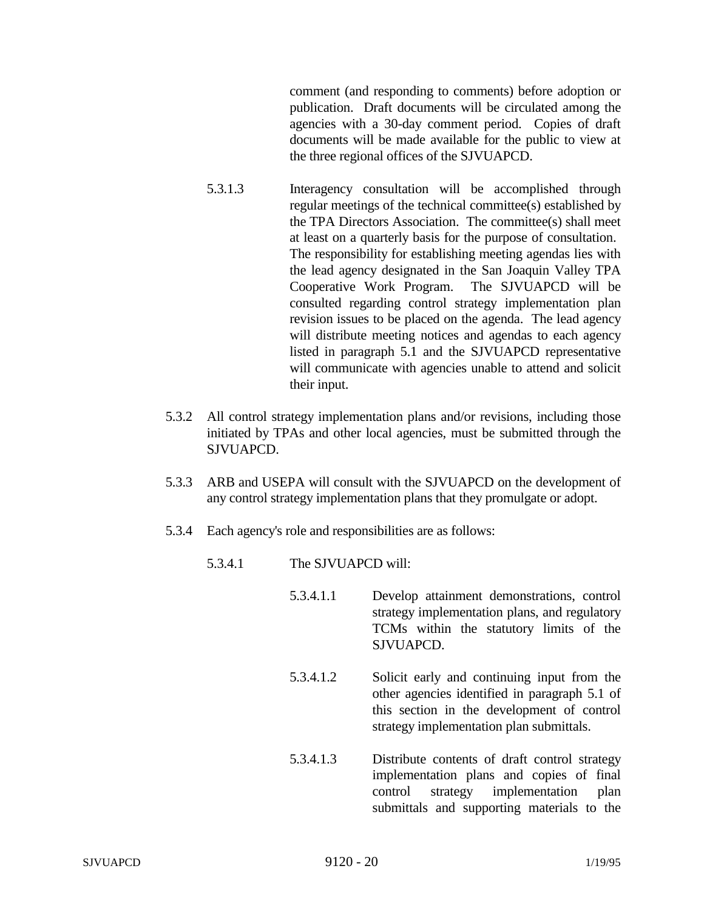comment (and responding to comments) before adoption or publication. Draft documents will be circulated among the agencies with a 30-day comment period. Copies of draft documents will be made available for the public to view at the three regional offices of the SJVUAPCD.

- 5.3.1.3 Interagency consultation will be accomplished through regular meetings of the technical committee(s) established by the TPA Directors Association. The committee(s) shall meet at least on a quarterly basis for the purpose of consultation. The responsibility for establishing meeting agendas lies with the lead agency designated in the San Joaquin Valley TPA Cooperative Work Program. The SJVUAPCD will be consulted regarding control strategy implementation plan revision issues to be placed on the agenda. The lead agency will distribute meeting notices and agendas to each agency listed in paragraph 5.1 and the SJVUAPCD representative will communicate with agencies unable to attend and solicit their input.
- 5.3.2 All control strategy implementation plans and/or revisions, including those initiated by TPAs and other local agencies, must be submitted through the SJVUAPCD.
- 5.3.3 ARB and USEPA will consult with the SJVUAPCD on the development of any control strategy implementation plans that they promulgate or adopt.
- 5.3.4 Each agency's role and responsibilities are as follows:
	- 5.3.4.1 The SJVUAPCD will:
		- 5.3.4.1.1 Develop attainment demonstrations, control strategy implementation plans, and regulatory TCMs within the statutory limits of the SJVUAPCD.
		- 5.3.4.1.2 Solicit early and continuing input from the other agencies identified in paragraph 5.1 of this section in the development of control strategy implementation plan submittals.
		- 5.3.4.1.3 Distribute contents of draft control strategy implementation plans and copies of final control strategy implementation plan submittals and supporting materials to the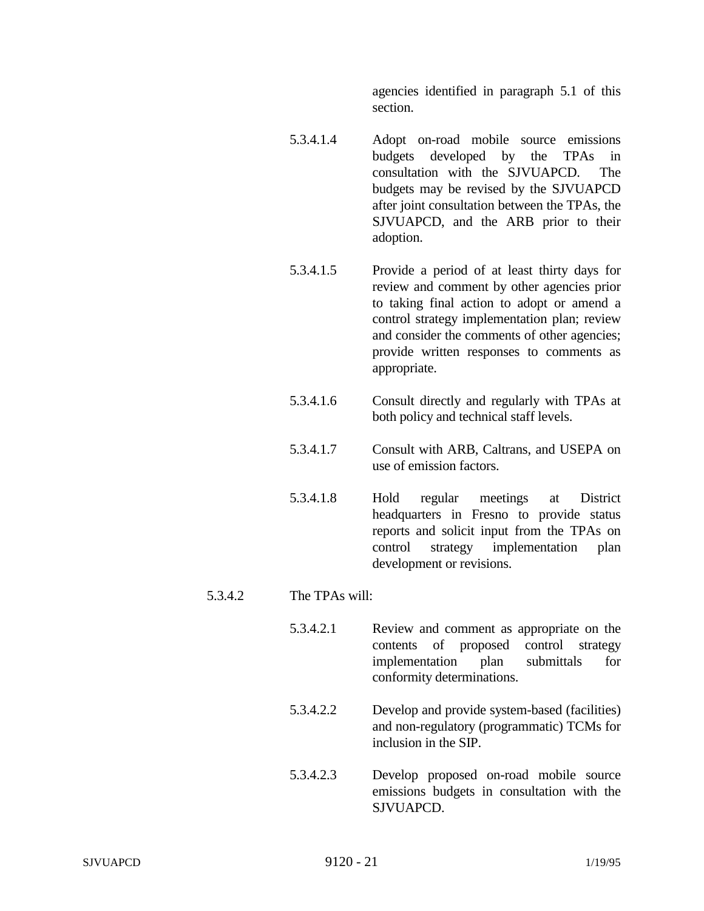agencies identified in paragraph 5.1 of this section.

- 5.3.4.1.4 Adopt on-road mobile source emissions budgets developed by the TPAs in consultation with the SJVUAPCD. The budgets may be revised by the SJVUAPCD after joint consultation between the TPAs, the SJVUAPCD, and the ARB prior to their adoption.
- 5.3.4.1.5 Provide a period of at least thirty days for review and comment by other agencies prior to taking final action to adopt or amend a control strategy implementation plan; review and consider the comments of other agencies; provide written responses to comments as appropriate.
- 5.3.4.1.6 Consult directly and regularly with TPAs at both policy and technical staff levels.
- 5.3.4.1.7 Consult with ARB, Caltrans, and USEPA on use of emission factors.
- 5.3.4.1.8 Hold regular meetings at District headquarters in Fresno to provide status reports and solicit input from the TPAs on control strategy implementation plan development or revisions.

## 5.3.4.2 The TPAs will:

- 5.3.4.2.1 Review and comment as appropriate on the contents of proposed control strategy implementation plan submittals for conformity determinations.
- 5.3.4.2.2 Develop and provide system-based (facilities) and non-regulatory (programmatic) TCMs for inclusion in the SIP.
- 5.3.4.2.3 Develop proposed on-road mobile source emissions budgets in consultation with the SJVUAPCD.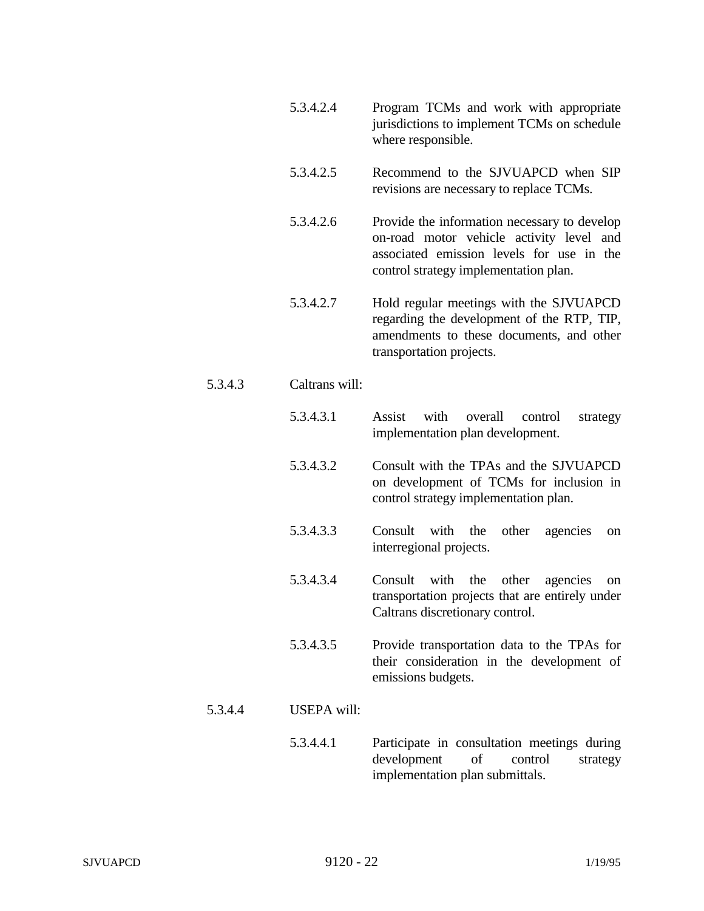- 5.3.4.2.4 Program TCMs and work with appropriate jurisdictions to implement TCMs on schedule where responsible.
- 5.3.4.2.5 Recommend to the SJVUAPCD when SIP revisions are necessary to replace TCMs.
- 5.3.4.2.6 Provide the information necessary to develop on-road motor vehicle activity level and associated emission levels for use in the control strategy implementation plan.
- 5.3.4.2.7 Hold regular meetings with the SJVUAPCD regarding the development of the RTP, TIP, amendments to these documents, and other transportation projects.

## 5.3.4.3 Caltrans will:

- 5.3.4.3.1 Assist with overall control strategy implementation plan development.
- 5.3.4.3.2 Consult with the TPAs and the SJVUAPCD on development of TCMs for inclusion in control strategy implementation plan.
- 5.3.4.3.3 Consult with the other agencies on interregional projects.
- 5.3.4.3.4 Consult with the other agencies on transportation projects that are entirely under Caltrans discretionary control.
- 5.3.4.3.5 Provide transportation data to the TPAs for their consideration in the development of emissions budgets.
- 5.3.4.4 USEPA will:
	- 5.3.4.4.1 Participate in consultation meetings during development of control strategy implementation plan submittals.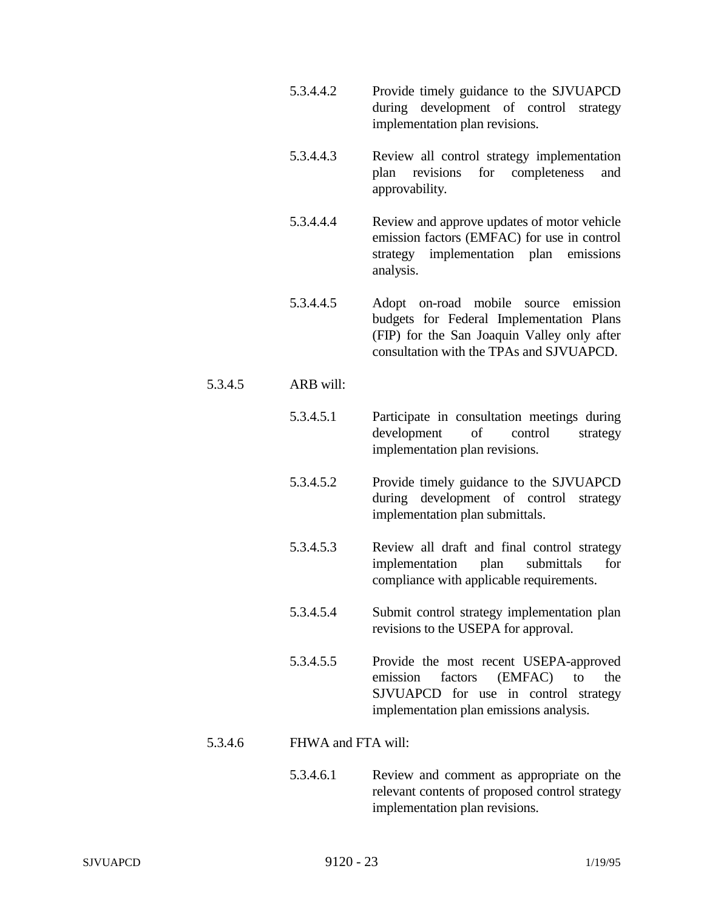- 5.3.4.4.2 Provide timely guidance to the SJVUAPCD during development of control strategy implementation plan revisions.
- 5.3.4.4.3 Review all control strategy implementation plan revisions for completeness and approvability.
- 5.3.4.4.4 Review and approve updates of motor vehicle emission factors (EMFAC) for use in control strategy implementation plan emissions analysis.
- 5.3.4.4.5 Adopt on-road mobile source emission budgets for Federal Implementation Plans (FIP) for the San Joaquin Valley only after consultation with the TPAs and SJVUAPCD.
- 5.3.4.5 ARB will:
	- 5.3.4.5.1 Participate in consultation meetings during development of control strategy implementation plan revisions.
	- 5.3.4.5.2 Provide timely guidance to the SJVUAPCD during development of control strategy implementation plan submittals.
	- 5.3.4.5.3 Review all draft and final control strategy implementation plan submittals for compliance with applicable requirements.
	- 5.3.4.5.4 Submit control strategy implementation plan revisions to the USEPA for approval.
	- 5.3.4.5.5 Provide the most recent USEPA-approved emission factors (EMFAC) to the SJVUAPCD for use in control strategy implementation plan emissions analysis.

## 5.3.4.6 FHWA and FTA will:

5.3.4.6.1 Review and comment as appropriate on the relevant contents of proposed control strategy implementation plan revisions.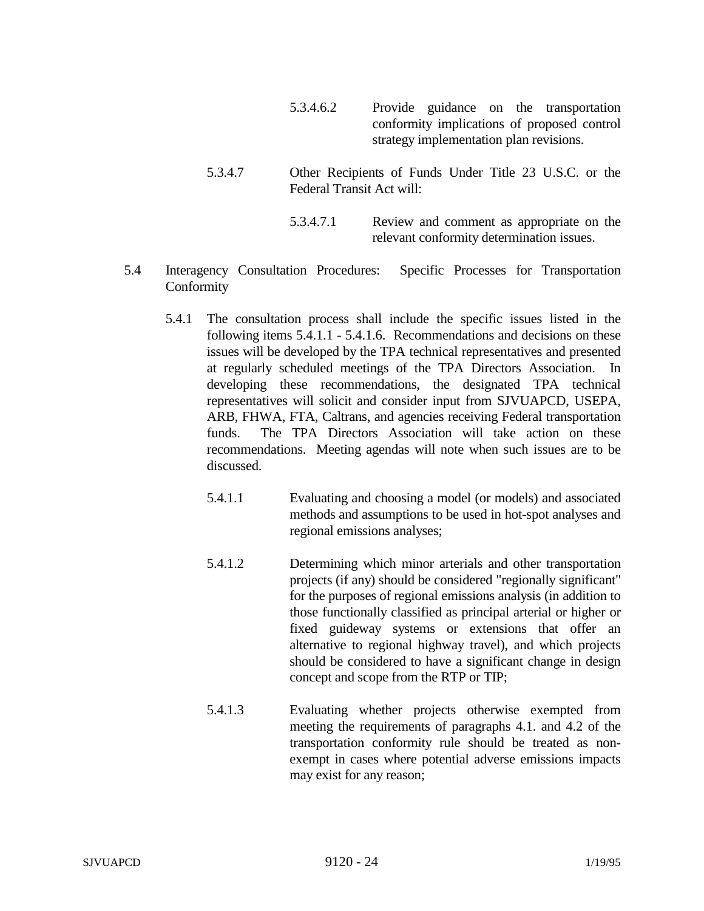- 5.3.4.6.2 Provide guidance on the transportation conformity implications of proposed control strategy implementation plan revisions.
- 5.3.4.7 Other Recipients of Funds Under Title 23 U.S.C. or the Federal Transit Act will:
	- 5.3.4.7.1 Review and comment as appropriate on the relevant conformity determination issues.
- 5.4 Interagency Consultation Procedures: Specific Processes for Transportation Conformity
	- 5.4.1 The consultation process shall include the specific issues listed in the following items 5.4.1.1 - 5.4.1.6. Recommendations and decisions on these issues will be developed by the TPA technical representatives and presented at regularly scheduled meetings of the TPA Directors Association. In developing these recommendations, the designated TPA technical representatives will solicit and consider input from SJVUAPCD, USEPA, ARB, FHWA, FTA, Caltrans, and agencies receiving Federal transportation funds. The TPA Directors Association will take action on these recommendations. Meeting agendas will note when such issues are to be discussed.
		- 5.4.1.1 Evaluating and choosing a model (or models) and associated methods and assumptions to be used in hot-spot analyses and regional emissions analyses;
		- 5.4.1.2 Determining which minor arterials and other transportation projects (if any) should be considered "regionally significant" for the purposes of regional emissions analysis (in addition to those functionally classified as principal arterial or higher or fixed guideway systems or extensions that offer an alternative to regional highway travel), and which projects should be considered to have a significant change in design concept and scope from the RTP or TIP;
		- 5.4.1.3 Evaluating whether projects otherwise exempted from meeting the requirements of paragraphs 4.1. and 4.2 of the transportation conformity rule should be treated as nonexempt in cases where potential adverse emissions impacts may exist for any reason;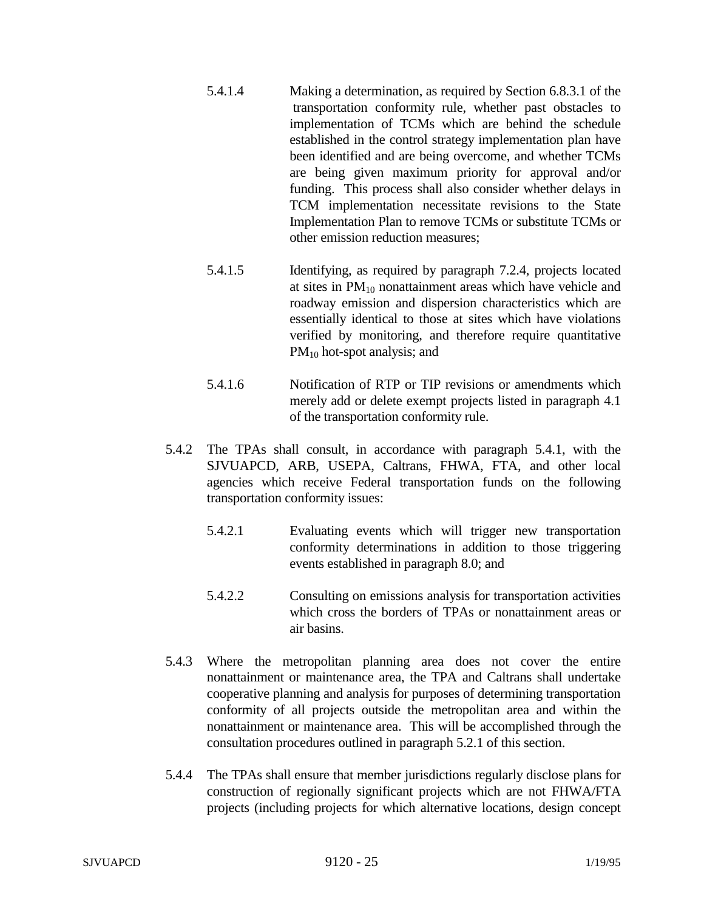- 5.4.1.4 Making a determination, as required by Section 6.8.3.1 of the transportation conformity rule, whether past obstacles to implementation of TCMs which are behind the schedule established in the control strategy implementation plan have been identified and are being overcome, and whether TCMs are being given maximum priority for approval and/or funding. This process shall also consider whether delays in TCM implementation necessitate revisions to the State Implementation Plan to remove TCMs or substitute TCMs or other emission reduction measures;
- 5.4.1.5 Identifying, as required by paragraph 7.2.4, projects located at sites in  $PM_{10}$  nonattainment areas which have vehicle and roadway emission and dispersion characteristics which are essentially identical to those at sites which have violations verified by monitoring, and therefore require quantitative PM<sub>10</sub> hot-spot analysis; and
- 5.4.1.6 Notification of RTP or TIP revisions or amendments which merely add or delete exempt projects listed in paragraph 4.1 of the transportation conformity rule.
- 5.4.2 The TPAs shall consult, in accordance with paragraph 5.4.1, with the SJVUAPCD, ARB, USEPA, Caltrans, FHWA, FTA, and other local agencies which receive Federal transportation funds on the following transportation conformity issues:
	- 5.4.2.1 Evaluating events which will trigger new transportation conformity determinations in addition to those triggering events established in paragraph 8.0; and
	- 5.4.2.2 Consulting on emissions analysis for transportation activities which cross the borders of TPAs or nonattainment areas or air basins.
- 5.4.3 Where the metropolitan planning area does not cover the entire nonattainment or maintenance area, the TPA and Caltrans shall undertake cooperative planning and analysis for purposes of determining transportation conformity of all projects outside the metropolitan area and within the nonattainment or maintenance area. This will be accomplished through the consultation procedures outlined in paragraph 5.2.1 of this section.
- 5.4.4 The TPAs shall ensure that member jurisdictions regularly disclose plans for construction of regionally significant projects which are not FHWA/FTA projects (including projects for which alternative locations, design concept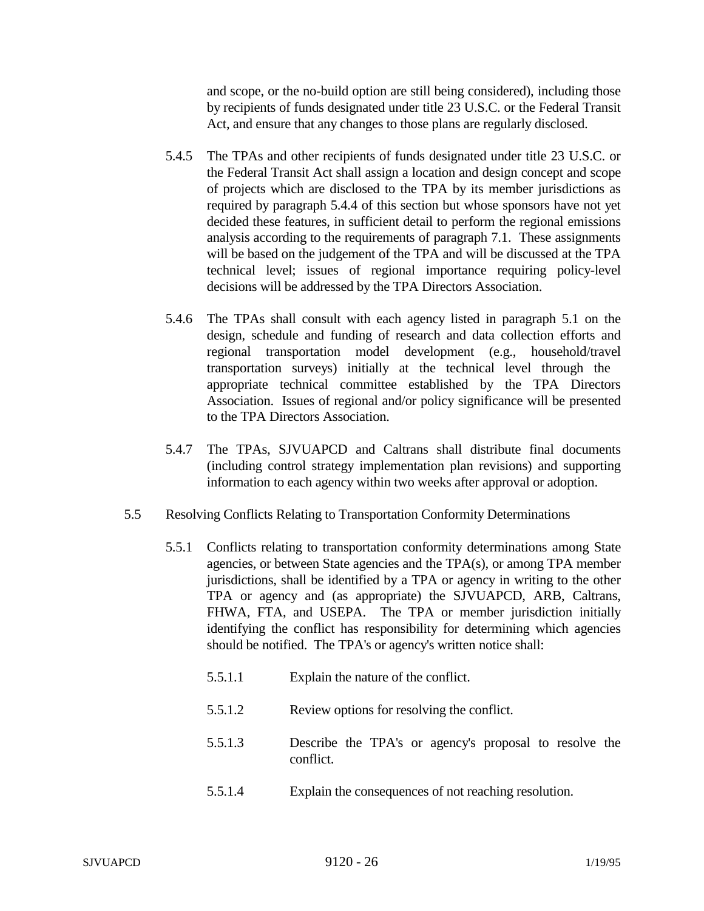and scope, or the no-build option are still being considered), including those by recipients of funds designated under title 23 U.S.C. or the Federal Transit Act, and ensure that any changes to those plans are regularly disclosed.

- 5.4.5 The TPAs and other recipients of funds designated under title 23 U.S.C. or the Federal Transit Act shall assign a location and design concept and scope of projects which are disclosed to the TPA by its member jurisdictions as required by paragraph 5.4.4 of this section but whose sponsors have not yet decided these features, in sufficient detail to perform the regional emissions analysis according to the requirements of paragraph 7.1. These assignments will be based on the judgement of the TPA and will be discussed at the TPA technical level; issues of regional importance requiring policy-level decisions will be addressed by the TPA Directors Association.
- 5.4.6 The TPAs shall consult with each agency listed in paragraph 5.1 on the design, schedule and funding of research and data collection efforts and regional transportation model development (e.g., household/travel transportation surveys) initially at the technical level through the appropriate technical committee established by the TPA Directors Association. Issues of regional and/or policy significance will be presented to the TPA Directors Association.
- 5.4.7 The TPAs, SJVUAPCD and Caltrans shall distribute final documents (including control strategy implementation plan revisions) and supporting information to each agency within two weeks after approval or adoption.
- 5.5 Resolving Conflicts Relating to Transportation Conformity Determinations
	- 5.5.1 Conflicts relating to transportation conformity determinations among State agencies, or between State agencies and the TPA(s), or among TPA member jurisdictions, shall be identified by a TPA or agency in writing to the other TPA or agency and (as appropriate) the SJVUAPCD, ARB, Caltrans, FHWA, FTA, and USEPA. The TPA or member jurisdiction initially identifying the conflict has responsibility for determining which agencies should be notified. The TPA's or agency's written notice shall:
		- 5.5.1.1 Explain the nature of the conflict.
		- 5.5.1.2 Review options for resolving the conflict.
		- 5.5.1.3 Describe the TPA's or agency's proposal to resolve the conflict.
		- 5.5.1.4 Explain the consequences of not reaching resolution.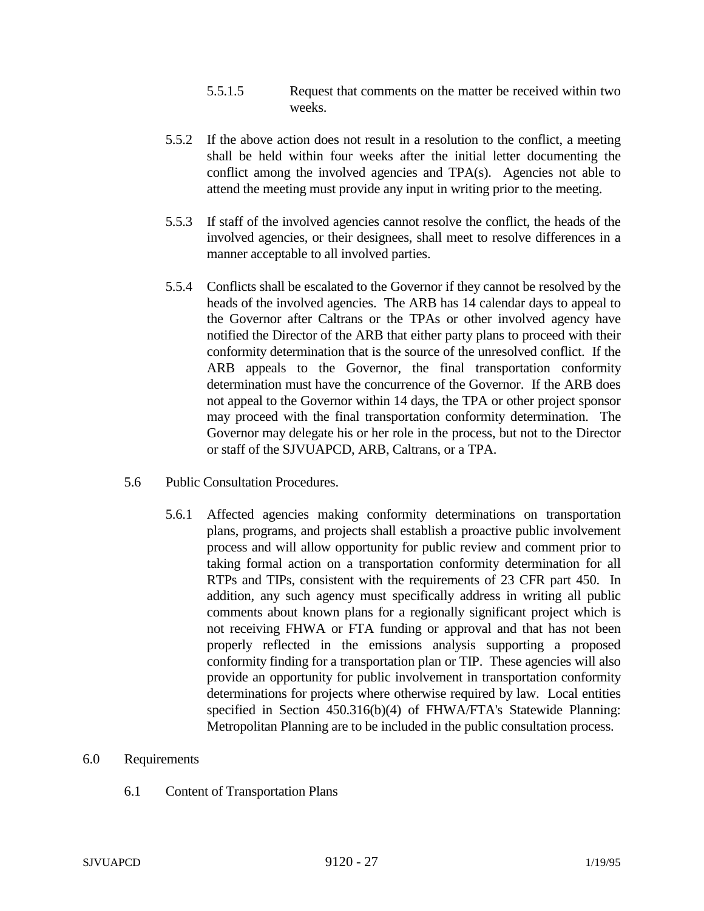- 5.5.1.5 Request that comments on the matter be received within two weeks.
- 5.5.2 If the above action does not result in a resolution to the conflict, a meeting shall be held within four weeks after the initial letter documenting the conflict among the involved agencies and TPA(s). Agencies not able to attend the meeting must provide any input in writing prior to the meeting.
- 5.5.3 If staff of the involved agencies cannot resolve the conflict, the heads of the involved agencies, or their designees, shall meet to resolve differences in a manner acceptable to all involved parties.
- 5.5.4 Conflicts shall be escalated to the Governor if they cannot be resolved by the heads of the involved agencies. The ARB has 14 calendar days to appeal to the Governor after Caltrans or the TPAs or other involved agency have notified the Director of the ARB that either party plans to proceed with their conformity determination that is the source of the unresolved conflict. If the ARB appeals to the Governor, the final transportation conformity determination must have the concurrence of the Governor. If the ARB does not appeal to the Governor within 14 days, the TPA or other project sponsor may proceed with the final transportation conformity determination. The Governor may delegate his or her role in the process, but not to the Director or staff of the SJVUAPCD, ARB, Caltrans, or a TPA.
- 5.6 Public Consultation Procedures.
	- 5.6.1 Affected agencies making conformity determinations on transportation plans, programs, and projects shall establish a proactive public involvement process and will allow opportunity for public review and comment prior to taking formal action on a transportation conformity determination for all RTPs and TIPs, consistent with the requirements of 23 CFR part 450. In addition, any such agency must specifically address in writing all public comments about known plans for a regionally significant project which is not receiving FHWA or FTA funding or approval and that has not been properly reflected in the emissions analysis supporting a proposed conformity finding for a transportation plan or TIP. These agencies will also provide an opportunity for public involvement in transportation conformity determinations for projects where otherwise required by law. Local entities specified in Section 450.316(b)(4) of FHWA/FTA's Statewide Planning: Metropolitan Planning are to be included in the public consultation process.

#### 6.0 Requirements

6.1 Content of Transportation Plans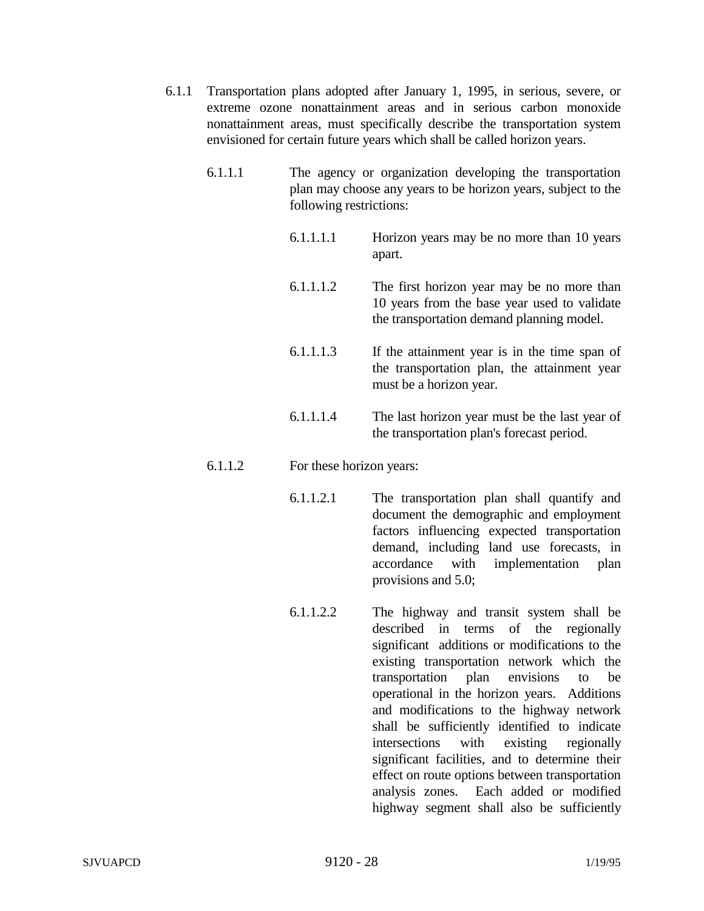- 6.1.1 Transportation plans adopted after January 1, 1995, in serious, severe, or extreme ozone nonattainment areas and in serious carbon monoxide nonattainment areas, must specifically describe the transportation system envisioned for certain future years which shall be called horizon years.
	- 6.1.1.1 The agency or organization developing the transportation plan may choose any years to be horizon years, subject to the following restrictions:
		- 6.1.1.1.1 Horizon years may be no more than 10 years apart.
		- 6.1.1.1.2 The first horizon year may be no more than 10 years from the base year used to validate the transportation demand planning model.
		- 6.1.1.1.3 If the attainment year is in the time span of the transportation plan, the attainment year must be a horizon year.
		- 6.1.1.1.4 The last horizon year must be the last year of the transportation plan's forecast period.

## 6.1.1.2 For these horizon years:

- 6.1.1.2.1 The transportation plan shall quantify and document the demographic and employment factors influencing expected transportation demand, including land use forecasts, in accordance with implementation plan provisions and 5.0;
- 6.1.1.2.2 The highway and transit system shall be described in terms of the regionally significant additions or modifications to the existing transportation network which the transportation plan envisions to be operational in the horizon years. Additions and modifications to the highway network shall be sufficiently identified to indicate intersections with existing regionally significant facilities, and to determine their effect on route options between transportation analysis zones. Each added or modified highway segment shall also be sufficiently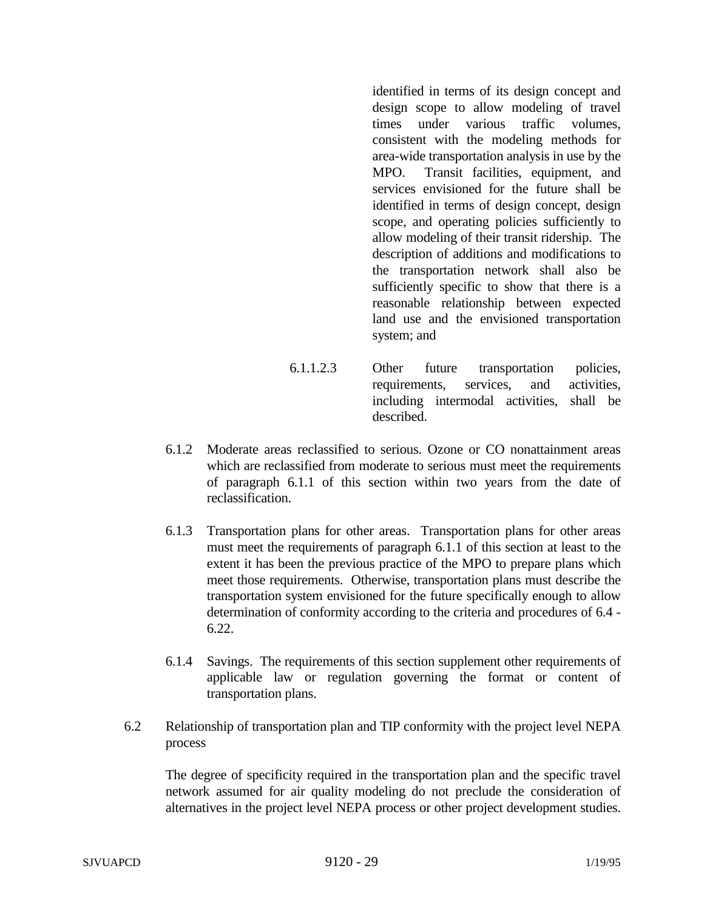identified in terms of its design concept and design scope to allow modeling of travel times under various traffic volumes, consistent with the modeling methods for area-wide transportation analysis in use by the MPO. Transit facilities, equipment, and services envisioned for the future shall be identified in terms of design concept, design scope, and operating policies sufficiently to allow modeling of their transit ridership. The description of additions and modifications to the transportation network shall also be sufficiently specific to show that there is a reasonable relationship between expected land use and the envisioned transportation system; and

- 6.1.1.2.3 Other future transportation policies, requirements, services, and activities, including intermodal activities, shall be described.
- 6.1.2 Moderate areas reclassified to serious. Ozone or CO nonattainment areas which are reclassified from moderate to serious must meet the requirements of paragraph 6.1.1 of this section within two years from the date of reclassification.
- 6.1.3 Transportation plans for other areas. Transportation plans for other areas must meet the requirements of paragraph 6.1.1 of this section at least to the extent it has been the previous practice of the MPO to prepare plans which meet those requirements. Otherwise, transportation plans must describe the transportation system envisioned for the future specifically enough to allow determination of conformity according to the criteria and procedures of 6.4 - 6.22.
- 6.1.4 Savings. The requirements of this section supplement other requirements of applicable law or regulation governing the format or content of transportation plans.
- 6.2 Relationship of transportation plan and TIP conformity with the project level NEPA process

The degree of specificity required in the transportation plan and the specific travel network assumed for air quality modeling do not preclude the consideration of alternatives in the project level NEPA process or other project development studies.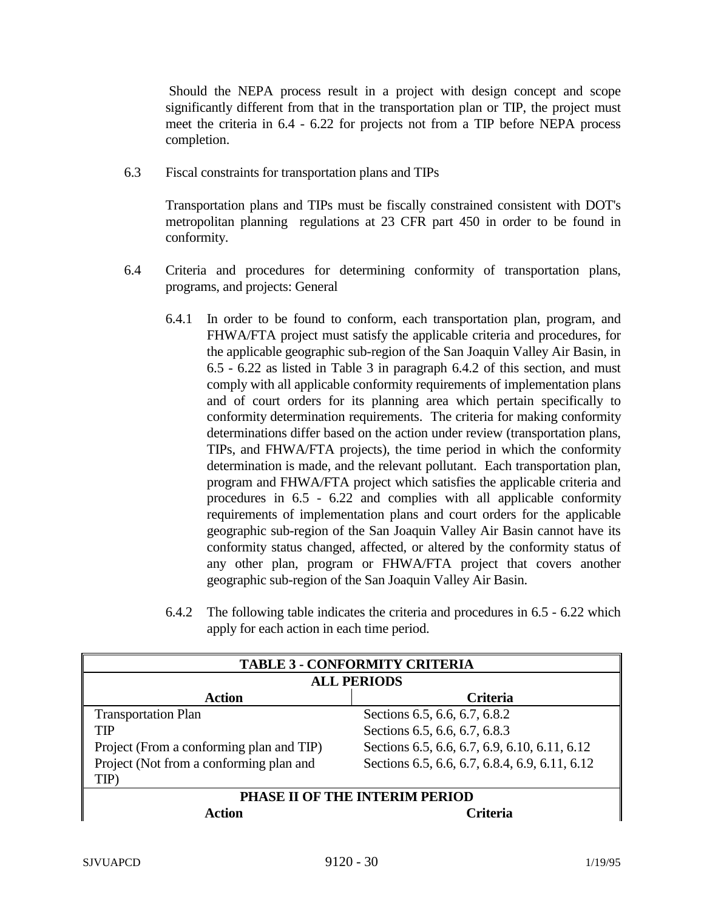Should the NEPA process result in a project with design concept and scope significantly different from that in the transportation plan or TIP, the project must meet the criteria in 6.4 - 6.22 for projects not from a TIP before NEPA process completion.

6.3 Fiscal constraints for transportation plans and TIPs

Transportation plans and TIPs must be fiscally constrained consistent with DOT's metropolitan planning regulations at 23 CFR part 450 in order to be found in conformity.

- 6.4 Criteria and procedures for determining conformity of transportation plans, programs, and projects: General
	- 6.4.1 In order to be found to conform, each transportation plan, program, and FHWA/FTA project must satisfy the applicable criteria and procedures, for the applicable geographic sub-region of the San Joaquin Valley Air Basin, in 6.5 - 6.22 as listed in Table 3 in paragraph 6.4.2 of this section, and must comply with all applicable conformity requirements of implementation plans and of court orders for its planning area which pertain specifically to conformity determination requirements. The criteria for making conformity determinations differ based on the action under review (transportation plans, TIPs, and FHWA/FTA projects), the time period in which the conformity determination is made, and the relevant pollutant. Each transportation plan, program and FHWA/FTA project which satisfies the applicable criteria and procedures in 6.5 - 6.22 and complies with all applicable conformity requirements of implementation plans and court orders for the applicable geographic sub-region of the San Joaquin Valley Air Basin cannot have its conformity status changed, affected, or altered by the conformity status of any other plan, program or FHWA/FTA project that covers another geographic sub-region of the San Joaquin Valley Air Basin.
	- 6.4.2 The following table indicates the criteria and procedures in 6.5 6.22 which apply for each action in each time period.

| <b>TABLE 3 - CONFORMITY CRITERIA</b>     |                                                |  |
|------------------------------------------|------------------------------------------------|--|
| <b>ALL PERIODS</b>                       |                                                |  |
| <b>Action</b>                            | <b>Criteria</b>                                |  |
| <b>Transportation Plan</b>               | Sections 6.5, 6.6, 6.7, 6.8.2                  |  |
| TIP                                      | Sections 6.5, 6.6, 6.7, 6.8.3                  |  |
| Project (From a conforming plan and TIP) | Sections 6.5, 6.6, 6.7, 6.9, 6.10, 6.11, 6.12  |  |
| Project (Not from a conforming plan and  | Sections 6.5, 6.6, 6.7, 6.8.4, 6.9, 6.11, 6.12 |  |
| TIP)                                     |                                                |  |
| PHASE II OF THE INTERIM PERIOD           |                                                |  |
| $\cdot$ ction                            | <b>Triteria</b>                                |  |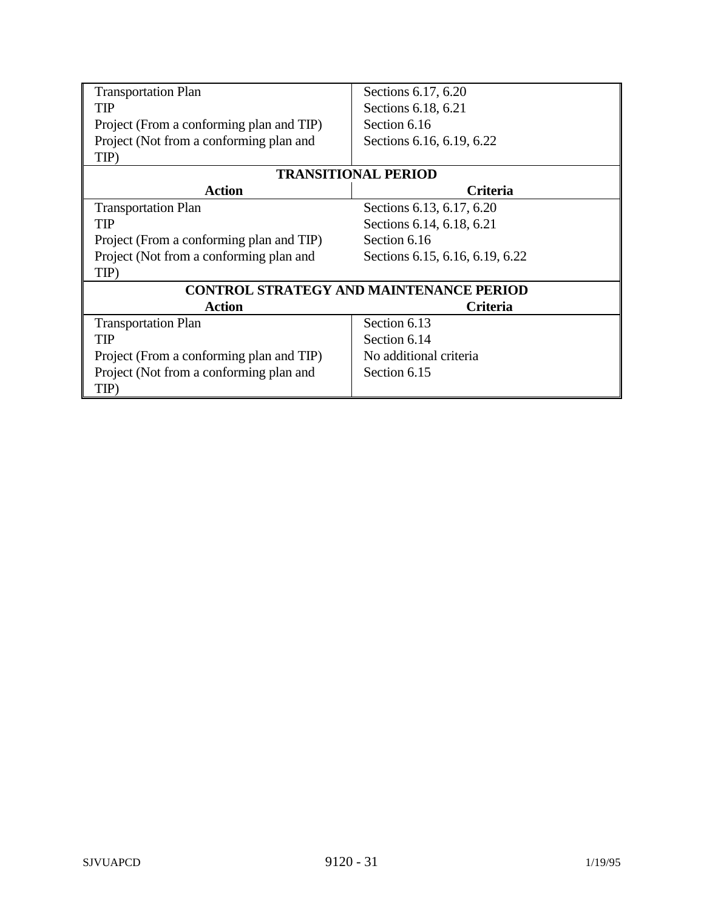| <b>Transportation Plan</b>                     | Sections 6.17, 6.20             |
|------------------------------------------------|---------------------------------|
| TIP                                            | Sections 6.18, 6.21             |
| Project (From a conforming plan and TIP)       | Section 6.16                    |
| Project (Not from a conforming plan and        | Sections 6.16, 6.19, 6.22       |
| TIP)                                           |                                 |
| <b>TRANSITIONAL PERIOD</b>                     |                                 |
| <b>Action</b>                                  | <b>Criteria</b>                 |
| <b>Transportation Plan</b>                     | Sections 6.13, 6.17, 6.20       |
| TIP                                            | Sections 6.14, 6.18, 6.21       |
| Project (From a conforming plan and TIP)       | Section 6.16                    |
| Project (Not from a conforming plan and        | Sections 6.15, 6.16, 6.19, 6.22 |
| TIP)                                           |                                 |
| <b>CONTROL STRATEGY AND MAINTENANCE PERIOD</b> |                                 |
| <b>Action</b>                                  | <b>Criteria</b>                 |
| <b>Transportation Plan</b>                     | Section 6.13                    |
| TIP                                            | Section 6.14                    |
| Project (From a conforming plan and TIP)       | No additional criteria          |
| Project (Not from a conforming plan and        | Section 6.15                    |
| TIP)                                           |                                 |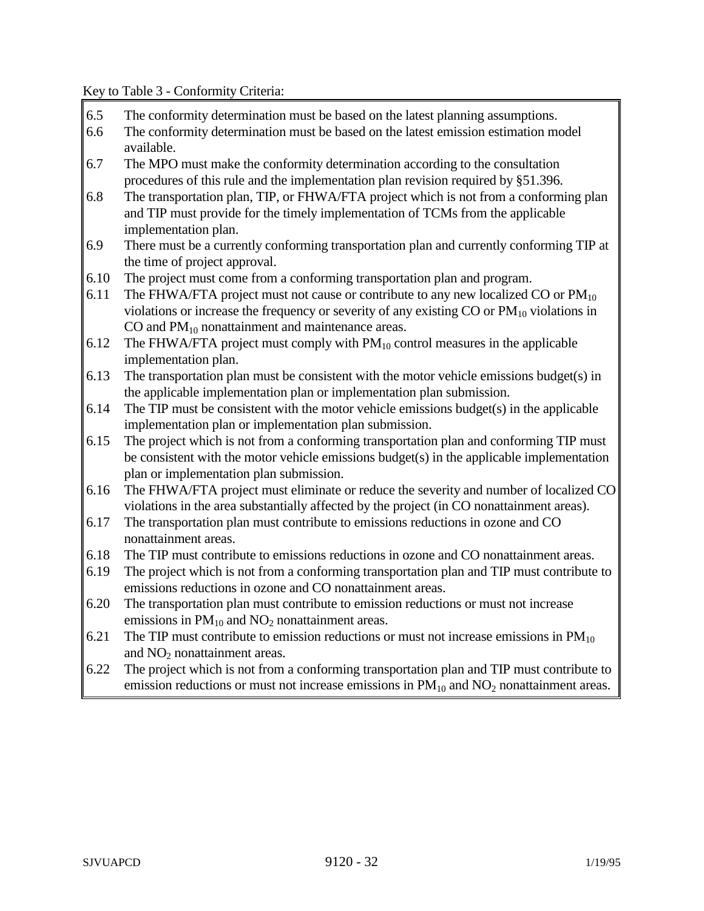Key to Table 3 - Conformity Criteria:

- 6.5 The conformity determination must be based on the latest planning assumptions.
- 6.6 The conformity determination must be based on the latest emission estimation model available.
- 6.7 The MPO must make the conformity determination according to the consultation procedures of this rule and the implementation plan revision required by §51.396.
- 6.8 The transportation plan, TIP, or FHWA/FTA project which is not from a conforming plan and TIP must provide for the timely implementation of TCMs from the applicable implementation plan.
- 6.9 There must be a currently conforming transportation plan and currently conforming TIP at the time of project approval.
- 6.10 The project must come from a conforming transportation plan and program.
- 6.11 The FHWA/FTA project must not cause or contribute to any new localized CO or  $PM_{10}$ violations or increase the frequency or severity of any existing  $CO$  or  $PM_{10}$  violations in CO and  $PM_{10}$  nonattainment and maintenance areas.
- 6.12 The FHWA/FTA project must comply with  $PM_{10}$  control measures in the applicable implementation plan.
- 6.13 The transportation plan must be consistent with the motor vehicle emissions budget(s) in the applicable implementation plan or implementation plan submission.
- 6.14 The TIP must be consistent with the motor vehicle emissions budget(s) in the applicable implementation plan or implementation plan submission.
- 6.15 The project which is not from a conforming transportation plan and conforming TIP must be consistent with the motor vehicle emissions budget(s) in the applicable implementation plan or implementation plan submission.
- 6.16 The FHWA/FTA project must eliminate or reduce the severity and number of localized CO violations in the area substantially affected by the project (in CO nonattainment areas).
- 6.17 The transportation plan must contribute to emissions reductions in ozone and CO nonattainment areas.
- 6.18 The TIP must contribute to emissions reductions in ozone and CO nonattainment areas.
- 6.19 The project which is not from a conforming transportation plan and TIP must contribute to emissions reductions in ozone and CO nonattainment areas.
- 6.20 The transportation plan must contribute to emission reductions or must not increase emissions in  $PM_{10}$  and  $NO_2$  nonattainment areas.
- 6.21 The TIP must contribute to emission reductions or must not increase emissions in  $PM_{10}$ and  $NO<sub>2</sub>$  nonattainment areas.
- 6.22 The project which is not from a conforming transportation plan and TIP must contribute to emission reductions or must not increase emissions in  $PM_{10}$  and  $NO<sub>2</sub>$  nonattainment areas.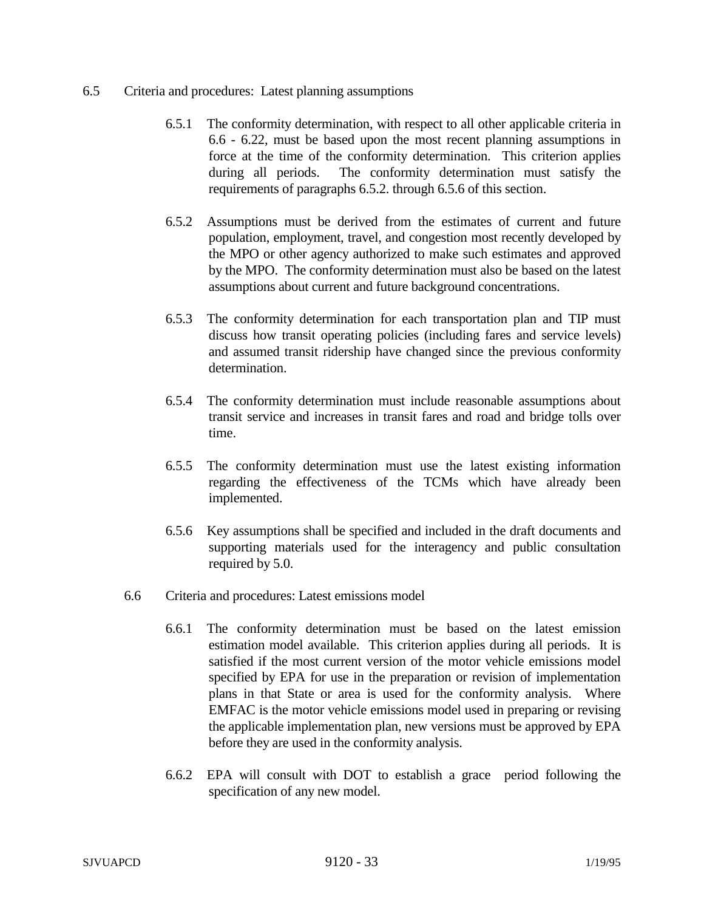### 6.5 Criteria and procedures: Latest planning assumptions

- 6.5.1 The conformity determination, with respect to all other applicable criteria in 6.6 - 6.22, must be based upon the most recent planning assumptions in force at the time of the conformity determination. This criterion applies during all periods. The conformity determination must satisfy the requirements of paragraphs 6.5.2. through 6.5.6 of this section.
- 6.5.2 Assumptions must be derived from the estimates of current and future population, employment, travel, and congestion most recently developed by the MPO or other agency authorized to make such estimates and approved by the MPO. The conformity determination must also be based on the latest assumptions about current and future background concentrations.
- 6.5.3 The conformity determination for each transportation plan and TIP must discuss how transit operating policies (including fares and service levels) and assumed transit ridership have changed since the previous conformity determination.
- 6.5.4 The conformity determination must include reasonable assumptions about transit service and increases in transit fares and road and bridge tolls over time.
- 6.5.5 The conformity determination must use the latest existing information regarding the effectiveness of the TCMs which have already been implemented.
- 6.5.6 Key assumptions shall be specified and included in the draft documents and supporting materials used for the interagency and public consultation required by 5.0.
- 6.6 Criteria and procedures: Latest emissions model
	- 6.6.1 The conformity determination must be based on the latest emission estimation model available. This criterion applies during all periods. It is satisfied if the most current version of the motor vehicle emissions model specified by EPA for use in the preparation or revision of implementation plans in that State or area is used for the conformity analysis. Where EMFAC is the motor vehicle emissions model used in preparing or revising the applicable implementation plan, new versions must be approved by EPA before they are used in the conformity analysis.
	- 6.6.2 EPA will consult with DOT to establish a grace period following the specification of any new model.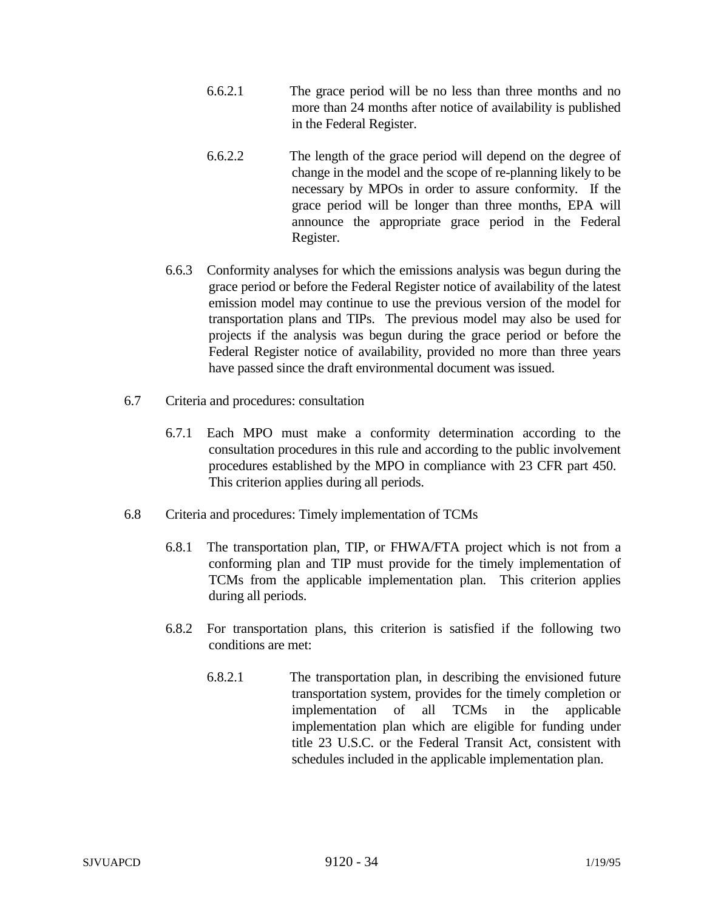- 6.6.2.1 The grace period will be no less than three months and no more than 24 months after notice of availability is published in the Federal Register.
- 6.6.2.2 The length of the grace period will depend on the degree of change in the model and the scope of re-planning likely to be necessary by MPOs in order to assure conformity. If the grace period will be longer than three months, EPA will announce the appropriate grace period in the Federal Register.
- 6.6.3 Conformity analyses for which the emissions analysis was begun during the grace period or before the Federal Register notice of availability of the latest emission model may continue to use the previous version of the model for transportation plans and TIPs. The previous model may also be used for projects if the analysis was begun during the grace period or before the Federal Register notice of availability, provided no more than three years have passed since the draft environmental document was issued.
- 6.7 Criteria and procedures: consultation
	- 6.7.1 Each MPO must make a conformity determination according to the consultation procedures in this rule and according to the public involvement procedures established by the MPO in compliance with 23 CFR part 450. This criterion applies during all periods.
- 6.8 Criteria and procedures: Timely implementation of TCMs
	- 6.8.1 The transportation plan, TIP, or FHWA/FTA project which is not from a conforming plan and TIP must provide for the timely implementation of TCMs from the applicable implementation plan. This criterion applies during all periods.
	- 6.8.2 For transportation plans, this criterion is satisfied if the following two conditions are met:
		- 6.8.2.1 The transportation plan, in describing the envisioned future transportation system, provides for the timely completion or implementation of all TCMs in the applicable implementation plan which are eligible for funding under title 23 U.S.C. or the Federal Transit Act, consistent with schedules included in the applicable implementation plan.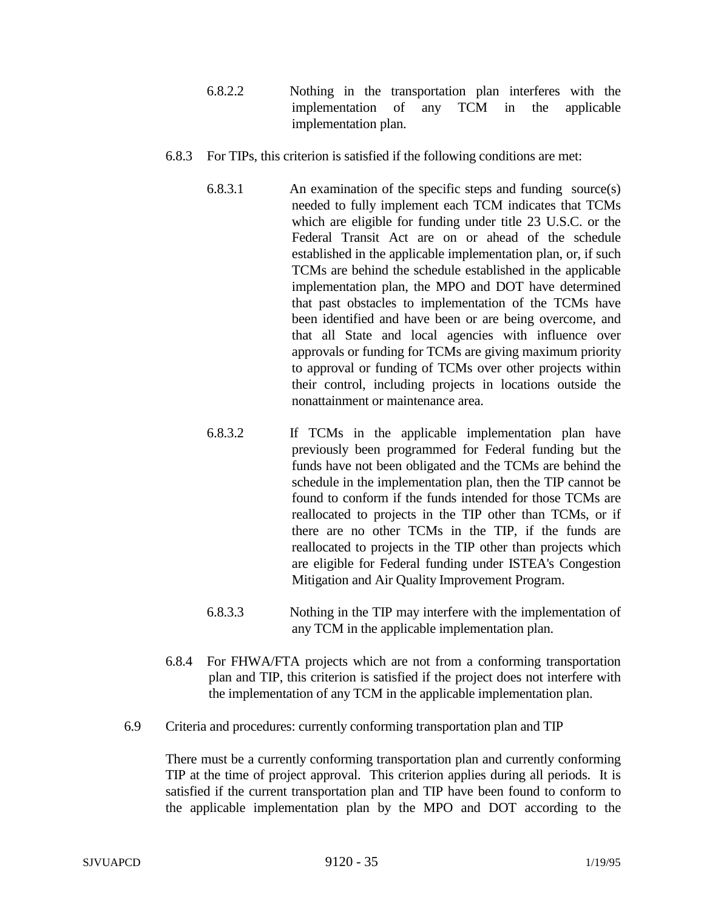- 6.8.2.2 Nothing in the transportation plan interferes with the implementation of any TCM in the applicable implementation plan.
- 6.8.3 For TIPs, this criterion is satisfied if the following conditions are met:
	- 6.8.3.1 An examination of the specific steps and funding source(s) needed to fully implement each TCM indicates that TCMs which are eligible for funding under title 23 U.S.C. or the Federal Transit Act are on or ahead of the schedule established in the applicable implementation plan, or, if such TCMs are behind the schedule established in the applicable implementation plan, the MPO and DOT have determined that past obstacles to implementation of the TCMs have been identified and have been or are being overcome, and that all State and local agencies with influence over approvals or funding for TCMs are giving maximum priority to approval or funding of TCMs over other projects within their control, including projects in locations outside the nonattainment or maintenance area.
	- 6.8.3.2 If TCMs in the applicable implementation plan have previously been programmed for Federal funding but the funds have not been obligated and the TCMs are behind the schedule in the implementation plan, then the TIP cannot be found to conform if the funds intended for those TCMs are reallocated to projects in the TIP other than TCMs, or if there are no other TCMs in the TIP, if the funds are reallocated to projects in the TIP other than projects which are eligible for Federal funding under ISTEA's Congestion Mitigation and Air Quality Improvement Program.
	- 6.8.3.3 Nothing in the TIP may interfere with the implementation of any TCM in the applicable implementation plan.
- 6.8.4 For FHWA/FTA projects which are not from a conforming transportation plan and TIP, this criterion is satisfied if the project does not interfere with the implementation of any TCM in the applicable implementation plan.
- 6.9 Criteria and procedures: currently conforming transportation plan and TIP

There must be a currently conforming transportation plan and currently conforming TIP at the time of project approval. This criterion applies during all periods. It is satisfied if the current transportation plan and TIP have been found to conform to the applicable implementation plan by the MPO and DOT according to the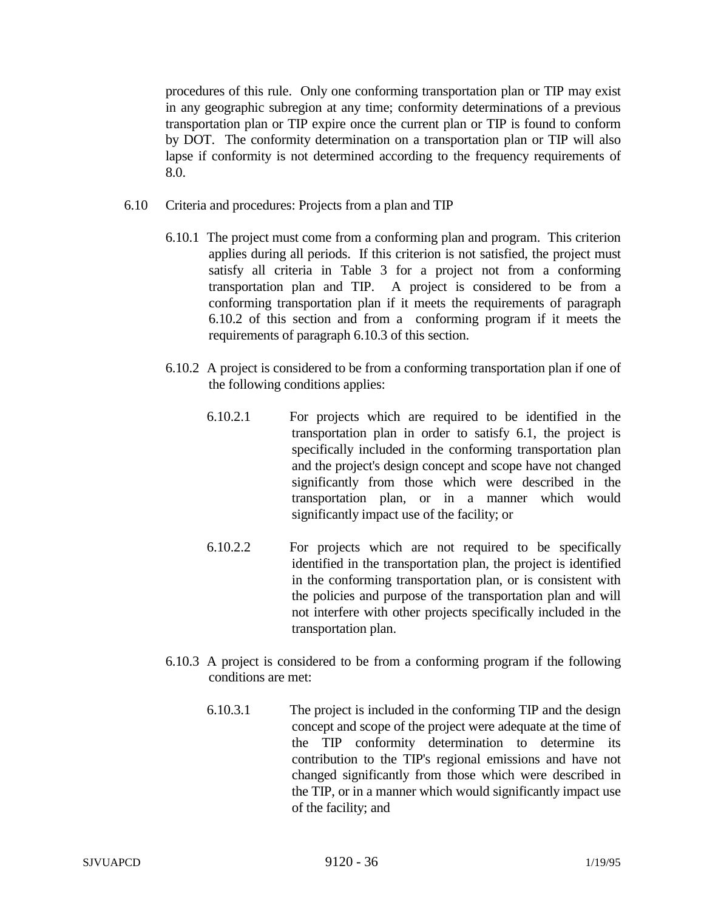procedures of this rule. Only one conforming transportation plan or TIP may exist in any geographic subregion at any time; conformity determinations of a previous transportation plan or TIP expire once the current plan or TIP is found to conform by DOT. The conformity determination on a transportation plan or TIP will also lapse if conformity is not determined according to the frequency requirements of 8.0.

- 6.10 Criteria and procedures: Projects from a plan and TIP
	- 6.10.1 The project must come from a conforming plan and program. This criterion applies during all periods. If this criterion is not satisfied, the project must satisfy all criteria in Table 3 for a project not from a conforming transportation plan and TIP. A project is considered to be from a conforming transportation plan if it meets the requirements of paragraph 6.10.2 of this section and from a conforming program if it meets the requirements of paragraph 6.10.3 of this section.
	- 6.10.2 A project is considered to be from a conforming transportation plan if one of the following conditions applies:
		- 6.10.2.1 For projects which are required to be identified in the transportation plan in order to satisfy 6.1, the project is specifically included in the conforming transportation plan and the project's design concept and scope have not changed significantly from those which were described in the transportation plan, or in a manner which would significantly impact use of the facility; or
		- 6.10.2.2 For projects which are not required to be specifically identified in the transportation plan, the project is identified in the conforming transportation plan, or is consistent with the policies and purpose of the transportation plan and will not interfere with other projects specifically included in the transportation plan.
	- 6.10.3 A project is considered to be from a conforming program if the following conditions are met:
		- 6.10.3.1 The project is included in the conforming TIP and the design concept and scope of the project were adequate at the time of the TIP conformity determination to determine its contribution to the TIP's regional emissions and have not changed significantly from those which were described in the TIP, or in a manner which would significantly impact use of the facility; and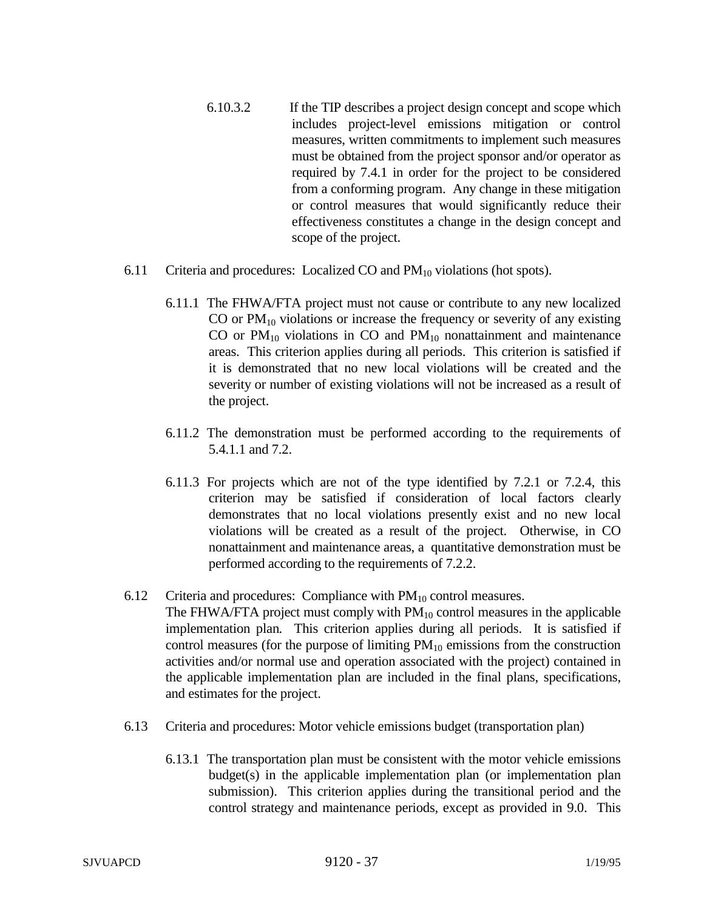- 6.10.3.2 If the TIP describes a project design concept and scope which includes project-level emissions mitigation or control measures, written commitments to implement such measures must be obtained from the project sponsor and/or operator as required by 7.4.1 in order for the project to be considered from a conforming program. Any change in these mitigation or control measures that would significantly reduce their effectiveness constitutes a change in the design concept and scope of the project.
- 6.11 Criteria and procedures: Localized CO and  $PM_{10}$  violations (hot spots).
	- 6.11.1 The FHWA/FTA project must not cause or contribute to any new localized CO or  $PM_{10}$  violations or increase the frequency or severity of any existing CO or  $PM_{10}$  violations in CO and  $PM_{10}$  nonattainment and maintenance areas. This criterion applies during all periods. This criterion is satisfied if it is demonstrated that no new local violations will be created and the severity or number of existing violations will not be increased as a result of the project.
	- 6.11.2 The demonstration must be performed according to the requirements of 5.4.1.1 and 7.2.
	- 6.11.3 For projects which are not of the type identified by 7.2.1 or 7.2.4, this criterion may be satisfied if consideration of local factors clearly demonstrates that no local violations presently exist and no new local violations will be created as a result of the project. Otherwise, in CO nonattainment and maintenance areas, a quantitative demonstration must be performed according to the requirements of 7.2.2.
- 6.12 Criteria and procedures: Compliance with  $PM_{10}$  control measures. The FHWA/FTA project must comply with  $PM_{10}$  control measures in the applicable implementation plan*.* This criterion applies during all periods. It is satisfied if control measures (for the purpose of limiting  $PM_{10}$  emissions from the construction activities and/or normal use and operation associated with the project) contained in the applicable implementation plan are included in the final plans, specifications, and estimates for the project.
- 6.13 Criteria and procedures: Motor vehicle emissions budget (transportation plan)
	- 6.13.1 The transportation plan must be consistent with the motor vehicle emissions budget(s) in the applicable implementation plan (or implementation plan submission). This criterion applies during the transitional period and the control strategy and maintenance periods, except as provided in 9.0. This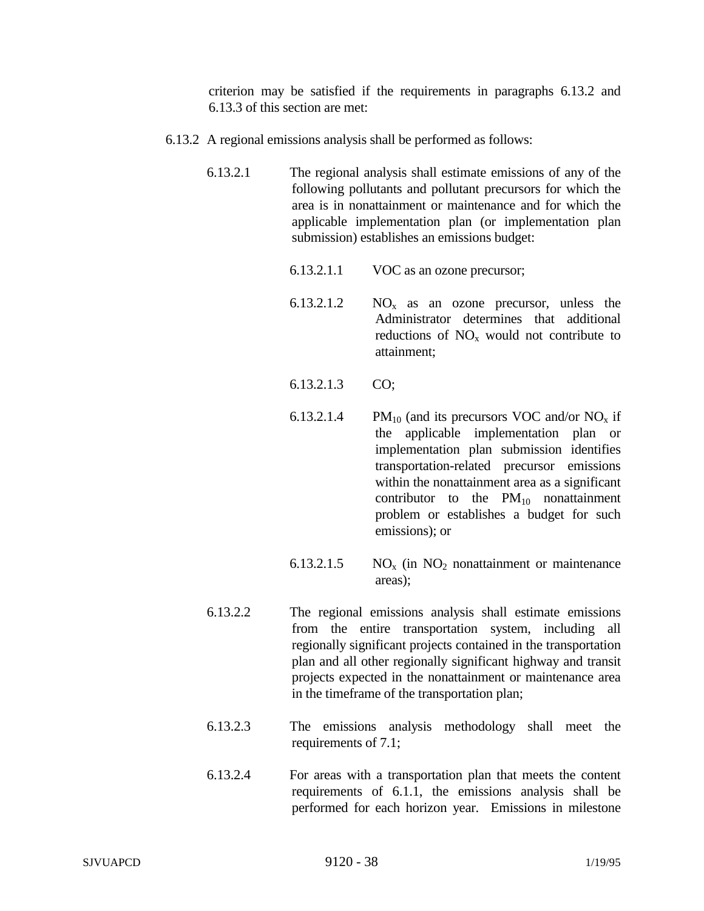criterion may be satisfied if the requirements in paragraphs 6.13.2 and 6.13.3 of this section are met:

- 6.13.2 A regional emissions analysis shall be performed as follows:
	- 6.13.2.1 The regional analysis shall estimate emissions of any of the following pollutants and pollutant precursors for which the area is in nonattainment or maintenance and for which the applicable implementation plan (or implementation plan submission) establishes an emissions budget:
		- 6.13.2.1.1 VOC as an ozone precursor;
		- 6.13.2.1.2  $NO<sub>x</sub>$  as an ozone precursor, unless the Administrator determines that additional reductions of  $NO<sub>x</sub>$  would not contribute to attainment;
		- 6.13.2.1.3 CO;
		- 6.13.2.1.4 PM<sub>10</sub> (and its precursors VOC and/or  $NO<sub>x</sub>$  if the applicable implementation plan or implementation plan submission identifies transportation-related precursor emissions within the nonattainment area as a significant contributor to the  $PM_{10}$  nonattainment problem or establishes a budget for such emissions); or
		- 6.13.2.1.5  $NO<sub>x</sub>$  (in NO<sub>2</sub> nonattainment or maintenance areas);
	- 6.13.2.2 The regional emissions analysis shall estimate emissions from the entire transportation system, including all regionally significant projects contained in the transportation plan and all other regionally significant highway and transit projects expected in the nonattainment or maintenance area in the timeframe of the transportation plan;
	- 6.13.2.3 The emissions analysis methodology shall meet the requirements of 7.1;
	- 6.13.2.4 For areas with a transportation plan that meets the content requirements of 6.1.1, the emissions analysis shall be performed for each horizon year. Emissions in milestone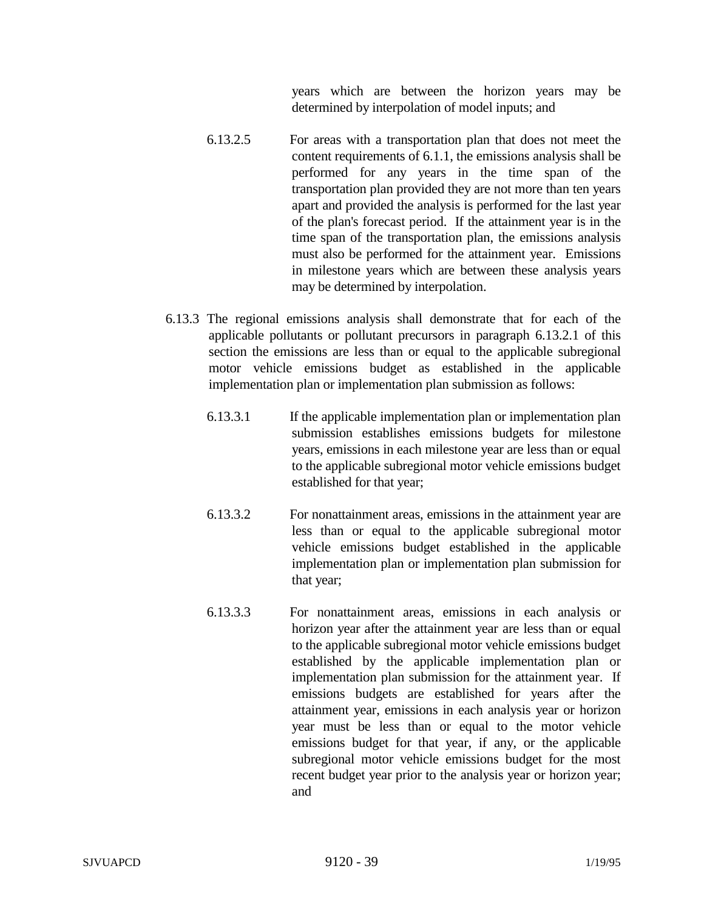years which are between the horizon years may be determined by interpolation of model inputs; and

- 6.13.2.5 For areas with a transportation plan that does not meet the content requirements of 6.1.1, the emissions analysis shall be performed for any years in the time span of the transportation plan provided they are not more than ten years apart and provided the analysis is performed for the last year of the plan's forecast period. If the attainment year is in the time span of the transportation plan, the emissions analysis must also be performed for the attainment year. Emissions in milestone years which are between these analysis years may be determined by interpolation.
- 6.13.3 The regional emissions analysis shall demonstrate that for each of the applicable pollutants or pollutant precursors in paragraph 6.13.2.1 of this section the emissions are less than or equal to the applicable subregional motor vehicle emissions budget as established in the applicable implementation plan or implementation plan submission as follows:
	- 6.13.3.1 If the applicable implementation plan or implementation plan submission establishes emissions budgets for milestone years, emissions in each milestone year are less than or equal to the applicable subregional motor vehicle emissions budget established for that year;
	- 6.13.3.2 For nonattainment areas, emissions in the attainment year are less than or equal to the applicable subregional motor vehicle emissions budget established in the applicable implementation plan or implementation plan submission for that year;
	- 6.13.3.3 For nonattainment areas, emissions in each analysis or horizon year after the attainment year are less than or equal to the applicable subregional motor vehicle emissions budget established by the applicable implementation plan or implementation plan submission for the attainment year. If emissions budgets are established for years after the attainment year, emissions in each analysis year or horizon year must be less than or equal to the motor vehicle emissions budget for that year, if any, or the applicable subregional motor vehicle emissions budget for the most recent budget year prior to the analysis year or horizon year; and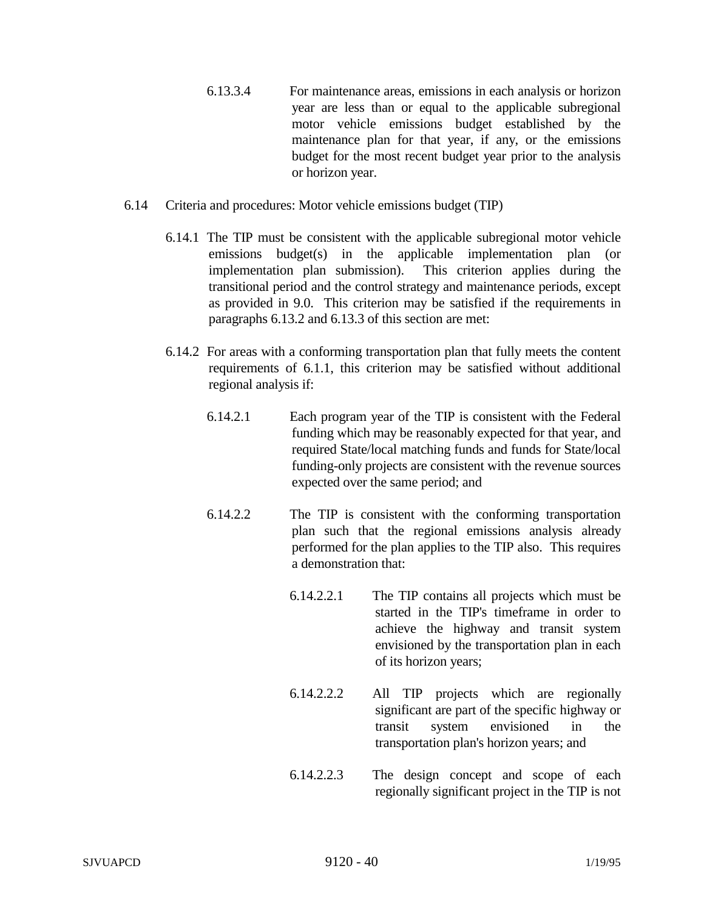- 6.13.3.4 For maintenance areas, emissions in each analysis or horizon year are less than or equal to the applicable subregional motor vehicle emissions budget established by the maintenance plan for that year, if any, or the emissions budget for the most recent budget year prior to the analysis or horizon year.
- 6.14 Criteria and procedures: Motor vehicle emissions budget (TIP)
	- 6.14.1 The TIP must be consistent with the applicable subregional motor vehicle emissions budget(s) in the applicable implementation plan (or implementation plan submission). This criterion applies during the transitional period and the control strategy and maintenance periods, except as provided in 9.0. This criterion may be satisfied if the requirements in paragraphs 6.13.2 and 6.13.3 of this section are met:
	- 6.14.2 For areas with a conforming transportation plan that fully meets the content requirements of 6.1.1, this criterion may be satisfied without additional regional analysis if:
		- 6.14.2.1 Each program year of the TIP is consistent with the Federal funding which may be reasonably expected for that year, and required State/local matching funds and funds for State/local funding-only projects are consistent with the revenue sources expected over the same period; and
		- 6.14.2.2 The TIP is consistent with the conforming transportation plan such that the regional emissions analysis already performed for the plan applies to the TIP also. This requires a demonstration that:
			- 6.14.2.2.1 The TIP contains all projects which must be started in the TIP's timeframe in order to achieve the highway and transit system envisioned by the transportation plan in each of its horizon years;
			- 6.14.2.2.2 All TIP projects which are regionally significant are part of the specific highway or transit system envisioned in the transportation plan's horizon years; and
			- 6.14.2.2.3 The design concept and scope of each regionally significant project in the TIP is not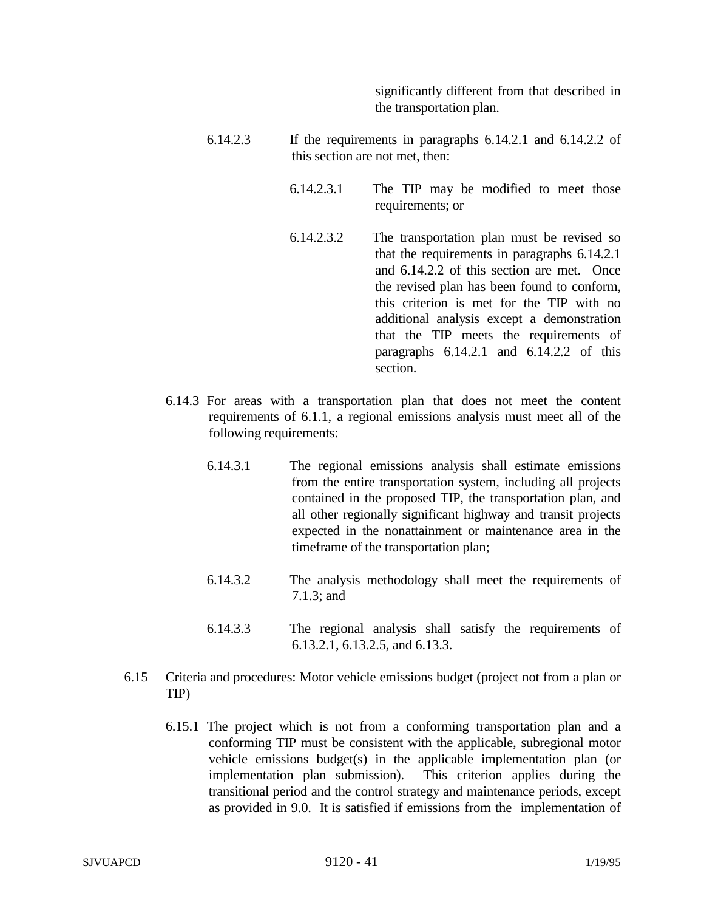significantly different from that described in the transportation plan.

- 6.14.2.3 If the requirements in paragraphs 6.14.2.1 and 6.14.2.2 of this section are not met, then:
	- 6.14.2.3.1 The TIP may be modified to meet those requirements; or 6.14.2.3.2 The transportation plan must be revised so that the requirements in paragraphs 6.14.2.1 and 6.14.2.2 of this section are met. Once the revised plan has been found to conform, this criterion is met for the TIP with no additional analysis except a demonstration that the TIP meets the requirements of paragraphs  $6.14.2.1$  and  $6.14.2.2$  of this section.
- 6.14.3 For areas with a transportation plan that does not meet the content requirements of 6.1.1, a regional emissions analysis must meet all of the following requirements:
	- 6.14.3.1 The regional emissions analysis shall estimate emissions from the entire transportation system, including all projects contained in the proposed TIP, the transportation plan, and all other regionally significant highway and transit projects expected in the nonattainment or maintenance area in the timeframe of the transportation plan;
	- 6.14.3.2 The analysis methodology shall meet the requirements of 7.1.3; and
	- 6.14.3.3 The regional analysis shall satisfy the requirements of 6.13.2.1, 6.13.2.5, and 6.13.3.
- 6.15 Criteria and procedures: Motor vehicle emissions budget (project not from a plan or TIP)
	- 6.15.1 The project which is not from a conforming transportation plan and a conforming TIP must be consistent with the applicable, subregional motor vehicle emissions budget(s) in the applicable implementation plan (or implementation plan submission). This criterion applies during the transitional period and the control strategy and maintenance periods, except as provided in 9.0. It is satisfied if emissions from the implementation of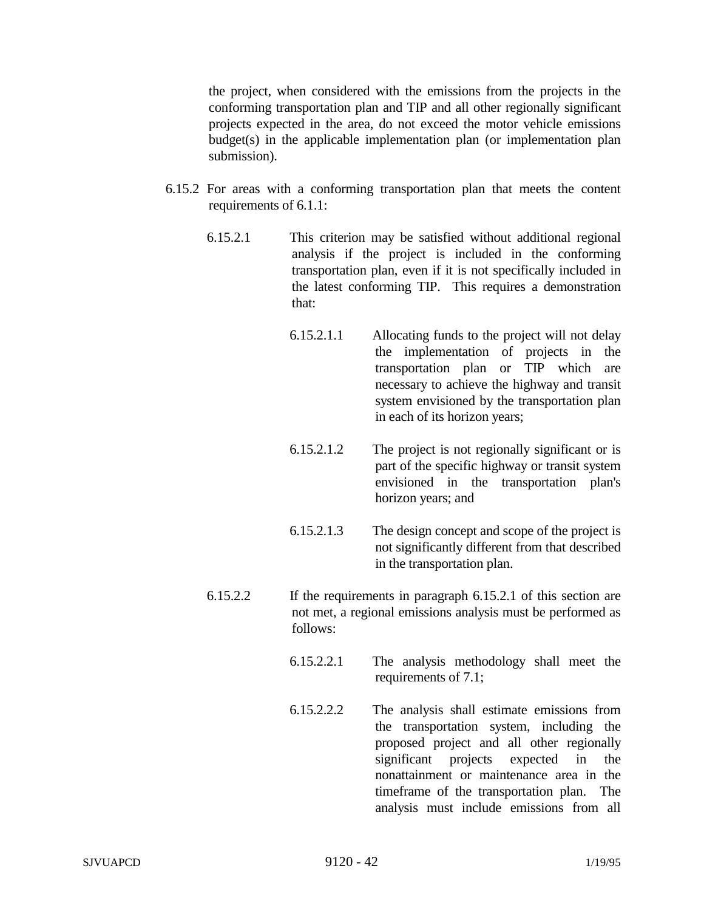the project, when considered with the emissions from the projects in the conforming transportation plan and TIP and all other regionally significant projects expected in the area, do not exceed the motor vehicle emissions budget(s) in the applicable implementation plan (or implementation plan submission).

- 6.15.2 For areas with a conforming transportation plan that meets the content requirements of 6.1.1:
	- 6.15.2.1 This criterion may be satisfied without additional regional analysis if the project is included in the conforming transportation plan, even if it is not specifically included in the latest conforming TIP. This requires a demonstration that:
		- 6.15.2.1.1 Allocating funds to the project will not delay the implementation of projects in the transportation plan or TIP which are necessary to achieve the highway and transit system envisioned by the transportation plan in each of its horizon years;
		- 6.15.2.1.2 The project is not regionally significant or is part of the specific highway or transit system envisioned in the transportation plan's horizon years; and
		- 6.15.2.1.3 The design concept and scope of the project is not significantly different from that described in the transportation plan.
	- 6.15.2.2 If the requirements in paragraph 6.15.2.1 of this section are not met, a regional emissions analysis must be performed as follows:
		- 6.15.2.2.1 The analysis methodology shall meet the requirements of 7.1;
		- 6.15.2.2.2 The analysis shall estimate emissions from the transportation system, including the proposed project and all other regionally significant projects expected in the nonattainment or maintenance area in the timeframe of the transportation plan. The analysis must include emissions from all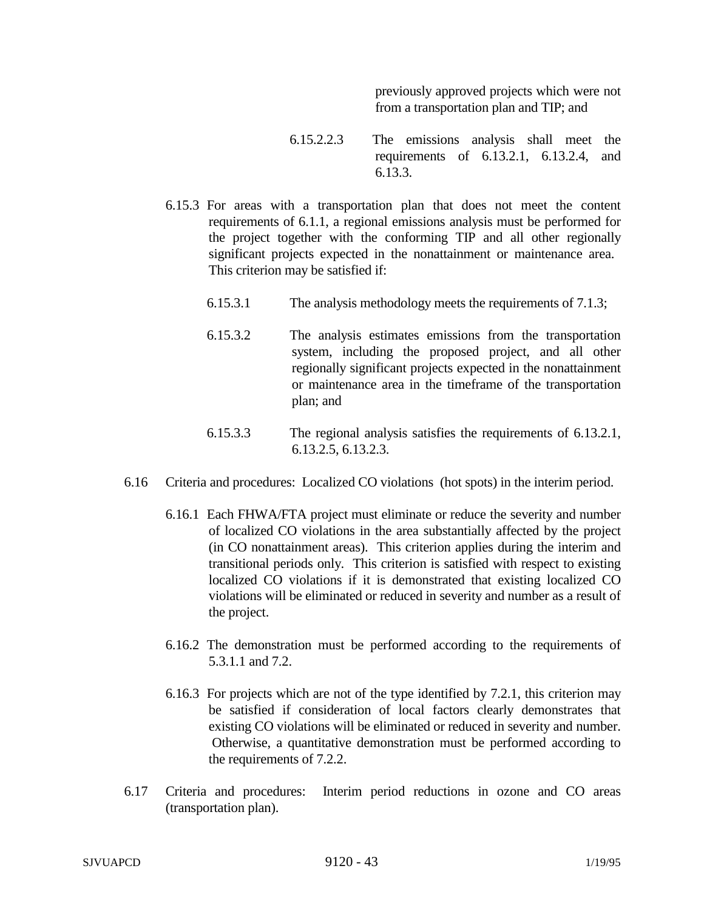previously approved projects which were not from a transportation plan and TIP; and

- 6.15.2.2.3 The emissions analysis shall meet the requirements of 6.13.2.1, 6.13.2.4, and 6.13.3.
- 6.15.3 For areas with a transportation plan that does not meet the content requirements of 6.1.1, a regional emissions analysis must be performed for the project together with the conforming TIP and all other regionally significant projects expected in the nonattainment or maintenance area. This criterion may be satisfied if:
	- 6.15.3.1 The analysis methodology meets the requirements of 7.1.3;
	- 6.15.3.2 The analysis estimates emissions from the transportation system, including the proposed project, and all other regionally significant projects expected in the nonattainment or maintenance area in the timeframe of the transportation plan; and
	- 6.15.3.3 The regional analysis satisfies the requirements of 6.13.2.1, 6.13.2.5, 6.13.2.3.
- 6.16 Criteria and procedures: Localized CO violations (hot spots) in the interim period.
	- 6.16.1 Each FHWA/FTA project must eliminate or reduce the severity and number of localized CO violations in the area substantially affected by the project (in CO nonattainment areas). This criterion applies during the interim and transitional periods only. This criterion is satisfied with respect to existing localized CO violations if it is demonstrated that existing localized CO violations will be eliminated or reduced in severity and number as a result of the project.
	- 6.16.2 The demonstration must be performed according to the requirements of 5.3.1.1 and 7.2.
	- 6.16.3 For projects which are not of the type identified by 7.2.1, this criterion may be satisfied if consideration of local factors clearly demonstrates that existing CO violations will be eliminated or reduced in severity and number. Otherwise, a quantitative demonstration must be performed according to the requirements of 7.2.2.
- 6.17 Criteria and procedures: Interim period reductions in ozone and CO areas (transportation plan).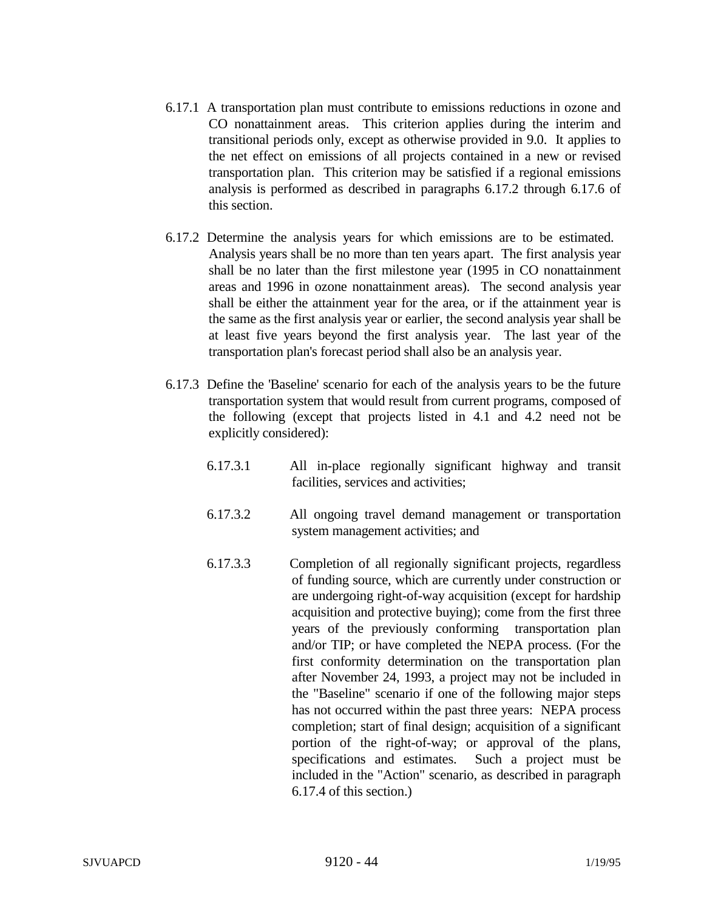- 6.17.1 A transportation plan must contribute to emissions reductions in ozone and CO nonattainment areas. This criterion applies during the interim and transitional periods only, except as otherwise provided in 9.0. It applies to the net effect on emissions of all projects contained in a new or revised transportation plan. This criterion may be satisfied if a regional emissions analysis is performed as described in paragraphs 6.17.2 through 6.17.6 of this section.
- 6.17.2 Determine the analysis years for which emissions are to be estimated. Analysis years shall be no more than ten years apart. The first analysis year shall be no later than the first milestone year (1995 in CO nonattainment areas and 1996 in ozone nonattainment areas). The second analysis year shall be either the attainment year for the area, or if the attainment year is the same as the first analysis year or earlier, the second analysis year shall be at least five years beyond the first analysis year. The last year of the transportation plan's forecast period shall also be an analysis year.
- 6.17.3 Define the 'Baseline' scenario for each of the analysis years to be the future transportation system that would result from current programs, composed of the following (except that projects listed in 4.1 and 4.2 need not be explicitly considered):
	- 6.17.3.1 All in-place regionally significant highway and transit facilities, services and activities;
	- 6.17.3.2 All ongoing travel demand management or transportation system management activities; and
	- 6.17.3.3 Completion of all regionally significant projects, regardless of funding source, which are currently under construction or are undergoing right-of-way acquisition (except for hardship acquisition and protective buying); come from the first three years of the previously conforming transportation plan and/or TIP; or have completed the NEPA process. (For the first conformity determination on the transportation plan after November 24, 1993, a project may not be included in the "Baseline" scenario if one of the following major steps has not occurred within the past three years: NEPA process completion; start of final design; acquisition of a significant portion of the right-of-way; or approval of the plans, specifications and estimates. Such a project must be included in the "Action" scenario, as described in paragraph 6.17.4 of this section.)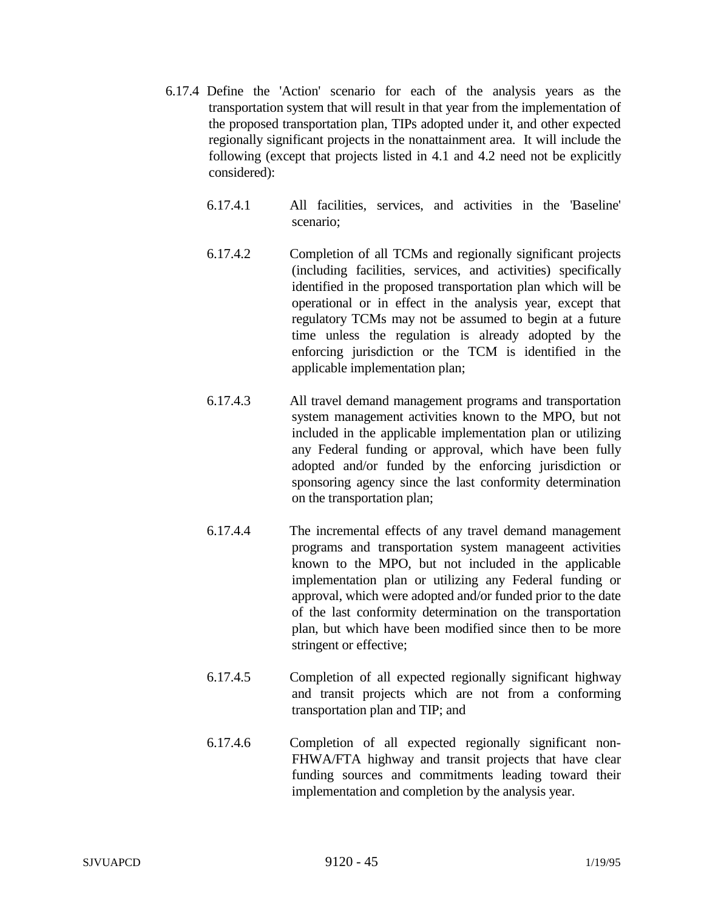- 6.17.4 Define the 'Action' scenario for each of the analysis years as the transportation system that will result in that year from the implementation of the proposed transportation plan, TIPs adopted under it, and other expected regionally significant projects in the nonattainment area. It will include the following (except that projects listed in 4.1 and 4.2 need not be explicitly considered):
	- 6.17.4.1 All facilities, services, and activities in the 'Baseline' scenario;
	- 6.17.4.2 Completion of all TCMs and regionally significant projects (including facilities, services, and activities) specifically identified in the proposed transportation plan which will be operational or in effect in the analysis year, except that regulatory TCMs may not be assumed to begin at a future time unless the regulation is already adopted by the enforcing jurisdiction or the TCM is identified in the applicable implementation plan;
	- 6.17.4.3 All travel demand management programs and transportation system management activities known to the MPO, but not included in the applicable implementation plan or utilizing any Federal funding or approval, which have been fully adopted and/or funded by the enforcing jurisdiction or sponsoring agency since the last conformity determination on the transportation plan;
	- 6.17.4.4 The incremental effects of any travel demand management programs and transportation system manageent activities known to the MPO, but not included in the applicable implementation plan or utilizing any Federal funding or approval, which were adopted and/or funded prior to the date of the last conformity determination on the transportation plan, but which have been modified since then to be more stringent or effective;
	- 6.17.4.5 Completion of all expected regionally significant highway and transit projects which are not from a conforming transportation plan and TIP; and
	- 6.17.4.6 Completion of all expected regionally significant non-FHWA/FTA highway and transit projects that have clear funding sources and commitments leading toward their implementation and completion by the analysis year.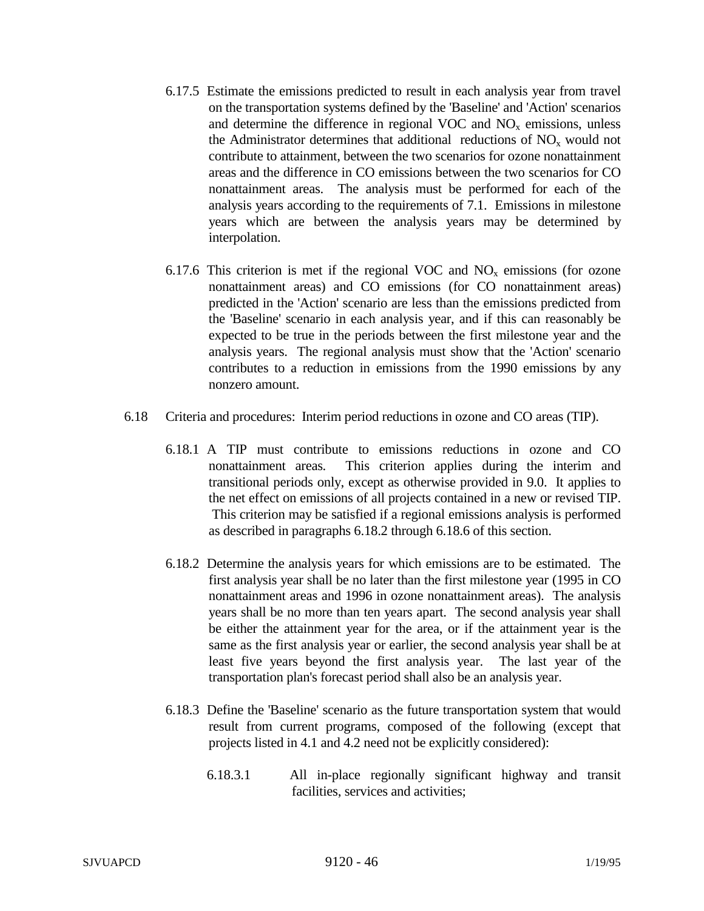- 6.17.5 Estimate the emissions predicted to result in each analysis year from travel on the transportation systems defined by the 'Baseline' and 'Action' scenarios and determine the difference in regional VOC and  $NO<sub>x</sub>$  emissions, unless the Administrator determines that additional reductions of  $NO<sub>x</sub>$  would not contribute to attainment, between the two scenarios for ozone nonattainment areas and the difference in CO emissions between the two scenarios for CO nonattainment areas. The analysis must be performed for each of the analysis years according to the requirements of 7.1. Emissions in milestone years which are between the analysis years may be determined by interpolation.
- 6.17.6 This criterion is met if the regional VOC and  $NO<sub>x</sub>$  emissions (for ozone nonattainment areas) and CO emissions (for CO nonattainment areas) predicted in the 'Action' scenario are less than the emissions predicted from the 'Baseline' scenario in each analysis year, and if this can reasonably be expected to be true in the periods between the first milestone year and the analysis years. The regional analysis must show that the 'Action' scenario contributes to a reduction in emissions from the 1990 emissions by any nonzero amount.
- 6.18 Criteria and procedures: Interim period reductions in ozone and CO areas (TIP).
	- 6.18.1 A TIP must contribute to emissions reductions in ozone and CO nonattainment areas*.* This criterion applies during the interim and transitional periods only, except as otherwise provided in 9.0. It applies to the net effect on emissions of all projects contained in a new or revised TIP. This criterion may be satisfied if a regional emissions analysis is performed as described in paragraphs 6.18.2 through 6.18.6 of this section.
	- 6.18.2 Determine the analysis years for which emissions are to be estimated. The first analysis year shall be no later than the first milestone year (1995 in CO nonattainment areas and 1996 in ozone nonattainment areas). The analysis years shall be no more than ten years apart. The second analysis year shall be either the attainment year for the area, or if the attainment year is the same as the first analysis year or earlier, the second analysis year shall be at least five years beyond the first analysis year. The last year of the transportation plan's forecast period shall also be an analysis year.
	- 6.18.3 Define the 'Baseline' scenario as the future transportation system that would result from current programs, composed of the following (except that projects listed in 4.1 and 4.2 need not be explicitly considered):
		- 6.18.3.1 All in-place regionally significant highway and transit facilities, services and activities;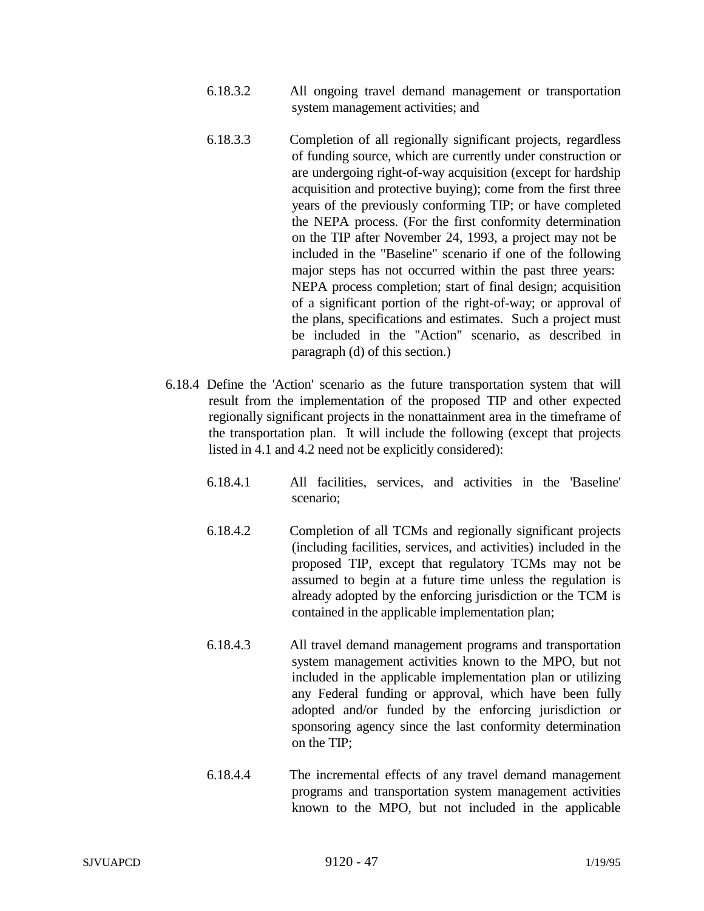- 6.18.3.2 All ongoing travel demand management or transportation system management activities; and
- 6.18.3.3 Completion of all regionally significant projects, regardless of funding source, which are currently under construction or are undergoing right-of-way acquisition (except for hardship acquisition and protective buying); come from the first three years of the previously conforming TIP; or have completed the NEPA process. (For the first conformity determination on the TIP after November 24, 1993, a project may not be included in the "Baseline" scenario if one of the following major steps has not occurred within the past three years: NEPA process completion; start of final design; acquisition of a significant portion of the right-of-way; or approval of the plans, specifications and estimates. Such a project must be included in the "Action" scenario, as described in paragraph (d) of this section.)
- 6.18.4 Define the 'Action' scenario as the future transportation system that will result from the implementation of the proposed TIP and other expected regionally significant projects in the nonattainment area in the timeframe of the transportation plan. It will include the following (except that projects listed in 4.1 and 4.2 need not be explicitly considered):
	- 6.18.4.1 All facilities, services, and activities in the 'Baseline' scenario;
	- 6.18.4.2 Completion of all TCMs and regionally significant projects (including facilities, services, and activities) included in the proposed TIP, except that regulatory TCMs may not be assumed to begin at a future time unless the regulation is already adopted by the enforcing jurisdiction or the TCM is contained in the applicable implementation plan;
	- 6.18.4.3 All travel demand management programs and transportation system management activities known to the MPO, but not included in the applicable implementation plan or utilizing any Federal funding or approval, which have been fully adopted and/or funded by the enforcing jurisdiction or sponsoring agency since the last conformity determination on the TIP;
	- 6.18.4.4 The incremental effects of any travel demand management programs and transportation system management activities known to the MPO, but not included in the applicable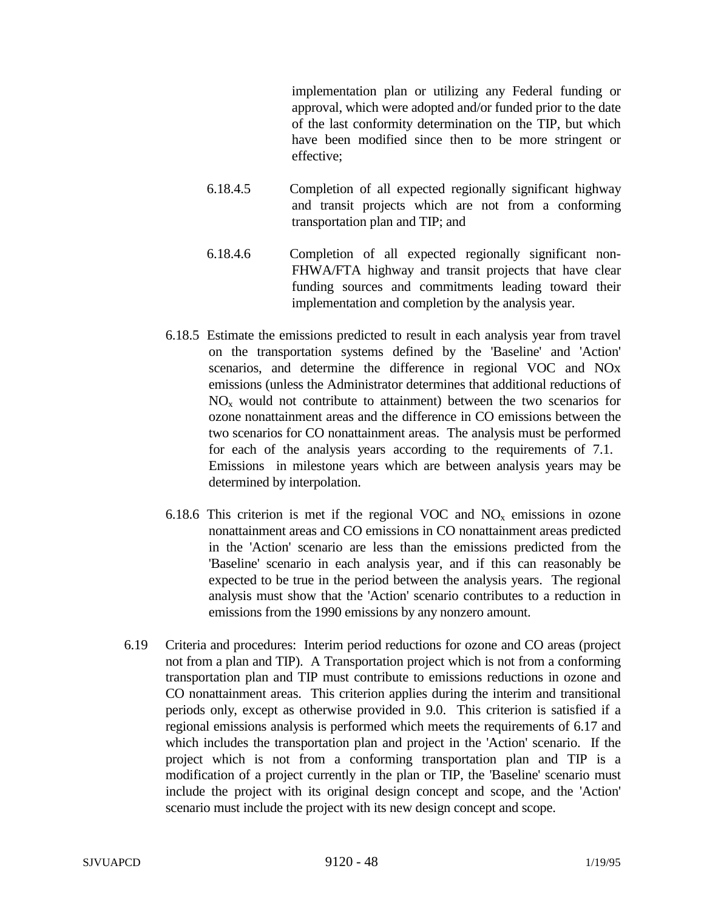implementation plan or utilizing any Federal funding or approval, which were adopted and/or funded prior to the date of the last conformity determination on the TIP, but which have been modified since then to be more stringent or effective;

- 6.18.4.5 Completion of all expected regionally significant highway and transit projects which are not from a conforming transportation plan and TIP; and
- 6.18.4.6 Completion of all expected regionally significant non-FHWA/FTA highway and transit projects that have clear funding sources and commitments leading toward their implementation and completion by the analysis year.
- 6.18.5 Estimate the emissions predicted to result in each analysis year from travel on the transportation systems defined by the 'Baseline' and 'Action' scenarios, and determine the difference in regional VOC and NOx emissions (unless the Administrator determines that additional reductions of  $NO<sub>x</sub>$  would not contribute to attainment) between the two scenarios for ozone nonattainment areas and the difference in CO emissions between the two scenarios for CO nonattainment areas. The analysis must be performed for each of the analysis years according to the requirements of 7.1. Emissions in milestone years which are between analysis years may be determined by interpolation.
- 6.18.6 This criterion is met if the regional VOC and  $NO<sub>x</sub>$  emissions in ozone nonattainment areas and CO emissions in CO nonattainment areas predicted in the 'Action' scenario are less than the emissions predicted from the 'Baseline' scenario in each analysis year, and if this can reasonably be expected to be true in the period between the analysis years. The regional analysis must show that the 'Action' scenario contributes to a reduction in emissions from the 1990 emissions by any nonzero amount.
- 6.19 Criteria and procedures: Interim period reductions for ozone and CO areas (project not from a plan and TIP). A Transportation project which is not from a conforming transportation plan and TIP must contribute to emissions reductions in ozone and CO nonattainment areas. This criterion applies during the interim and transitional periods only, except as otherwise provided in 9.0. This criterion is satisfied if a regional emissions analysis is performed which meets the requirements of 6.17 and which includes the transportation plan and project in the 'Action' scenario. If the project which is not from a conforming transportation plan and TIP is a modification of a project currently in the plan or TIP, the 'Baseline' scenario must include the project with its original design concept and scope, and the 'Action' scenario must include the project with its new design concept and scope.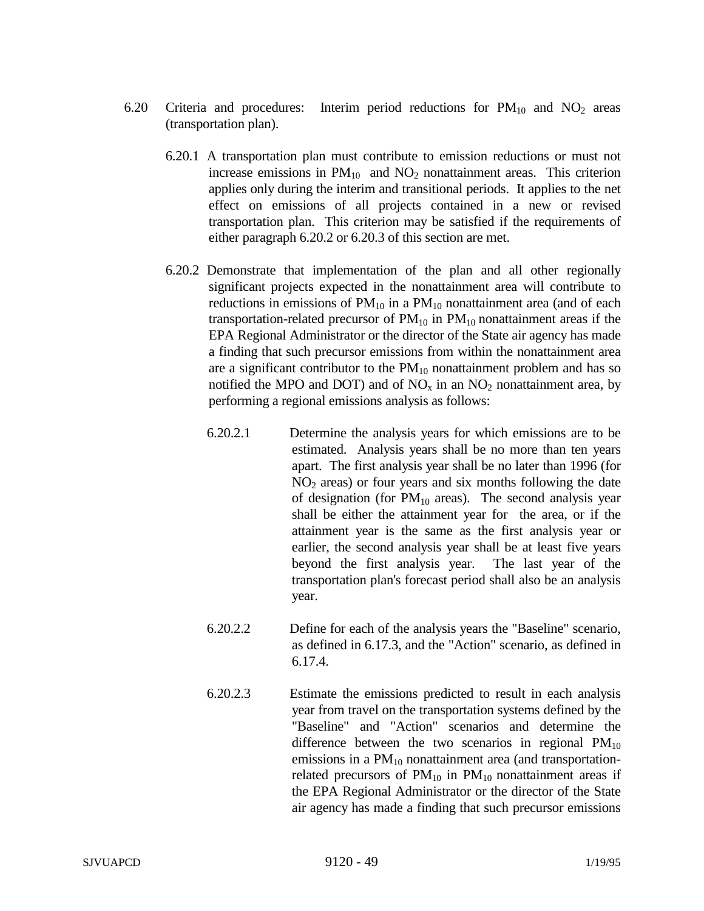- 6.20 Criteria and procedures: Interim period reductions for  $PM_{10}$  and  $NO_2$  areas (transportation plan).
	- 6.20.1 A transportation plan must contribute to emission reductions or must not increase emissions in  $PM_{10}$  and  $NO_2$  nonattainment areas. This criterion applies only during the interim and transitional periods. It applies to the net effect on emissions of all projects contained in a new or revised transportation plan. This criterion may be satisfied if the requirements of either paragraph 6.20.2 or 6.20.3 of this section are met.
	- 6.20.2 Demonstrate that implementation of the plan and all other regionally significant projects expected in the nonattainment area will contribute to reductions in emissions of  $PM_{10}$  in a  $PM_{10}$  nonattainment area (and of each transportation-related precursor of  $PM_{10}$  in  $PM_{10}$  nonattainment areas if the EPA Regional Administrator or the director of the State air agency has made a finding that such precursor emissions from within the nonattainment area are a significant contributor to the  $PM_{10}$  nonattainment problem and has so notified the MPO and DOT) and of  $NO<sub>x</sub>$  in an  $NO<sub>2</sub>$  nonattainment area, by performing a regional emissions analysis as follows:
		- 6.20.2.1 Determine the analysis years for which emissions are to be estimated. Analysis years shall be no more than ten years apart. The first analysis year shall be no later than 1996 (for  $NO<sub>2</sub>$  areas) or four years and six months following the date of designation (for  $PM_{10}$  areas). The second analysis year shall be either the attainment year for the area, or if the attainment year is the same as the first analysis year or earlier, the second analysis year shall be at least five years beyond the first analysis year. The last year of the transportation plan's forecast period shall also be an analysis year.
		- 6.20.2.2 Define for each of the analysis years the "Baseline" scenario, as defined in 6.17.3, and the "Action" scenario, as defined in 6.17.4.
		- 6.20.2.3 Estimate the emissions predicted to result in each analysis year from travel on the transportation systems defined by the "Baseline" and "Action" scenarios and determine the difference between the two scenarios in regional  $PM_{10}$ emissions in a  $PM_{10}$  nonattainment area (and transportationrelated precursors of  $PM_{10}$  in  $PM_{10}$  nonattainment areas if the EPA Regional Administrator or the director of the State air agency has made a finding that such precursor emissions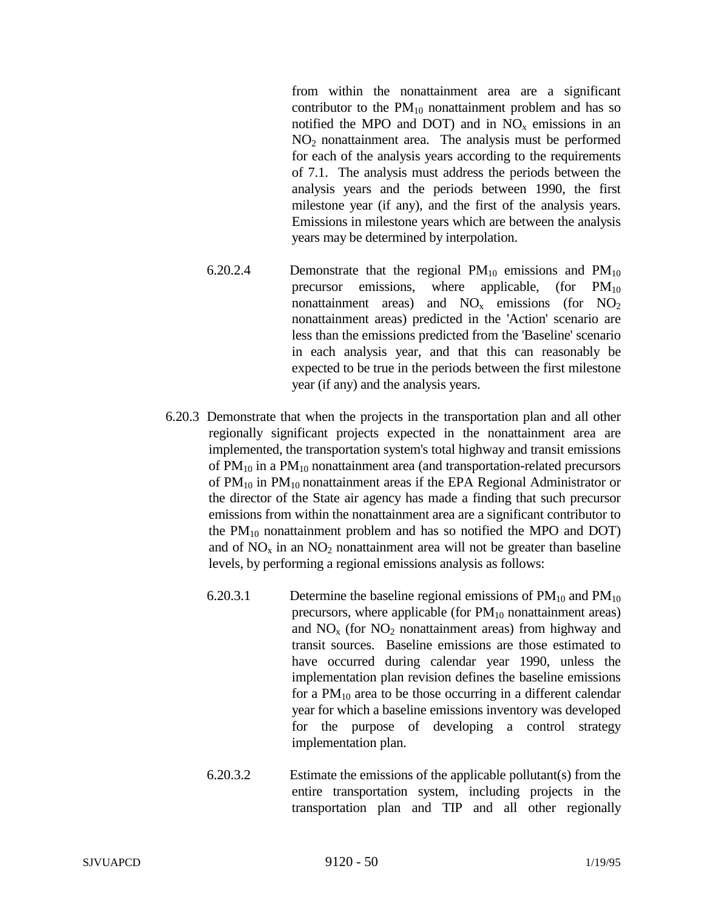from within the nonattainment area are a significant contributor to the  $PM_{10}$  nonattainment problem and has so notified the MPO and DOT) and in  $NO<sub>x</sub>$  emissions in an NO2 nonattainment area. The analysis must be performed for each of the analysis years according to the requirements of 7.1. The analysis must address the periods between the analysis years and the periods between 1990, the first milestone year (if any), and the first of the analysis years. Emissions in milestone years which are between the analysis years may be determined by interpolation.

- 6.20.2.4 Demonstrate that the regional  $PM_{10}$  emissions and  $PM_{10}$ precursor emissions, where applicable, (for  $PM_{10}$ ) nonattainment areas) and  $NO_x$  emissions (for  $NO_2$ ) nonattainment areas) predicted in the 'Action' scenario are less than the emissions predicted from the 'Baseline' scenario in each analysis year, and that this can reasonably be expected to be true in the periods between the first milestone year (if any) and the analysis years.
- 6.20.3 Demonstrate that when the projects in the transportation plan and all other regionally significant projects expected in the nonattainment area are implemented, the transportation system's total highway and transit emissions of  $PM_{10}$  in a  $PM_{10}$  nonattainment area (and transportation-related precursors of  $PM_{10}$  in  $PM_{10}$  nonattainment areas if the EPA Regional Administrator or the director of the State air agency has made a finding that such precursor emissions from within the nonattainment area are a significant contributor to the  $PM_{10}$  nonattainment problem and has so notified the MPO and DOT) and of  $NO<sub>x</sub>$  in an  $NO<sub>2</sub>$  nonattainment area will not be greater than baseline levels, by performing a regional emissions analysis as follows:
	- 6.20.3.1 Determine the baseline regional emissions of  $PM_{10}$  and  $PM_{10}$ precursors, where applicable (for  $PM_{10}$  nonattainment areas) and  $NO<sub>x</sub>$  (for  $NO<sub>2</sub>$  nonattainment areas) from highway and transit sources. Baseline emissions are those estimated to have occurred during calendar year 1990, unless the implementation plan revision defines the baseline emissions for a  $PM_{10}$  area to be those occurring in a different calendar year for which a baseline emissions inventory was developed for the purpose of developing a control strategy implementation plan.
	- 6.20.3.2 Estimate the emissions of the applicable pollutant(s) from the entire transportation system, including projects in the transportation plan and TIP and all other regionally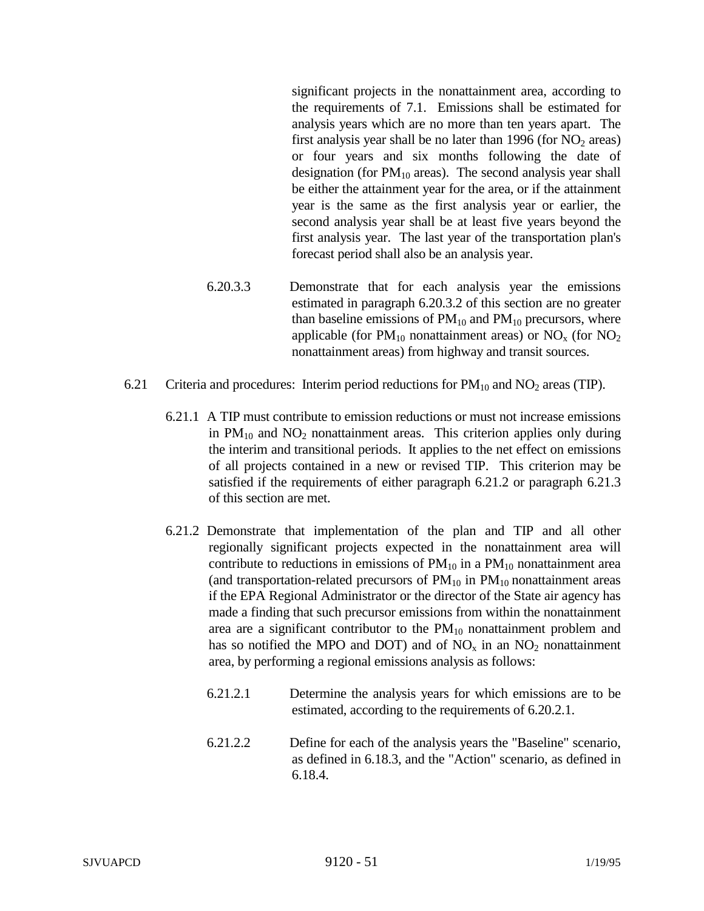significant projects in the nonattainment area, according to the requirements of 7.1. Emissions shall be estimated for analysis years which are no more than ten years apart. The first analysis year shall be no later than 1996 (for  $NO<sub>2</sub>$  areas) or four years and six months following the date of designation (for  $PM_{10}$  areas). The second analysis year shall be either the attainment year for the area, or if the attainment year is the same as the first analysis year or earlier, the second analysis year shall be at least five years beyond the first analysis year. The last year of the transportation plan's forecast period shall also be an analysis year.

- 6.20.3.3 Demonstrate that for each analysis year the emissions estimated in paragraph 6.20.3.2 of this section are no greater than baseline emissions of  $PM_{10}$  and  $PM_{10}$  precursors, where applicable (for  $PM_{10}$  nonattainment areas) or  $NO_x$  (for  $NO_2$ ) nonattainment areas) from highway and transit sources.
- 6.21 Criteria and procedures: Interim period reductions for  $PM_{10}$  and  $NO<sub>2</sub>$  areas (TIP).
	- 6.21.1 A TIP must contribute to emission reductions or must not increase emissions in  $PM_{10}$  and  $NO<sub>2</sub>$  nonattainment areas. This criterion applies only during the interim and transitional periods. It applies to the net effect on emissions of all projects contained in a new or revised TIP. This criterion may be satisfied if the requirements of either paragraph 6.21.2 or paragraph 6.21.3 of this section are met.
	- 6.21.2 Demonstrate that implementation of the plan and TIP and all other regionally significant projects expected in the nonattainment area will contribute to reductions in emissions of  $PM_{10}$  in a  $PM_{10}$  nonattainment area (and transportation-related precursors of  $PM_{10}$  in  $PM_{10}$  nonattainment areas if the EPA Regional Administrator or the director of the State air agency has made a finding that such precursor emissions from within the nonattainment area are a significant contributor to the  $PM_{10}$  nonattainment problem and has so notified the MPO and DOT) and of  $NO<sub>x</sub>$  in an  $NO<sub>2</sub>$  nonattainment area, by performing a regional emissions analysis as follows:
		- 6.21.2.1 Determine the analysis years for which emissions are to be estimated, according to the requirements of 6.20.2.1.
		- 6.21.2.2 Define for each of the analysis years the "Baseline" scenario, as defined in 6.18.3, and the "Action" scenario, as defined in 6.18.4.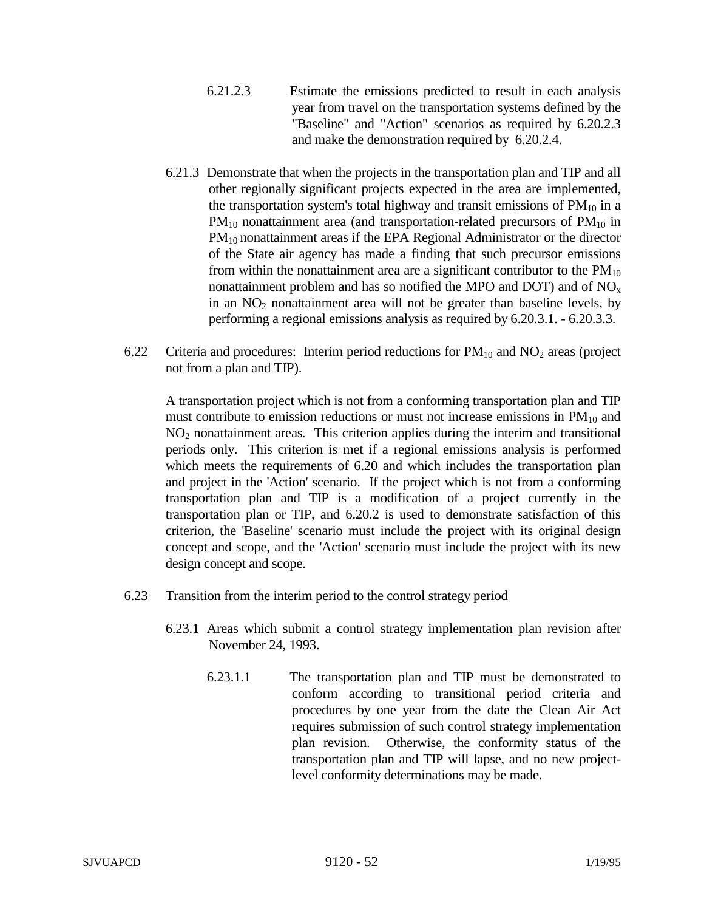- 6.21.2.3 Estimate the emissions predicted to result in each analysis year from travel on the transportation systems defined by the "Baseline" and "Action" scenarios as required by 6.20.2.3 and make the demonstration required by 6.20.2.4.
- 6.21.3 Demonstrate that when the projects in the transportation plan and TIP and all other regionally significant projects expected in the area are implemented, the transportation system's total highway and transit emissions of  $PM_{10}$  in a  $PM_{10}$  nonattainment area (and transportation-related precursors of  $PM_{10}$  in PM<sub>10</sub> nonattainment areas if the EPA Regional Administrator or the director of the State air agency has made a finding that such precursor emissions from within the nonattainment area are a significant contributor to the  $PM_{10}$ nonattainment problem and has so notified the MPO and DOT) and of  $NO<sub>x</sub>$ in an  $NO<sub>2</sub>$  nonattainment area will not be greater than baseline levels, by performing a regional emissions analysis as required by 6.20.3.1. - 6.20.3.3.
- 6.22 Criteria and procedures: Interim period reductions for  $PM_{10}$  and  $NO<sub>2</sub>$  areas (project not from a plan and TIP).

A transportation project which is not from a conforming transportation plan and TIP must contribute to emission reductions or must not increase emissions in  $PM_{10}$  and NO2 nonattainment areas*.* This criterion applies during the interim and transitional periods only. This criterion is met if a regional emissions analysis is performed which meets the requirements of 6.20 and which includes the transportation plan and project in the 'Action' scenario. If the project which is not from a conforming transportation plan and TIP is a modification of a project currently in the transportation plan or TIP, and 6.20.2 is used to demonstrate satisfaction of this criterion, the 'Baseline' scenario must include the project with its original design concept and scope, and the 'Action' scenario must include the project with its new design concept and scope.

- 6.23 Transition from the interim period to the control strategy period
	- 6.23.1 Areas which submit a control strategy implementation plan revision after November 24, 1993.
		- 6.23.1.1 The transportation plan and TIP must be demonstrated to conform according to transitional period criteria and procedures by one year from the date the Clean Air Act requires submission of such control strategy implementation plan revision. Otherwise, the conformity status of the transportation plan and TIP will lapse, and no new projectlevel conformity determinations may be made.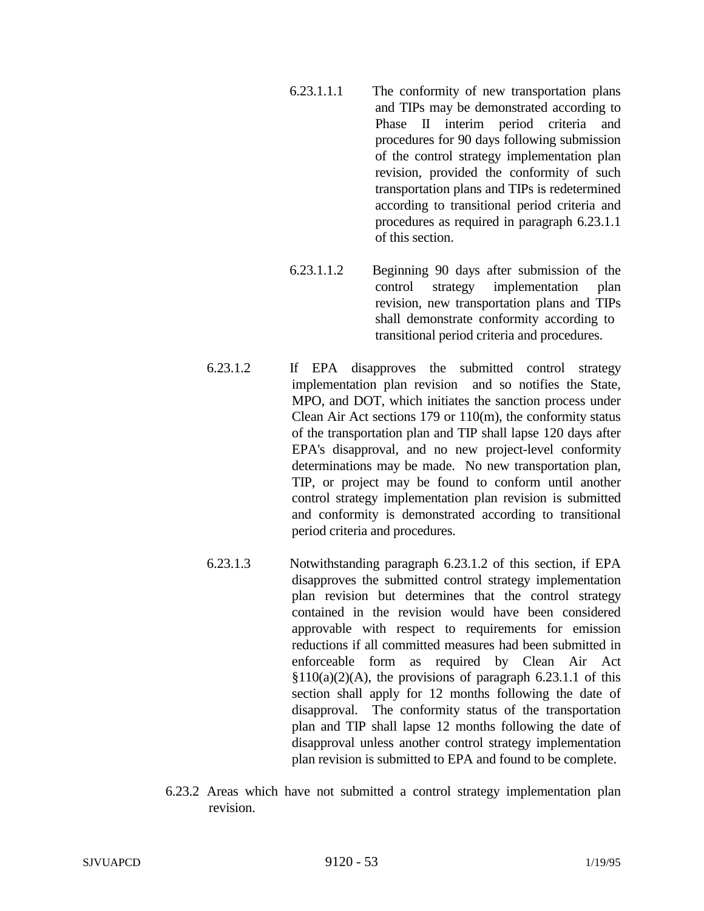- 6.23.1.1.1 The conformity of new transportation plans and TIPs may be demonstrated according to Phase II interim period criteria and procedures for 90 days following submission of the control strategy implementation plan revision, provided the conformity of such transportation plans and TIPs is redetermined according to transitional period criteria and procedures as required in paragraph 6.23.1.1 of this section.
- 6.23.1.1.2 Beginning 90 days after submission of the control strategy implementation plan revision, new transportation plans and TIPs shall demonstrate conformity according to transitional period criteria and procedures.
- 6.23.1.2 If EPA disapproves the submitted control strategy implementation plan revision and so notifies the State, MPO, and DOT, which initiates the sanction process under Clean Air Act sections 179 or 110(m), the conformity status of the transportation plan and TIP shall lapse 120 days after EPA's disapproval, and no new project-level conformity determinations may be made. No new transportation plan, TIP, or project may be found to conform until another control strategy implementation plan revision is submitted and conformity is demonstrated according to transitional period criteria and procedures.
- 6.23.1.3 Notwithstanding paragraph 6.23.1.2 of this section, if EPA disapproves the submitted control strategy implementation plan revision but determines that the control strategy contained in the revision would have been considered approvable with respect to requirements for emission reductions if all committed measures had been submitted in enforceable form as required by Clean Air Act  $$110(a)(2)(A)$ , the provisions of paragraph 6.23.1.1 of this section shall apply for 12 months following the date of disapproval. The conformity status of the transportation plan and TIP shall lapse 12 months following the date of disapproval unless another control strategy implementation plan revision is submitted to EPA and found to be complete.
- 6.23.2 Areas which have not submitted a control strategy implementation plan revision.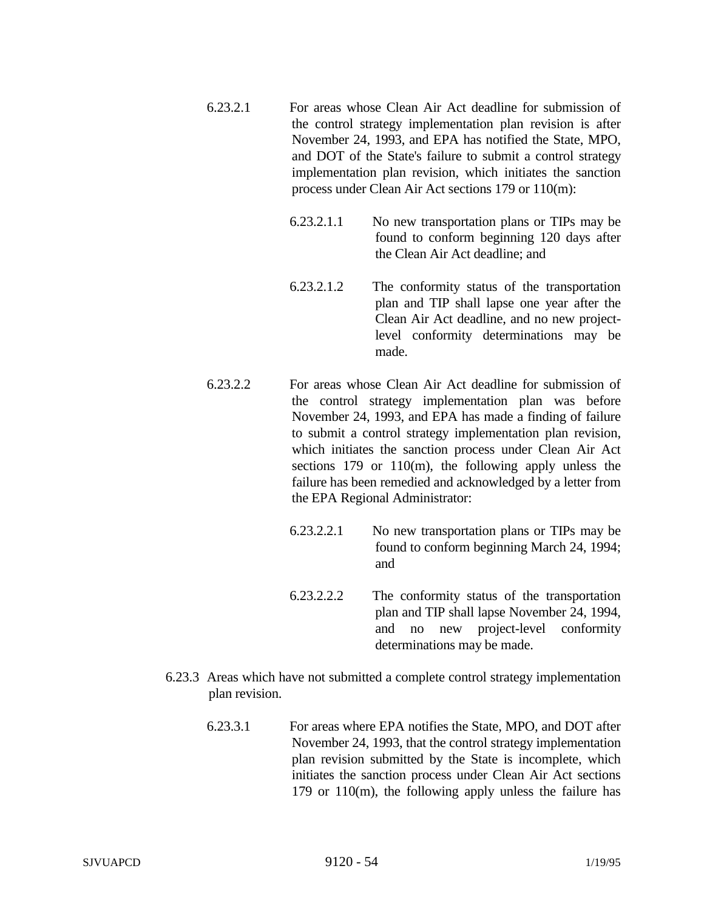- 6.23.2.1 For areas whose Clean Air Act deadline for submission of the control strategy implementation plan revision is after November 24, 1993, and EPA has notified the State, MPO, and DOT of the State's failure to submit a control strategy implementation plan revision, which initiates the sanction process under Clean Air Act sections 179 or 110(m):
	- 6.23.2.1.1 No new transportation plans or TIPs may be found to conform beginning 120 days after the Clean Air Act deadline; and
	- 6.23.2.1.2 The conformity status of the transportation plan and TIP shall lapse one year after the Clean Air Act deadline, and no new projectlevel conformity determinations may be made.
- 6.23.2.2 For areas whose Clean Air Act deadline for submission of the control strategy implementation plan was before November 24, 1993, and EPA has made a finding of failure to submit a control strategy implementation plan revision, which initiates the sanction process under Clean Air Act sections 179 or 110(m), the following apply unless the failure has been remedied and acknowledged by a letter from the EPA Regional Administrator:
	- 6.23.2.2.1 No new transportation plans or TIPs may be found to conform beginning March 24, 1994; and
	- 6.23.2.2.2 The conformity status of the transportation plan and TIP shall lapse November 24, 1994, and no new project-level conformity determinations may be made.
- 6.23.3 Areas which have not submitted a complete control strategy implementation plan revision.
	- 6.23.3.1 For areas where EPA notifies the State, MPO, and DOT after November 24, 1993, that the control strategy implementation plan revision submitted by the State is incomplete, which initiates the sanction process under Clean Air Act sections 179 or 110(m), the following apply unless the failure has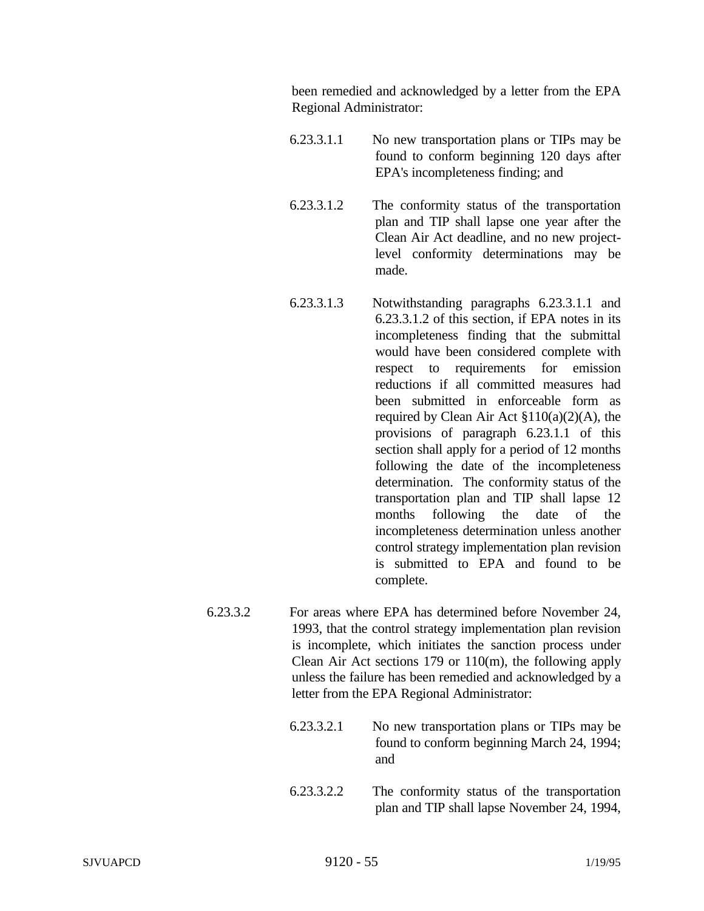been remedied and acknowledged by a letter from the EPA Regional Administrator:

- 6.23.3.1.1 No new transportation plans or TIPs may be found to conform beginning 120 days after EPA's incompleteness finding; and
- 6.23.3.1.2 The conformity status of the transportation plan and TIP shall lapse one year after the Clean Air Act deadline, and no new projectlevel conformity determinations may be made.
- 6.23.3.1.3 Notwithstanding paragraphs 6.23.3.1.1 and 6.23.3.1.2 of this section, if EPA notes in its incompleteness finding that the submittal would have been considered complete with respect to requirements for emission reductions if all committed measures had been submitted in enforceable form as required by Clean Air Act §110(a)(2)(A), the provisions of paragraph 6.23.1.1 of this section shall apply for a period of 12 months following the date of the incompleteness determination. The conformity status of the transportation plan and TIP shall lapse 12 months following the date of the incompleteness determination unless another control strategy implementation plan revision is submitted to EPA and found to be complete.
- 6.23.3.2 For areas where EPA has determined before November 24, 1993, that the control strategy implementation plan revision is incomplete, which initiates the sanction process under Clean Air Act sections 179 or 110(m), the following apply unless the failure has been remedied and acknowledged by a letter from the EPA Regional Administrator:
	- 6.23.3.2.1 No new transportation plans or TIPs may be found to conform beginning March 24, 1994; and
	- 6.23.3.2.2 The conformity status of the transportation plan and TIP shall lapse November 24, 1994,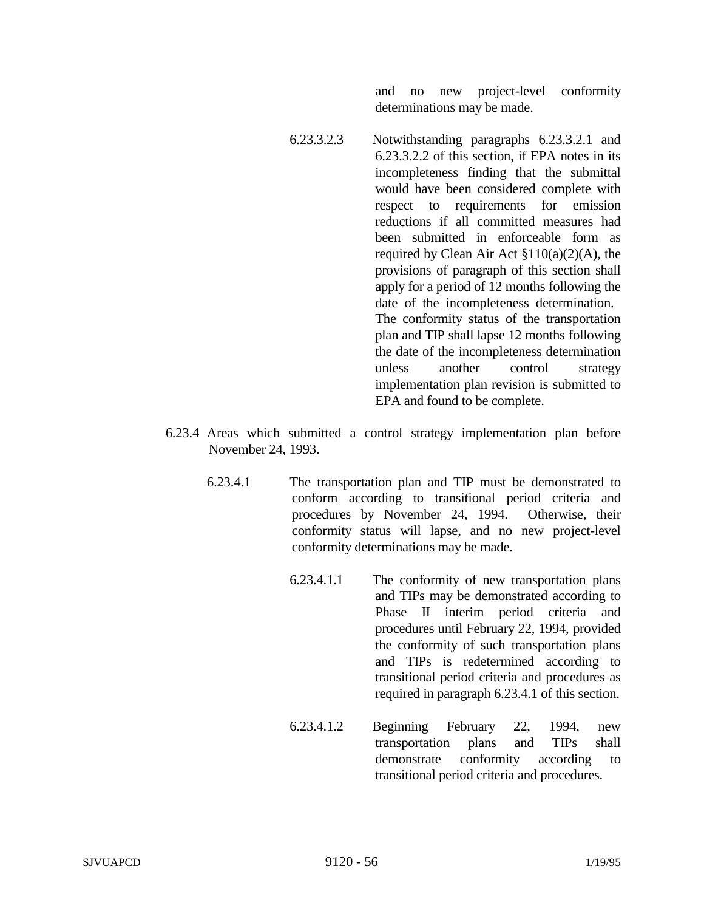and no new project-level conformity determinations may be made.

- 6.23.3.2.3 Notwithstanding paragraphs 6.23.3.2.1 and 6.23.3.2.2 of this section, if EPA notes in its incompleteness finding that the submittal would have been considered complete with respect to requirements for emission reductions if all committed measures had been submitted in enforceable form as required by Clean Air Act  $$110(a)(2)(A)$ , the provisions of paragraph of this section shall apply for a period of 12 months following the date of the incompleteness determination. The conformity status of the transportation plan and TIP shall lapse 12 months following the date of the incompleteness determination unless another control strategy implementation plan revision is submitted to EPA and found to be complete.
- 6.23.4 Areas which submitted a control strategy implementation plan before November 24, 1993.
	- 6.23.4.1 The transportation plan and TIP must be demonstrated to conform according to transitional period criteria and procedures by November 24, 1994. Otherwise, their conformity status will lapse, and no new project-level conformity determinations may be made.
		- 6.23.4.1.1 The conformity of new transportation plans and TIPs may be demonstrated according to Phase II interim period criteria and procedures until February 22, 1994, provided the conformity of such transportation plans and TIPs is redetermined according to transitional period criteria and procedures as required in paragraph 6.23.4.1 of this section.
		- 6.23.4.1.2 Beginning February 22, 1994, new transportation plans and TIPs shall demonstrate conformity according to transitional period criteria and procedures.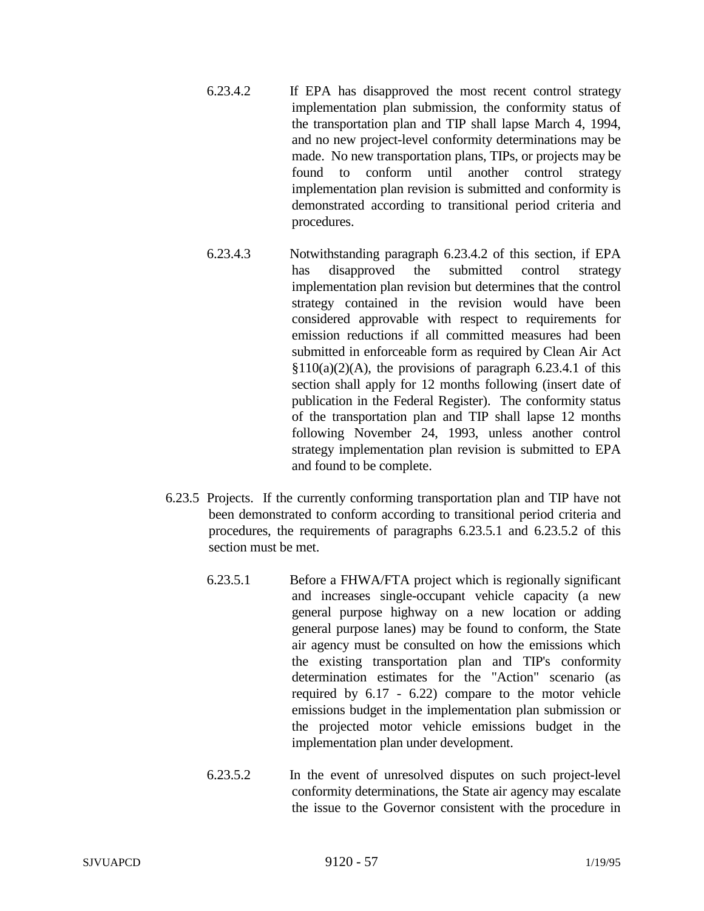- 6.23.4.2 If EPA has disapproved the most recent control strategy implementation plan submission, the conformity status of the transportation plan and TIP shall lapse March 4, 1994, and no new project-level conformity determinations may be made. No new transportation plans, TIPs, or projects may be found to conform until another control strategy implementation plan revision is submitted and conformity is demonstrated according to transitional period criteria and procedures.
- 6.23.4.3 Notwithstanding paragraph 6.23.4.2 of this section, if EPA has disapproved the submitted control strategy implementation plan revision but determines that the control strategy contained in the revision would have been considered approvable with respect to requirements for emission reductions if all committed measures had been submitted in enforceable form as required by Clean Air Act  $§110(a)(2)(A)$ , the provisions of paragraph 6.23.4.1 of this section shall apply for 12 months following (insert date of publication in the Federal Register). The conformity status of the transportation plan and TIP shall lapse 12 months following November 24, 1993, unless another control strategy implementation plan revision is submitted to EPA and found to be complete.
- 6.23.5 Projects. If the currently conforming transportation plan and TIP have not been demonstrated to conform according to transitional period criteria and procedures, the requirements of paragraphs 6.23.5.1 and 6.23.5.2 of this section must be met.
	- 6.23.5.1 Before a FHWA/FTA project which is regionally significant and increases single-occupant vehicle capacity (a new general purpose highway on a new location or adding general purpose lanes) may be found to conform, the State air agency must be consulted on how the emissions which the existing transportation plan and TIP's conformity determination estimates for the "Action" scenario (as required by 6.17 - 6.22) compare to the motor vehicle emissions budget in the implementation plan submission or the projected motor vehicle emissions budget in the implementation plan under development.
	- 6.23.5.2 In the event of unresolved disputes on such project-level conformity determinations, the State air agency may escalate the issue to the Governor consistent with the procedure in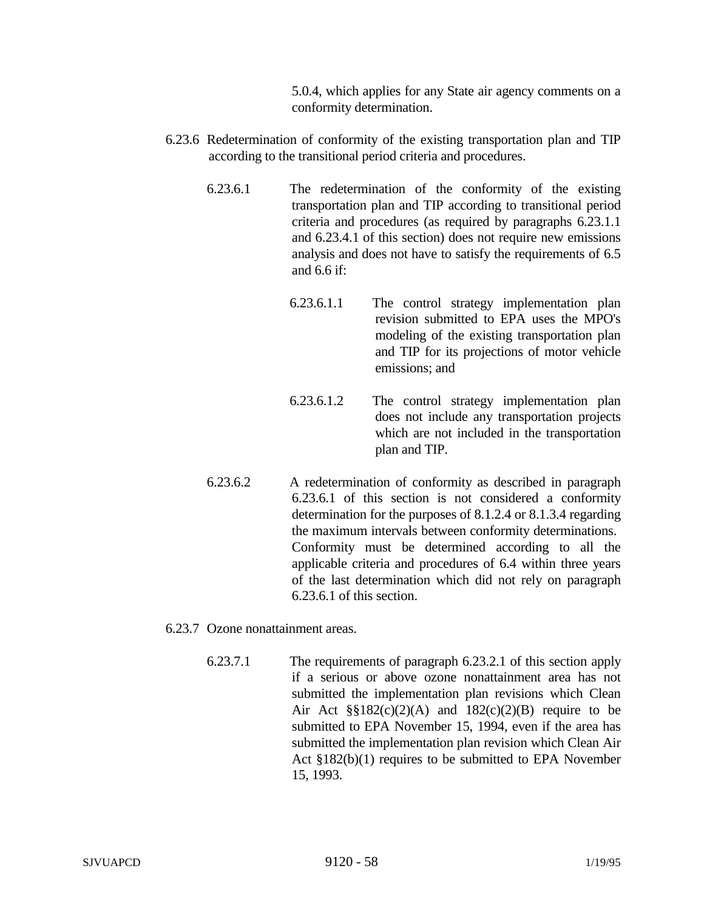5.0.4, which applies for any State air agency comments on a conformity determination.

- 6.23.6 Redetermination of conformity of the existing transportation plan and TIP according to the transitional period criteria and procedures.
	- 6.23.6.1 The redetermination of the conformity of the existing transportation plan and TIP according to transitional period criteria and procedures (as required by paragraphs 6.23.1.1 and 6.23.4.1 of this section) does not require new emissions analysis and does not have to satisfy the requirements of 6.5 and 6.6 if:
		- 6.23.6.1.1 The control strategy implementation plan revision submitted to EPA uses the MPO's modeling of the existing transportation plan and TIP for its projections of motor vehicle emissions; and
		- 6.23.6.1.2 The control strategy implementation plan does not include any transportation projects which are not included in the transportation plan and TIP.
	- 6.23.6.2 A redetermination of conformity as described in paragraph 6.23.6.1 of this section is not considered a conformity determination for the purposes of 8.1.2.4 or 8.1.3.4 regarding the maximum intervals between conformity determinations. Conformity must be determined according to all the applicable criteria and procedures of 6.4 within three years of the last determination which did not rely on paragraph 6.23.6.1 of this section.
- 6.23.7 Ozone nonattainment areas.
	- 6.23.7.1 The requirements of paragraph 6.23.2.1 of this section apply if a serious or above ozone nonattainment area has not submitted the implementation plan revisions which Clean Air Act  $\S$ §182(c)(2)(A) and 182(c)(2)(B) require to be submitted to EPA November 15, 1994, even if the area has submitted the implementation plan revision which Clean Air Act §182(b)(1) requires to be submitted to EPA November 15, 1993.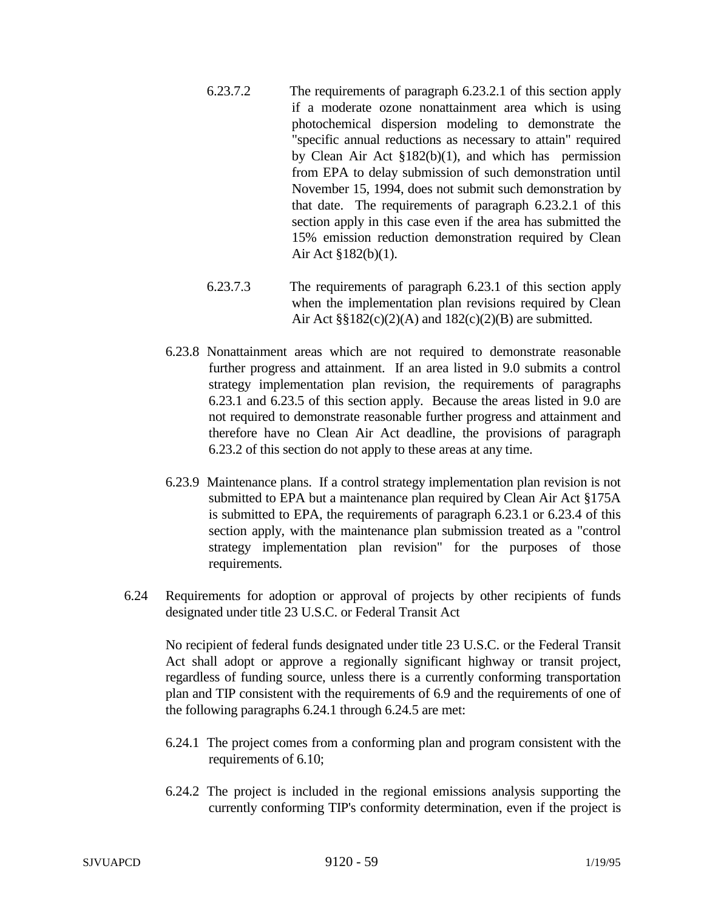- 6.23.7.2 The requirements of paragraph 6.23.2.1 of this section apply if a moderate ozone nonattainment area which is using photochemical dispersion modeling to demonstrate the "specific annual reductions as necessary to attain" required by Clean Air Act §182(b)(1), and which has permission from EPA to delay submission of such demonstration until November 15, 1994, does not submit such demonstration by that date. The requirements of paragraph 6.23.2.1 of this section apply in this case even if the area has submitted the 15% emission reduction demonstration required by Clean Air Act §182(b)(1).
- 6.23.7.3 The requirements of paragraph 6.23.1 of this section apply when the implementation plan revisions required by Clean Air Act  $\S$ §182(c)(2)(A) and 182(c)(2)(B) are submitted.
- 6.23.8 Nonattainment areas which are not required to demonstrate reasonable further progress and attainment. If an area listed in 9.0 submits a control strategy implementation plan revision, the requirements of paragraphs 6.23.1 and 6.23.5 of this section apply. Because the areas listed in 9.0 are not required to demonstrate reasonable further progress and attainment and therefore have no Clean Air Act deadline, the provisions of paragraph 6.23.2 of this section do not apply to these areas at any time.
- 6.23.9 Maintenance plans. If a control strategy implementation plan revision is not submitted to EPA but a maintenance plan required by Clean Air Act §175A is submitted to EPA, the requirements of paragraph 6.23.1 or 6.23.4 of this section apply, with the maintenance plan submission treated as a "control strategy implementation plan revision" for the purposes of those requirements.
- 6.24 Requirements for adoption or approval of projects by other recipients of funds designated under title 23 U.S.C. or Federal Transit Act

No recipient of federal funds designated under title 23 U.S.C. or the Federal Transit Act shall adopt or approve a regionally significant highway or transit project, regardless of funding source, unless there is a currently conforming transportation plan and TIP consistent with the requirements of 6.9 and the requirements of one of the following paragraphs 6.24.1 through 6.24.5 are met:

- 6.24.1 The project comes from a conforming plan and program consistent with the requirements of 6.10;
- 6.24.2 The project is included in the regional emissions analysis supporting the currently conforming TIP's conformity determination, even if the project is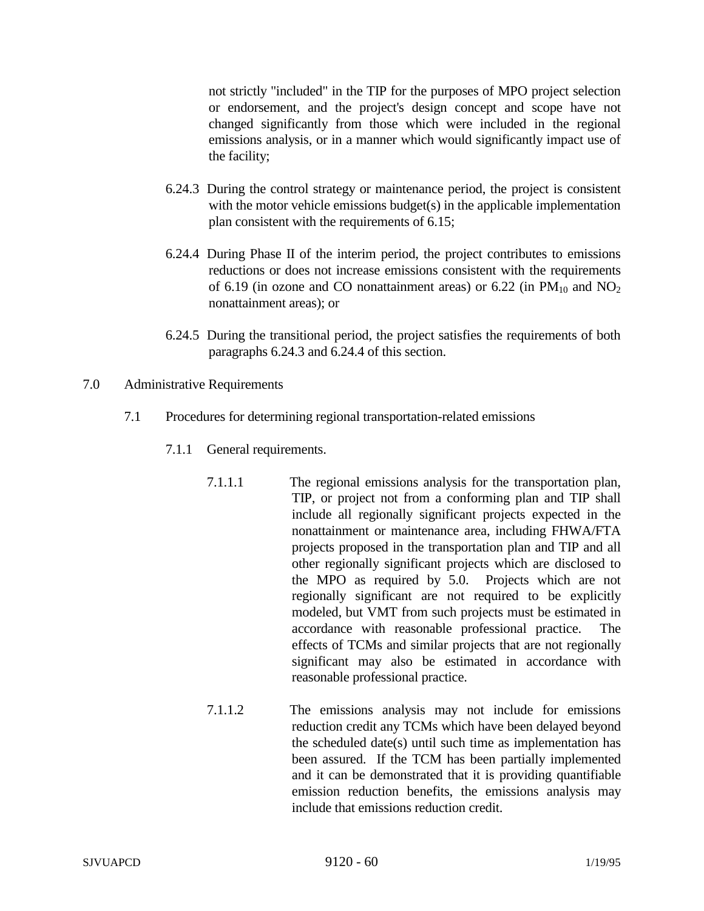not strictly "included" in the TIP for the purposes of MPO project selection or endorsement, and the project's design concept and scope have not changed significantly from those which were included in the regional emissions analysis, or in a manner which would significantly impact use of the facility;

- 6.24.3 During the control strategy or maintenance period, the project is consistent with the motor vehicle emissions budget(s) in the applicable implementation plan consistent with the requirements of 6.15;
- 6.24.4 During Phase II of the interim period, the project contributes to emissions reductions or does not increase emissions consistent with the requirements of 6.19 (in ozone and CO nonattainment areas) or 6.22 (in  $PM_{10}$  and  $NO_2$ nonattainment areas); or
- 6.24.5 During the transitional period, the project satisfies the requirements of both paragraphs 6.24.3 and 6.24.4 of this section.
- 7.0 Administrative Requirements
	- 7.1 Procedures for determining regional transportation-related emissions
		- 7.1.1 General requirements.
			- 7.1.1.1 The regional emissions analysis for the transportation plan, TIP, or project not from a conforming plan and TIP shall include all regionally significant projects expected in the nonattainment or maintenance area, including FHWA/FTA projects proposed in the transportation plan and TIP and all other regionally significant projects which are disclosed to the MPO as required by 5.0. Projects which are not regionally significant are not required to be explicitly modeled, but VMT from such projects must be estimated in accordance with reasonable professional practice. The effects of TCMs and similar projects that are not regionally significant may also be estimated in accordance with reasonable professional practice.
			- 7.1.1.2 The emissions analysis may not include for emissions reduction credit any TCMs which have been delayed beyond the scheduled date(s) until such time as implementation has been assured. If the TCM has been partially implemented and it can be demonstrated that it is providing quantifiable emission reduction benefits, the emissions analysis may include that emissions reduction credit.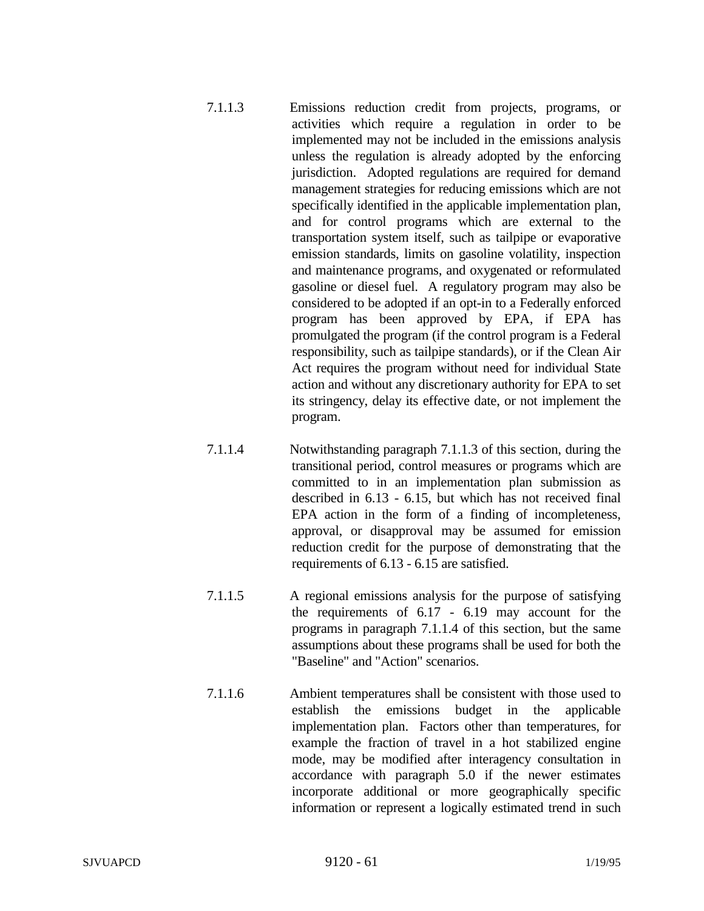- 7.1.1.3 Emissions reduction credit from projects, programs, or activities which require a regulation in order to be implemented may not be included in the emissions analysis unless the regulation is already adopted by the enforcing jurisdiction. Adopted regulations are required for demand management strategies for reducing emissions which are not specifically identified in the applicable implementation plan, and for control programs which are external to the transportation system itself, such as tailpipe or evaporative emission standards, limits on gasoline volatility, inspection and maintenance programs, and oxygenated or reformulated gasoline or diesel fuel. A regulatory program may also be considered to be adopted if an opt-in to a Federally enforced program has been approved by EPA, if EPA has promulgated the program (if the control program is a Federal responsibility, such as tailpipe standards), or if the Clean Air Act requires the program without need for individual State action and without any discretionary authority for EPA to set its stringency, delay its effective date, or not implement the program.
- 7.1.1.4 Notwithstanding paragraph 7.1.1.3 of this section, during the transitional period, control measures or programs which are committed to in an implementation plan submission as described in 6.13 - 6.15, but which has not received final EPA action in the form of a finding of incompleteness, approval, or disapproval may be assumed for emission reduction credit for the purpose of demonstrating that the requirements of 6.13 - 6.15 are satisfied.
- 7.1.1.5 A regional emissions analysis for the purpose of satisfying the requirements of 6.17 - 6.19 may account for the programs in paragraph 7.1.1.4 of this section, but the same assumptions about these programs shall be used for both the "Baseline" and "Action" scenarios.
- 7.1.1.6 Ambient temperatures shall be consistent with those used to establish the emissions budget in the applicable implementation plan. Factors other than temperatures, for example the fraction of travel in a hot stabilized engine mode, may be modified after interagency consultation in accordance with paragraph 5.0 if the newer estimates incorporate additional or more geographically specific information or represent a logically estimated trend in such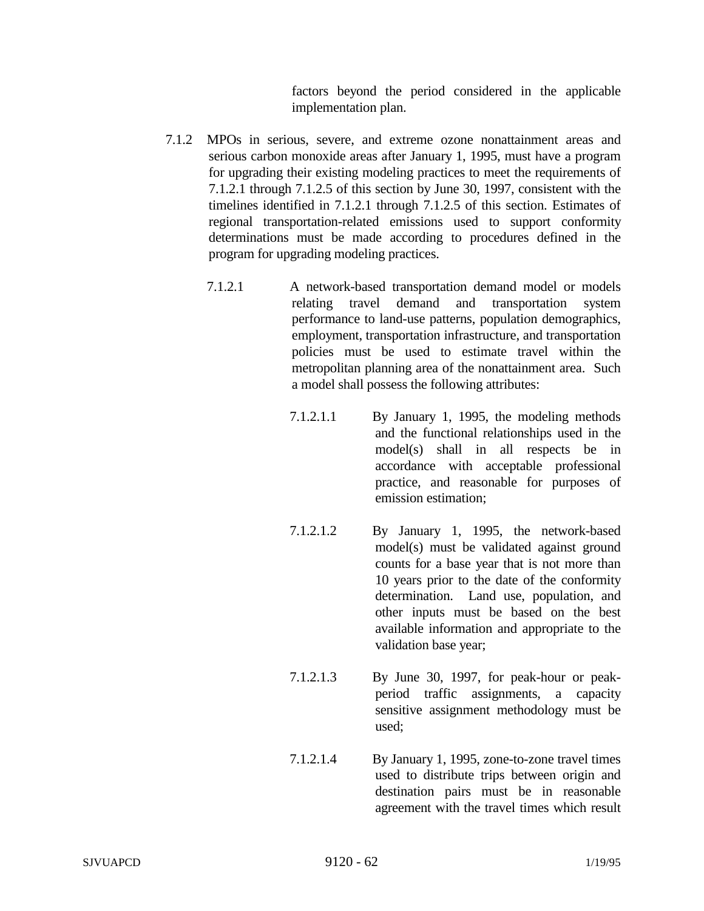factors beyond the period considered in the applicable implementation plan.

- 7.1.2 MPOs in serious, severe, and extreme ozone nonattainment areas and serious carbon monoxide areas after January 1, 1995, must have a program for upgrading their existing modeling practices to meet the requirements of 7.1.2.1 through 7.1.2.5 of this section by June 30, 1997, consistent with the timelines identified in 7.1.2.1 through 7.1.2.5 of this section. Estimates of regional transportation-related emissions used to support conformity determinations must be made according to procedures defined in the program for upgrading modeling practices.
	- 7.1.2.1 A network-based transportation demand model or models relating travel demand and transportation system performance to land-use patterns, population demographics, employment, transportation infrastructure, and transportation policies must be used to estimate travel within the metropolitan planning area of the nonattainment area. Such a model shall possess the following attributes:
		- 7.1.2.1.1 By January 1, 1995, the modeling methods and the functional relationships used in the model(s) shall in all respects be in accordance with acceptable professional practice, and reasonable for purposes of emission estimation;
		- 7.1.2.1.2 By January 1, 1995, the network-based model(s) must be validated against ground counts for a base year that is not more than 10 years prior to the date of the conformity determination. Land use, population, and other inputs must be based on the best available information and appropriate to the validation base year;
		- 7.1.2.1.3 By June 30, 1997, for peak-hour or peakperiod traffic assignments, a capacity sensitive assignment methodology must be used;
		- 7.1.2.1.4 By January 1, 1995, zone-to-zone travel times used to distribute trips between origin and destination pairs must be in reasonable agreement with the travel times which result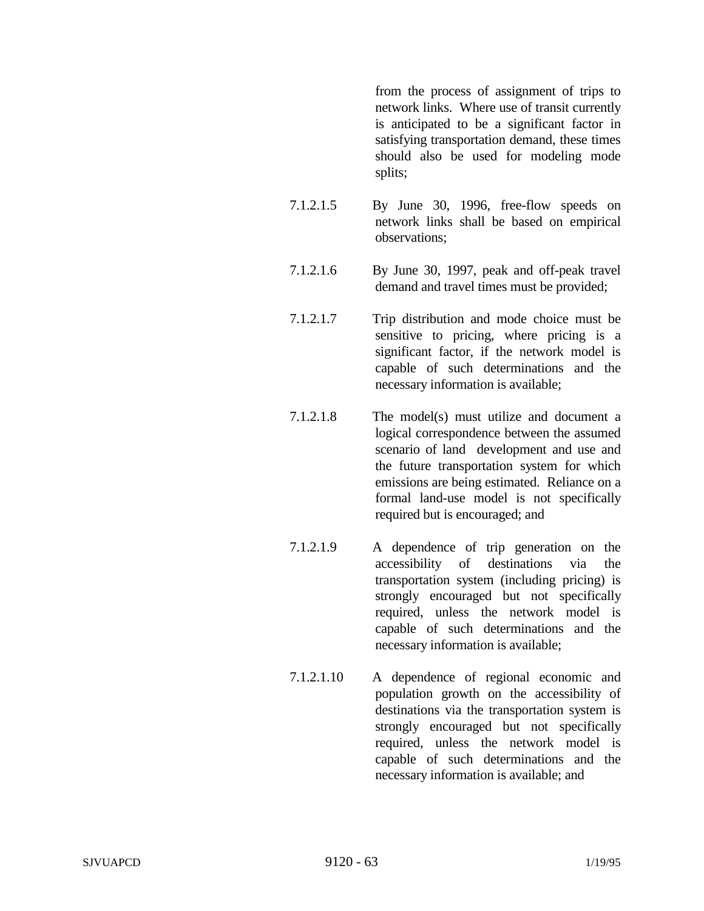from the process of assignment of trips to network links. Where use of transit currently is anticipated to be a significant factor in satisfying transportation demand, these times should also be used for modeling mode splits;

- 7.1.2.1.5 By June 30, 1996, free-flow speeds on network links shall be based on empirical observations;
- 7.1.2.1.6 By June 30, 1997, peak and off-peak travel demand and travel times must be provided;
- 7.1.2.1.7 Trip distribution and mode choice must be sensitive to pricing, where pricing is a significant factor, if the network model is capable of such determinations and the necessary information is available;
- 7.1.2.1.8 The model(s) must utilize and document a logical correspondence between the assumed scenario of land development and use and the future transportation system for which emissions are being estimated. Reliance on a formal land-use model is not specifically required but is encouraged; and
- 7.1.2.1.9 A dependence of trip generation on the accessibility of destinations via the transportation system (including pricing) is strongly encouraged but not specifically required, unless the network model is capable of such determinations and the necessary information is available;
- 7.1.2.1.10 A dependence of regional economic and population growth on the accessibility of destinations via the transportation system is strongly encouraged but not specifically required, unless the network model is capable of such determinations and the necessary information is available; and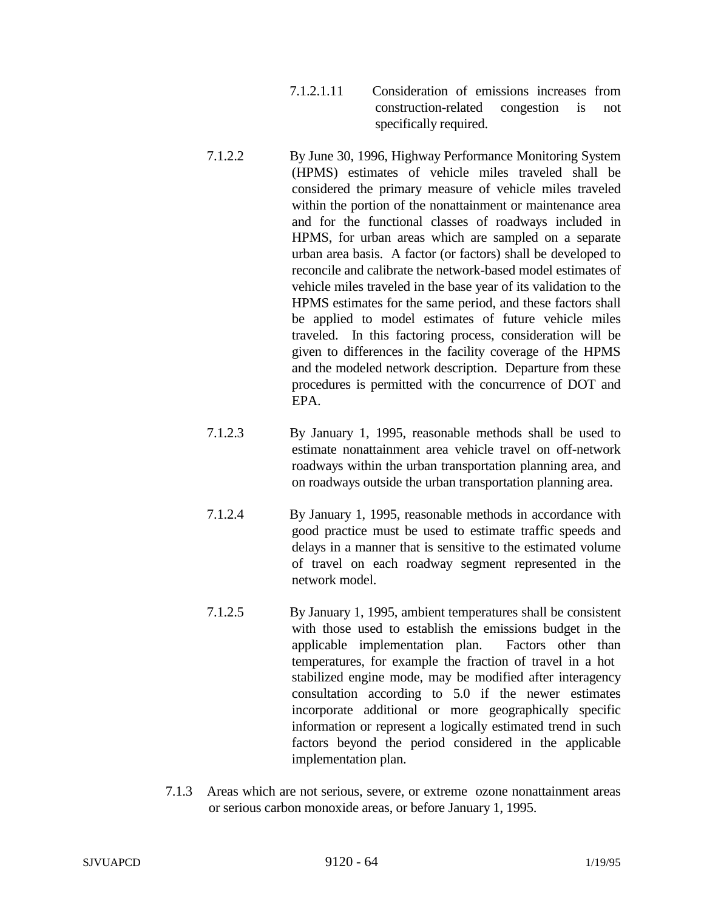- 7.1.2.1.11 Consideration of emissions increases from construction-related congestion is not specifically required.
- 7.1.2.2 By June 30, 1996, Highway Performance Monitoring System (HPMS) estimates of vehicle miles traveled shall be considered the primary measure of vehicle miles traveled within the portion of the nonattainment or maintenance area and for the functional classes of roadways included in HPMS, for urban areas which are sampled on a separate urban area basis. A factor (or factors) shall be developed to reconcile and calibrate the network-based model estimates of vehicle miles traveled in the base year of its validation to the HPMS estimates for the same period, and these factors shall be applied to model estimates of future vehicle miles traveled. In this factoring process, consideration will be given to differences in the facility coverage of the HPMS and the modeled network description. Departure from these procedures is permitted with the concurrence of DOT and EPA.
- 7.1.2.3 By January 1, 1995, reasonable methods shall be used to estimate nonattainment area vehicle travel on off-network roadways within the urban transportation planning area, and on roadways outside the urban transportation planning area.
- 7.1.2.4 By January 1, 1995, reasonable methods in accordance with good practice must be used to estimate traffic speeds and delays in a manner that is sensitive to the estimated volume of travel on each roadway segment represented in the network model.
- 7.1.2.5 By January 1, 1995, ambient temperatures shall be consistent with those used to establish the emissions budget in the applicable implementation plan. Factors other than temperatures, for example the fraction of travel in a hot stabilized engine mode, may be modified after interagency consultation according to 5.0 if the newer estimates incorporate additional or more geographically specific information or represent a logically estimated trend in such factors beyond the period considered in the applicable implementation plan.
- 7.1.3 Areas which are not serious, severe, or extreme ozone nonattainment areas or serious carbon monoxide areas, or before January 1, 1995.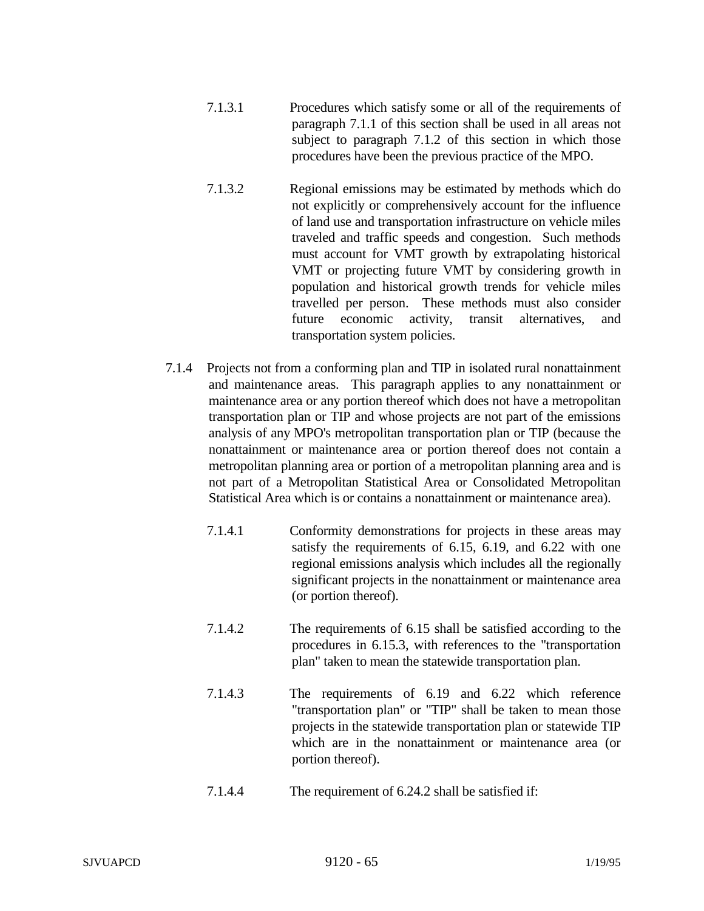- 7.1.3.1 Procedures which satisfy some or all of the requirements of paragraph 7.1.1 of this section shall be used in all areas not subject to paragraph 7.1.2 of this section in which those procedures have been the previous practice of the MPO.
- 7.1.3.2 Regional emissions may be estimated by methods which do not explicitly or comprehensively account for the influence of land use and transportation infrastructure on vehicle miles traveled and traffic speeds and congestion. Such methods must account for VMT growth by extrapolating historical VMT or projecting future VMT by considering growth in population and historical growth trends for vehicle miles travelled per person. These methods must also consider future economic activity, transit alternatives, and transportation system policies.
- 7.1.4 Projects not from a conforming plan and TIP in isolated rural nonattainment and maintenance areas. This paragraph applies to any nonattainment or maintenance area or any portion thereof which does not have a metropolitan transportation plan or TIP and whose projects are not part of the emissions analysis of any MPO's metropolitan transportation plan or TIP (because the nonattainment or maintenance area or portion thereof does not contain a metropolitan planning area or portion of a metropolitan planning area and is not part of a Metropolitan Statistical Area or Consolidated Metropolitan Statistical Area which is or contains a nonattainment or maintenance area).
	- 7.1.4.1 Conformity demonstrations for projects in these areas may satisfy the requirements of 6.15, 6.19, and 6.22 with one regional emissions analysis which includes all the regionally significant projects in the nonattainment or maintenance area (or portion thereof).
	- 7.1.4.2 The requirements of 6.15 shall be satisfied according to the procedures in 6.15.3, with references to the "transportation plan" taken to mean the statewide transportation plan.
	- 7.1.4.3 The requirements of 6.19 and 6.22 which reference "transportation plan" or "TIP" shall be taken to mean those projects in the statewide transportation plan or statewide TIP which are in the nonattainment or maintenance area (or portion thereof).
	- 7.1.4.4 The requirement of 6.24.2 shall be satisfied if: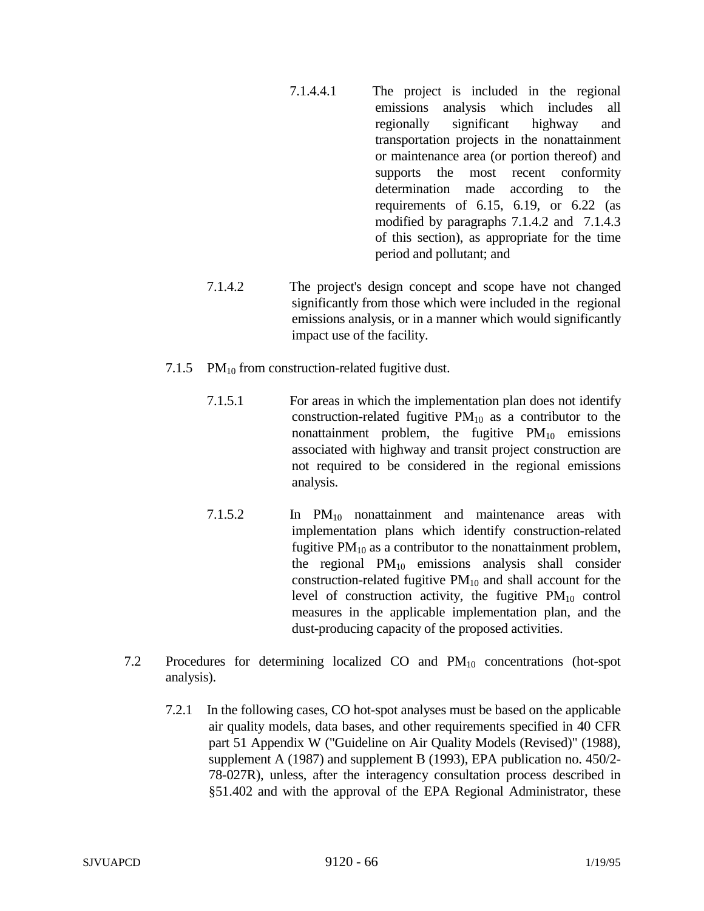- 7.1.4.4.1 The project is included in the regional emissions analysis which includes all regionally significant highway and transportation projects in the nonattainment or maintenance area (or portion thereof) and supports the most recent conformity determination made according to the requirements of  $6.15$ ,  $6.19$ , or  $6.22$  (as modified by paragraphs 7.1.4.2 and 7.1.4.3 of this section), as appropriate for the time period and pollutant; and
- 7.1.4.2 The project's design concept and scope have not changed significantly from those which were included in the regional emissions analysis, or in a manner which would significantly impact use of the facility.
- 7.1.5 PM $_{10}$  from construction-related fugitive dust.
	- 7.1.5.1 For areas in which the implementation plan does not identify construction-related fugitive  $PM_{10}$  as a contributor to the nonattainment problem, the fugitive  $PM_{10}$  emissions associated with highway and transit project construction are not required to be considered in the regional emissions analysis.
	- 7.1.5.2 In PM<sub>10</sub> nonattainment and maintenance areas with implementation plans which identify construction-related fugitive  $PM_{10}$  as a contributor to the nonattainment problem, the regional  $PM_{10}$  emissions analysis shall consider construction-related fugitive  $PM_{10}$  and shall account for the level of construction activity, the fugitive  $PM_{10}$  control measures in the applicable implementation plan, and the dust-producing capacity of the proposed activities.
- 7.2 Procedures for determining localized CO and PM<sub>10</sub> concentrations (hot-spot analysis).
	- 7.2.1 In the following cases, CO hot-spot analyses must be based on the applicable air quality models, data bases, and other requirements specified in 40 CFR part 51 Appendix W ("Guideline on Air Quality Models (Revised)" (1988), supplement A (1987) and supplement B (1993), EPA publication no. 450/2- 78-027R), unless, after the interagency consultation process described in §51.402 and with the approval of the EPA Regional Administrator, these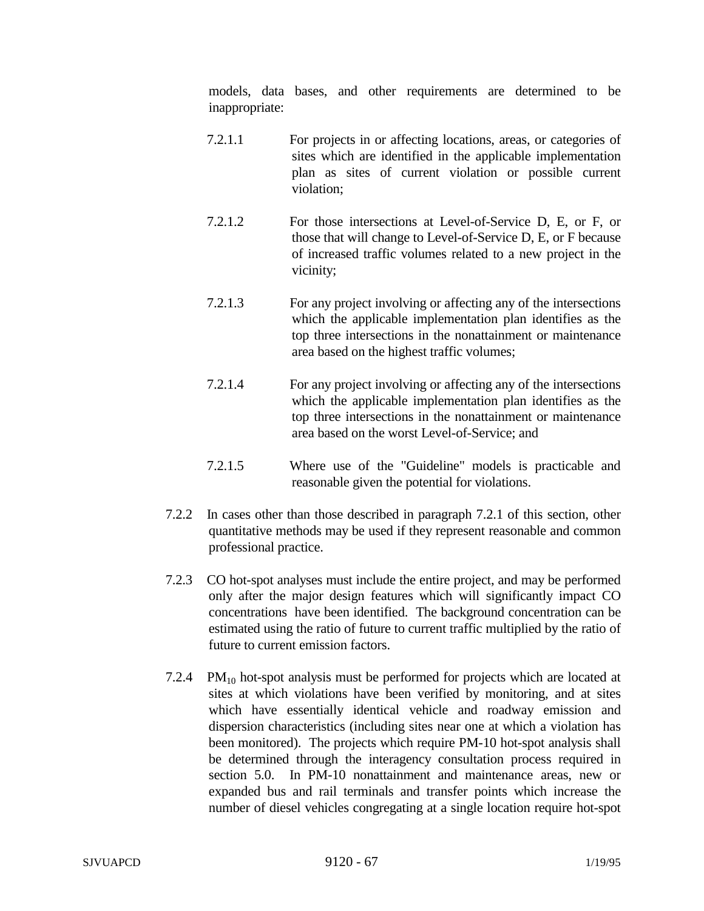models, data bases, and other requirements are determined to be inappropriate:

- 7.2.1.1 For projects in or affecting locations, areas, or categories of sites which are identified in the applicable implementation plan as sites of current violation or possible current violation;
- 7.2.1.2 For those intersections at Level-of-Service D, E, or F, or those that will change to Level-of-Service D, E, or F because of increased traffic volumes related to a new project in the vicinity;
- 7.2.1.3 For any project involving or affecting any of the intersections which the applicable implementation plan identifies as the top three intersections in the nonattainment or maintenance area based on the highest traffic volumes;
- 7.2.1.4 For any project involving or affecting any of the intersections which the applicable implementation plan identifies as the top three intersections in the nonattainment or maintenance area based on the worst Level-of-Service; and
- 7.2.1.5 Where use of the "Guideline" models is practicable and reasonable given the potential for violations.
- 7.2.2 In cases other than those described in paragraph 7.2.1 of this section, other quantitative methods may be used if they represent reasonable and common professional practice.
- 7.2.3 CO hot-spot analyses must include the entire project, and may be performed only after the major design features which will significantly impact CO concentrations have been identified. The background concentration can be estimated using the ratio of future to current traffic multiplied by the ratio of future to current emission factors.
- 7.2.4 PM $_{10}$  hot-spot analysis must be performed for projects which are located at sites at which violations have been verified by monitoring, and at sites which have essentially identical vehicle and roadway emission and dispersion characteristics (including sites near one at which a violation has been monitored). The projects which require PM-10 hot-spot analysis shall be determined through the interagency consultation process required in section 5.0. In PM-10 nonattainment and maintenance areas, new or expanded bus and rail terminals and transfer points which increase the number of diesel vehicles congregating at a single location require hot-spot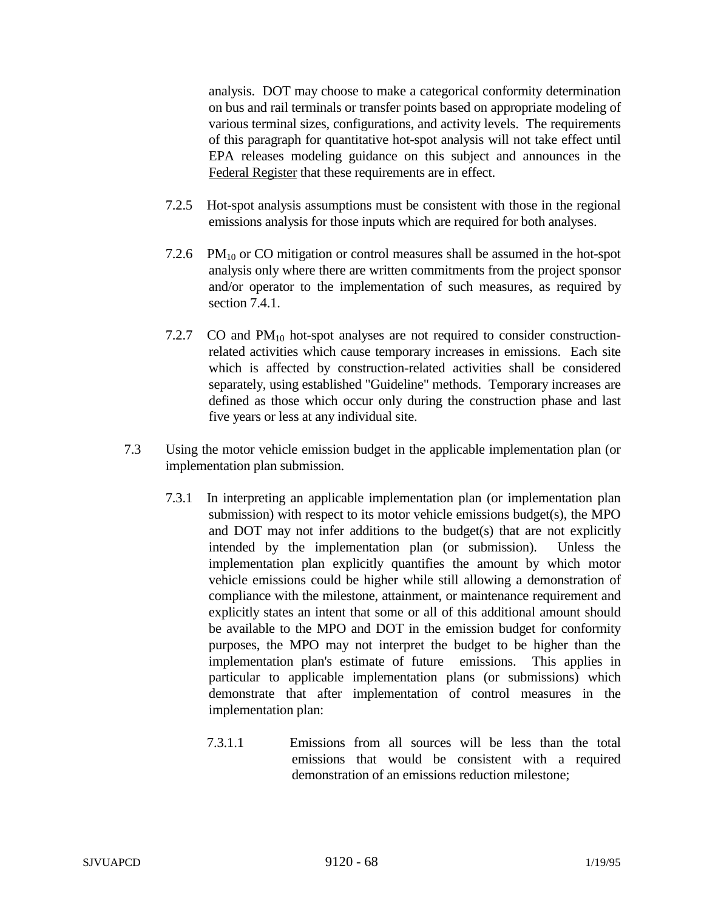analysis. DOT may choose to make a categorical conformity determination on bus and rail terminals or transfer points based on appropriate modeling of various terminal sizes, configurations, and activity levels. The requirements of this paragraph for quantitative hot-spot analysis will not take effect until EPA releases modeling guidance on this subject and announces in the Federal Register that these requirements are in effect.

- 7.2.5 Hot-spot analysis assumptions must be consistent with those in the regional emissions analysis for those inputs which are required for both analyses.
- 7.2.6 PM $_{10}$  or CO mitigation or control measures shall be assumed in the hot-spot analysis only where there are written commitments from the project sponsor and/or operator to the implementation of such measures, as required by section 7.4.1.
- 7.2.7 CO and  $PM_{10}$  hot-spot analyses are not required to consider constructionrelated activities which cause temporary increases in emissions. Each site which is affected by construction-related activities shall be considered separately, using established "Guideline" methods. Temporary increases are defined as those which occur only during the construction phase and last five years or less at any individual site.
- 7.3 Using the motor vehicle emission budget in the applicable implementation plan (or implementation plan submission.
	- 7.3.1 In interpreting an applicable implementation plan (or implementation plan submission) with respect to its motor vehicle emissions budget(s), the MPO and DOT may not infer additions to the budget(s) that are not explicitly intended by the implementation plan (or submission). Unless the implementation plan explicitly quantifies the amount by which motor vehicle emissions could be higher while still allowing a demonstration of compliance with the milestone, attainment, or maintenance requirement and explicitly states an intent that some or all of this additional amount should be available to the MPO and DOT in the emission budget for conformity purposes, the MPO may not interpret the budget to be higher than the implementation plan's estimate of future emissions. This applies in particular to applicable implementation plans (or submissions) which demonstrate that after implementation of control measures in the implementation plan:
		- 7.3.1.1 Emissions from all sources will be less than the total emissions that would be consistent with a required demonstration of an emissions reduction milestone;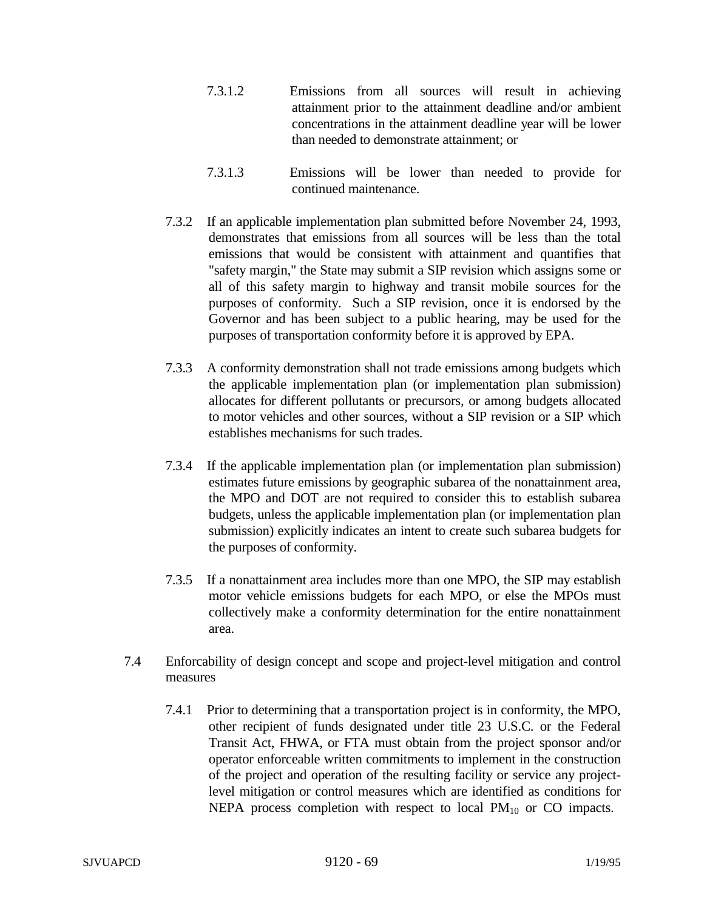- 7.3.1.2 Emissions from all sources will result in achieving attainment prior to the attainment deadline and/or ambient concentrations in the attainment deadline year will be lower than needed to demonstrate attainment; or
- 7.3.1.3 Emissions will be lower than needed to provide for continued maintenance.
- 7.3.2 If an applicable implementation plan submitted before November 24, 1993, demonstrates that emissions from all sources will be less than the total emissions that would be consistent with attainment and quantifies that "safety margin," the State may submit a SIP revision which assigns some or all of this safety margin to highway and transit mobile sources for the purposes of conformity. Such a SIP revision, once it is endorsed by the Governor and has been subject to a public hearing, may be used for the purposes of transportation conformity before it is approved by EPA.
- 7.3.3 A conformity demonstration shall not trade emissions among budgets which the applicable implementation plan (or implementation plan submission) allocates for different pollutants or precursors, or among budgets allocated to motor vehicles and other sources, without a SIP revision or a SIP which establishes mechanisms for such trades.
- 7.3.4 If the applicable implementation plan (or implementation plan submission) estimates future emissions by geographic subarea of the nonattainment area, the MPO and DOT are not required to consider this to establish subarea budgets, unless the applicable implementation plan (or implementation plan submission) explicitly indicates an intent to create such subarea budgets for the purposes of conformity.
- 7.3.5 If a nonattainment area includes more than one MPO, the SIP may establish motor vehicle emissions budgets for each MPO, or else the MPOs must collectively make a conformity determination for the entire nonattainment area.
- 7.4 Enforcability of design concept and scope and project-level mitigation and control measures
	- 7.4.1 Prior to determining that a transportation project is in conformity, the MPO, other recipient of funds designated under title 23 U.S.C. or the Federal Transit Act, FHWA, or FTA must obtain from the project sponsor and/or operator enforceable written commitments to implement in the construction of the project and operation of the resulting facility or service any projectlevel mitigation or control measures which are identified as conditions for NEPA process completion with respect to local  $PM_{10}$  or CO impacts.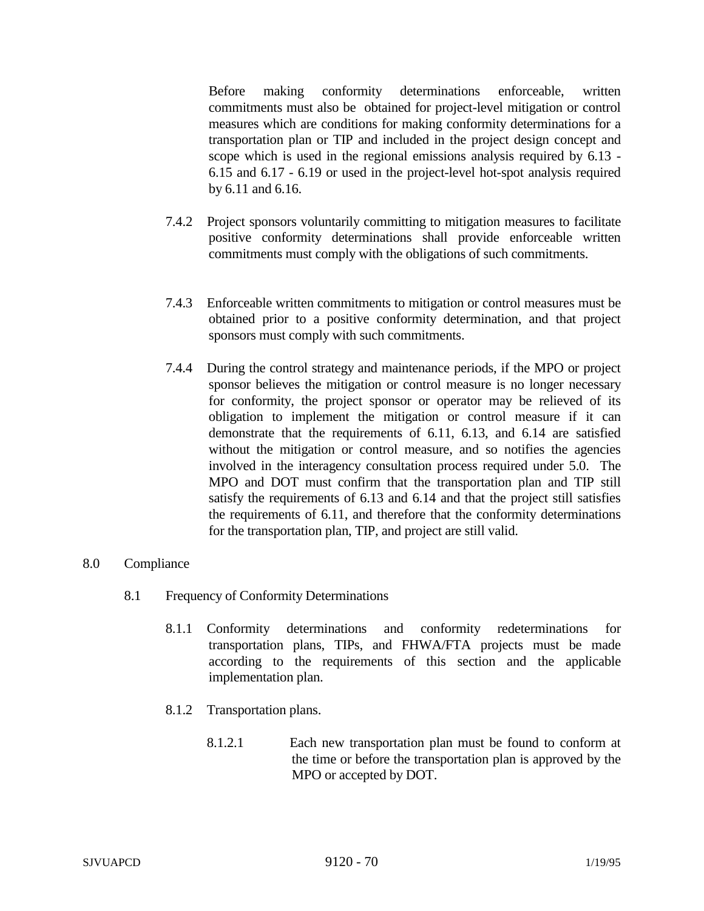Before making conformity determinations enforceable, written commitments must also be obtained for project-level mitigation or control measures which are conditions for making conformity determinations for a transportation plan or TIP and included in the project design concept and scope which is used in the regional emissions analysis required by 6.13 - 6.15 and 6.17 - 6.19 or used in the project-level hot-spot analysis required by 6.11 and 6.16.

- 7.4.2 Project sponsors voluntarily committing to mitigation measures to facilitate positive conformity determinations shall provide enforceable written commitments must comply with the obligations of such commitments.
- 7.4.3 Enforceable written commitments to mitigation or control measures must be obtained prior to a positive conformity determination, and that project sponsors must comply with such commitments.
- 7.4.4 During the control strategy and maintenance periods, if the MPO or project sponsor believes the mitigation or control measure is no longer necessary for conformity, the project sponsor or operator may be relieved of its obligation to implement the mitigation or control measure if it can demonstrate that the requirements of 6.11, 6.13, and 6.14 are satisfied without the mitigation or control measure, and so notifies the agencies involved in the interagency consultation process required under 5.0. The MPO and DOT must confirm that the transportation plan and TIP still satisfy the requirements of 6.13 and 6.14 and that the project still satisfies the requirements of 6.11, and therefore that the conformity determinations for the transportation plan, TIP, and project are still valid.

## 8.0 Compliance

- 8.1 Frequency of Conformity Determinations
	- 8.1.1 Conformity determinations and conformity redeterminations transportation plans, TIPs, and FHWA/FTA projects must be made according to the requirements of this section and the applicable implementation plan.
	- 8.1.2 Transportation plans.
		- 8.1.2.1 Each new transportation plan must be found to conform at the time or before the transportation plan is approved by the MPO or accepted by DOT.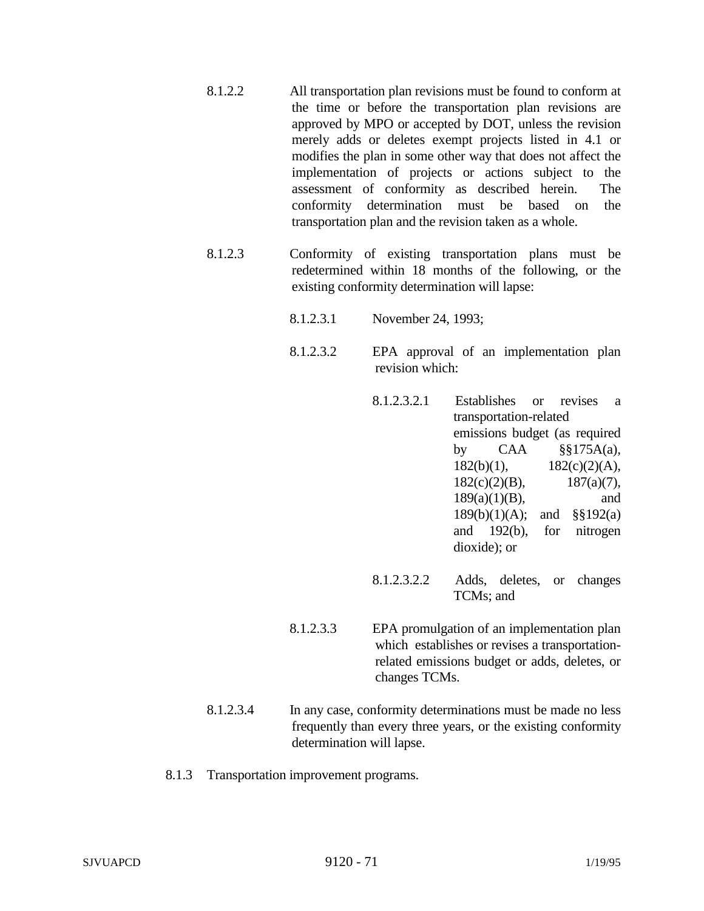- 8.1.2.2 All transportation plan revisions must be found to conform at the time or before the transportation plan revisions are approved by MPO or accepted by DOT, unless the revision merely adds or deletes exempt projects listed in 4.1 or modifies the plan in some other way that does not affect the implementation of projects or actions subject to the assessment of conformity as described herein. The conformity determination must be based on the transportation plan and the revision taken as a whole.
- 8.1.2.3 Conformity of existing transportation plans must be redetermined within 18 months of the following, or the existing conformity determination will lapse:
	- 8.1.2.3.1 November 24, 1993;
	- 8.1.2.3.2 EPA approval of an implementation plan revision which:
		- 8.1.2.3.2.1 Establishes or revises a transportation-related emissions budget (as required by  $CAA$   $\frac{\$ \$ 175A(a)}{6}$ ,  $182(b)(1),$   $182(c)(2)(A),$  $182(c)(2)(B),$  187(a)(7), 189(a)(1)(B), and 189(b)(1)(A); and §§192(a) and 192(b), for nitrogen dioxide); or
		- 8.1.2.3.2.2 Adds, deletes, or changes TCMs; and
	- 8.1.2.3.3 EPA promulgation of an implementation plan which establishes or revises a transportationrelated emissions budget or adds, deletes, or changes TCMs.
- 8.1.2.3.4 In any case, conformity determinations must be made no less frequently than every three years, or the existing conformity determination will lapse.
- 8.1.3 Transportation improvement programs.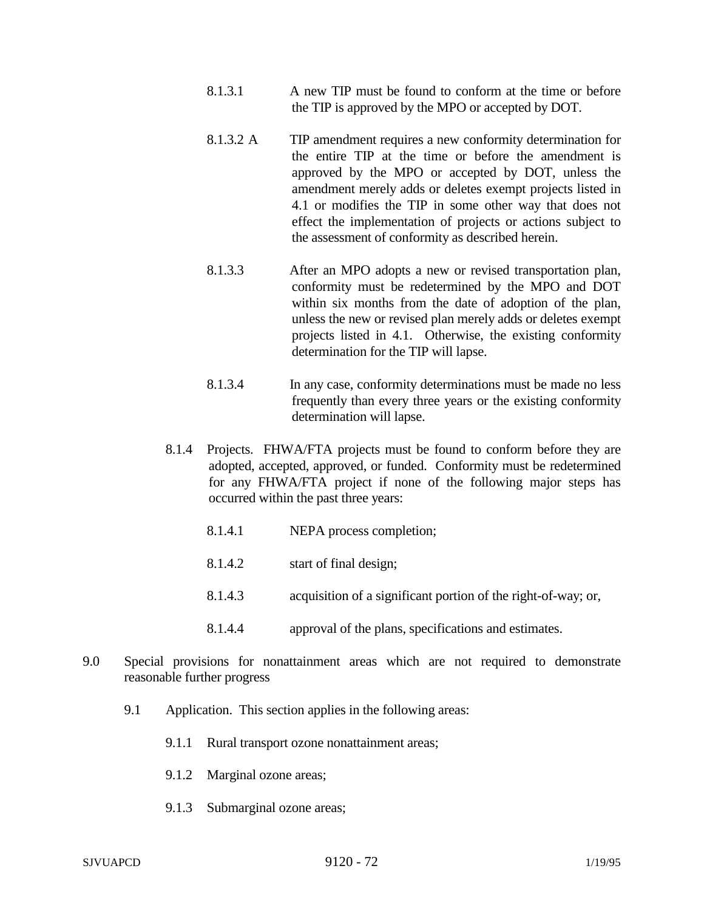- 8.1.3.1 A new TIP must be found to conform at the time or before the TIP is approved by the MPO or accepted by DOT.
- 8.1.3.2 A TIP amendment requires a new conformity determination for the entire TIP at the time or before the amendment is approved by the MPO or accepted by DOT, unless the amendment merely adds or deletes exempt projects listed in 4.1 or modifies the TIP in some other way that does not effect the implementation of projects or actions subject to the assessment of conformity as described herein.
- 8.1.3.3 After an MPO adopts a new or revised transportation plan, conformity must be redetermined by the MPO and DOT within six months from the date of adoption of the plan, unless the new or revised plan merely adds or deletes exempt projects listed in 4.1. Otherwise, the existing conformity determination for the TIP will lapse.
- 8.1.3.4 In any case, conformity determinations must be made no less frequently than every three years or the existing conformity determination will lapse.
- 8.1.4 Projects. FHWA/FTA projects must be found to conform before they are adopted, accepted, approved, or funded. Conformity must be redetermined for any FHWA/FTA project if none of the following major steps has occurred within the past three years:
	- 8.1.4.1 NEPA process completion;
	- 8.1.4.2 start of final design;
	- 8.1.4.3 acquisition of a significant portion of the right-of-way; or,
	- 8.1.4.4 approval of the plans, specifications and estimates.
- 9.0 Special provisions for nonattainment areas which are not required to demonstrate reasonable further progress
	- 9.1 Application. This section applies in the following areas:
		- 9.1.1 Rural transport ozone nonattainment areas;
		- 9.1.2 Marginal ozone areas;
		- 9.1.3 Submarginal ozone areas;